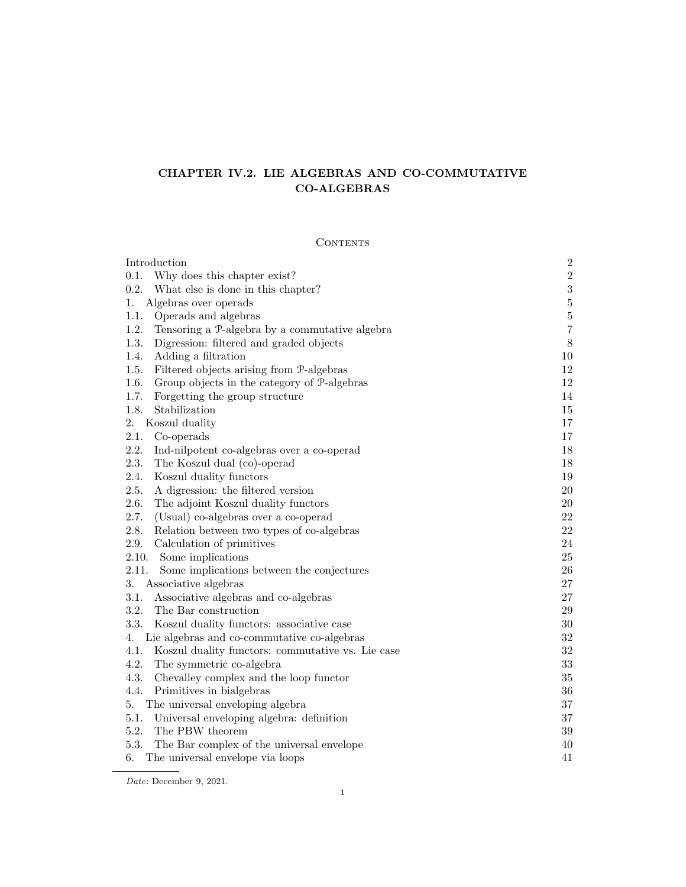# CHAPTER IV.2. LIE ALGEBRAS AND CO-COMMUTATIVE CO-ALGEBRAS

## **CONTENTS**

| Introduction                                              | $\sqrt{2}$       |
|-----------------------------------------------------------|------------------|
| 0.1.<br>Why does this chapter exist?                      | $\sqrt{2}$       |
| 0.2.<br>What else is done in this chapter?                | $\sqrt{3}$       |
| Algebras over operads<br>1.                               | $\bf 5$          |
| 1.1.<br>Operads and algebras                              | $\bf 5$          |
| 1.2.<br>Tensoring a P-algebra by a commutative algebra    | $\boldsymbol{7}$ |
| 1.3.<br>Digression: filtered and graded objects           | $8\,$            |
| 1.4.<br>Adding a filtration                               | 10               |
| 1.5.<br>Filtered objects arising from P-algebras          | $12\,$           |
| 1.6.<br>Group objects in the category of P-algebras       | 12               |
| 1.7.<br>Forgetting the group structure                    | 14               |
| 1.8.<br>Stabilization                                     | 15               |
| 2.<br>Koszul duality                                      | 17               |
| 2.1.<br>Co-operads                                        | 17               |
| 2.2.<br>Ind-nilpotent co-algebras over a co-operad        | $18\,$           |
| 2.3.<br>The Koszul dual (co)-operad                       | 18               |
| 2.4.<br>Koszul duality functors                           | 19               |
| 2.5.<br>A digression: the filtered version                | $20\,$           |
| 2.6.<br>The adjoint Koszul duality functors               | $20\,$           |
| 2.7.<br>(Usual) co-algebras over a co-operad              | 22               |
| 2.8.<br>Relation between two types of co-algebras         | 22               |
| 2.9.<br>Calculation of primitives                         | 24               |
| 2.10.<br>Some implications                                | 25               |
| 2.11.<br>Some implications between the conjectures        | $26\,$           |
| 3.<br>Associative algebras                                | $27\,$           |
| 3.1.<br>Associative algebras and co-algebras              | $27\,$           |
| 3.2.<br>The Bar construction                              | $29\,$           |
| 3.3.<br>Koszul duality functors: associative case         | $30\,$           |
| Lie algebras and co-commutative co-algebras<br>4.         | 32               |
| 4.1.<br>Koszul duality functors: commutative vs. Lie case | $32\,$           |
| 4.2.<br>The symmetric co-algebra                          | 33               |
| 4.3.<br>Chevalley complex and the loop functor            | 35               |
| 4.4.<br>Primitives in bialgebras                          | 36               |
| The universal enveloping algebra<br>5.                    | 37               |
| 5.1.<br>Universal enveloping algebra: definition          | 37               |
| 5.2.<br>The PBW theorem                                   | $39\,$           |
| 5.3.<br>The Bar complex of the universal envelope         | 40               |
| The universal envelope via loops<br>6.                    | 41               |

 ${\it Date:}$  December 9, 2021.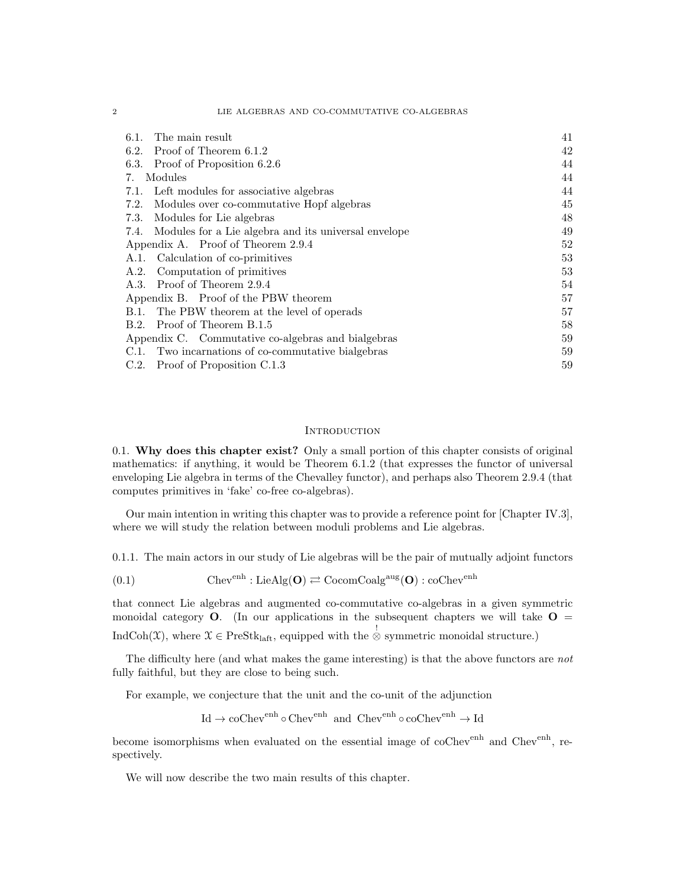#### 2 LIE ALGEBRAS AND CO-COMMUTATIVE CO-ALGEBRAS

| The main result<br>6.1.                                   | 41 |
|-----------------------------------------------------------|----|
| Proof of Theorem 6.1.2<br>6.2.                            | 42 |
| Proof of Proposition 6.2.6<br>6.3.                        | 44 |
| Modules<br>7.                                             | 44 |
| 7.1. Left modules for associative algebras                | 44 |
| Modules over co-commutative Hopf algebras<br>7.2.         | 45 |
| Modules for Lie algebras<br>7.3.                          | 48 |
| 7.4. Modules for a Lie algebra and its universal envelope | 49 |
| Appendix A. Proof of Theorem 2.9.4                        | 52 |
| A.1. Calculation of co-primitives                         | 53 |
| A.2. Computation of primitives                            | 53 |
| A.3. Proof of Theorem 2.9.4                               | 54 |
| Appendix B. Proof of the PBW theorem                      | 57 |
| B.1. The PBW theorem at the level of operads              | 57 |
| Proof of Theorem B.1.5<br>B.2.                            | 58 |
| Appendix C. Commutative co-algebras and bialgebras        | 59 |
| C.1. Two incarnations of co-commutative bialgebras        | 59 |
| C.2. Proof of Proposition C.1.3                           | 59 |

#### **INTRODUCTION**

0.1. Why does this chapter exist? Only a small portion of this chapter consists of original mathematics: if anything, it would be Theorem 6.1.2 (that expresses the functor of universal enveloping Lie algebra in terms of the Chevalley functor), and perhaps also Theorem 2.9.4 (that computes primitives in 'fake' co-free co-algebras).

Our main intention in writing this chapter was to provide a reference point for [Chapter IV.3], where we will study the relation between moduli problems and Lie algebras.

0.1.1. The main actors in our study of Lie algebras will be the pair of mutually adjoint functors

(0.1) 
$$
Chev^{enh}: LieAlg(O) \rightleftarrows CocomCoalg^{aug}(O): coChev^{enh}
$$

that connect Lie algebras and augmented co-commutative co-algebras in a given symmetric monoidal category  $O$ . (In our applications in the subsequent chapters we will take  $O =$ IndCoh(X), where  $\mathcal{X} \in \text{PreStk}_{\text{laft}}$ , equipped with the  $\stackrel{!}{\otimes}$  symmetric monoidal structure.)

The difficulty here (and what makes the game interesting) is that the above functors are not fully faithful, but they are close to being such.

For example, we conjecture that the unit and the co-unit of the adjunction

 $\operatorname{Id} \to \operatorname{coChev}^{\operatorname{enh}}\circ \operatorname{Chev}^{\operatorname{enh}}$  and  $\operatorname{Chev}^{\operatorname{enh}}\circ \operatorname{coChev}^{\operatorname{enh}}\to \operatorname{Id}$ 

become isomorphisms when evaluated on the essential image of coChev<sup>enh</sup> and Chev<sup>enh</sup>, respectively.

We will now describe the two main results of this chapter.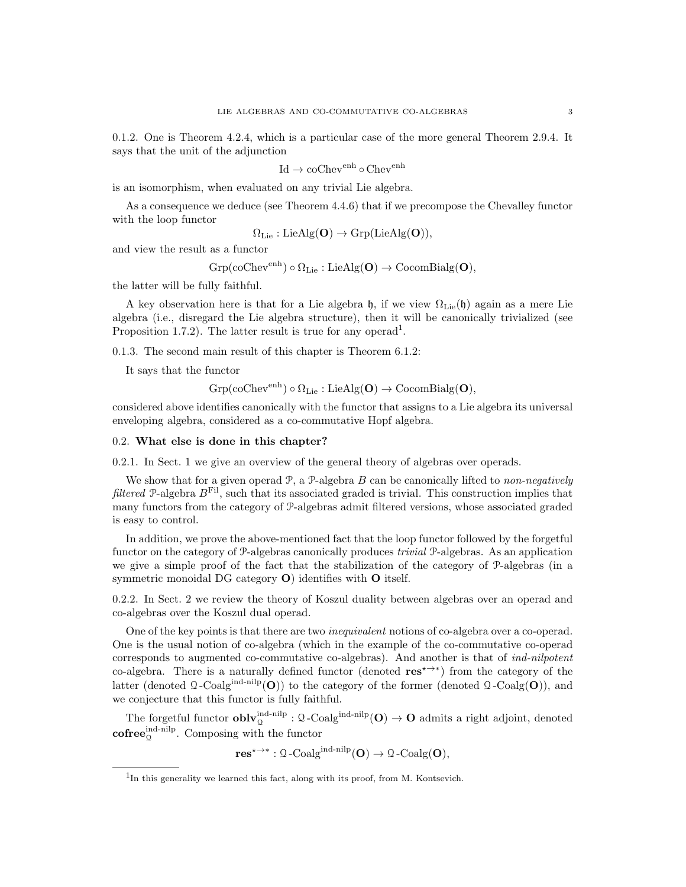0.1.2. One is Theorem 4.2.4, which is a particular case of the more general Theorem 2.9.4. It says that the unit of the adjunction

$$
\mathrm{Id}\to\mathrm{coChev}^\mathrm{enh}\circ\mathrm{Chev}^\mathrm{enh}
$$

is an isomorphism, when evaluated on any trivial Lie algebra.

As a consequence we deduce (see Theorem 4.4.6) that if we precompose the Chevalley functor with the loop functor

 $\Omega_{\text{Lie}} : \text{LieAlg}(\mathbf{O}) \to \text{Grp}(\text{LieAlg}(\mathbf{O})),$ 

and view the result as a functor

$$
\mathrm{Grp}(\mathrm{coChev}^{\mathrm{enh}}) \circ \Omega_{\mathrm{Lie}} : \mathrm{LieAlg}(\mathbf{O}) \to \mathrm{CocomBialg}(\mathbf{O}),
$$

the latter will be fully faithful.

A key observation here is that for a Lie algebra h, if we view  $\Omega_{\text{Lie}}(\mathfrak{h})$  again as a mere Lie algebra (i.e., disregard the Lie algebra structure), then it will be canonically trivialized (see Proposition 1.7.2). The latter result is true for any operad<sup>1</sup>.

0.1.3. The second main result of this chapter is Theorem 6.1.2:

It says that the functor

$$
\mathrm{Grp}(\mathrm{coChev}^{\mathrm{enh}})\circ\Omega_{\mathrm{Lie}}:\mathrm{LieAlg}(\mathbf{O})\rightarrow\mathrm{CocomBialg}(\mathbf{O}),
$$

considered above identifies canonically with the functor that assigns to a Lie algebra its universal enveloping algebra, considered as a co-commutative Hopf algebra.

### 0.2. What else is done in this chapter?

0.2.1. In Sect. 1 we give an overview of the general theory of algebras over operads.

We show that for a given operad  $P$ , a  $P$ -algebra  $B$  can be canonically lifted to non-negatively filtered P-algebra  $B<sup>Fil</sup>$ , such that its associated graded is trivial. This construction implies that many functors from the category of P-algebras admit filtered versions, whose associated graded is easy to control.

In addition, we prove the above-mentioned fact that the loop functor followed by the forgetful functor on the category of P-algebras canonically produces trivial P-algebras. As an application we give a simple proof of the fact that the stabilization of the category of P-algebras (in a symmetric monoidal DG category  $O$ ) identifies with  $O$  itself.

0.2.2. In Sect. 2 we review the theory of Koszul duality between algebras over an operad and co-algebras over the Koszul dual operad.

One of the key points is that there are two inequivalent notions of co-algebra over a co-operad. One is the usual notion of co-algebra (which in the example of the co-commutative co-operad corresponds to augmented co-commutative co-algebras). And another is that of *ind-nilpotent* co-algebra. There is a naturally defined functor (denoted res<sup> $\star\rightarrow\ast$ </sup>) from the category of the latter (denoted  $\mathcal{Q}$ -Coalg<sup>ind-nilp</sup>(O)) to the category of the former (denoted  $\mathcal{Q}$ -Coalg(O)), and we conjecture that this functor is fully faithful.

The forgetful functor  $\textbf{oblv}_{\mathbf{Q}}^{\text{ind-nilp}}: \mathbf{Q}\text{-Coalg}^{\text{ind-nilp}}(\mathbf{O}) \to \mathbf{O}$  admits a right adjoint, denoted  $\mathbf{cofree}_{\mathcal{Q}}^{\mathrm{ind-nilp}}$ . Composing with the functor

 $res^{\star \rightarrow *} : \mathcal{Q}\text{-Coalg}^{\text{ind-nilp}}(\mathbf{O}) \rightarrow \mathcal{Q}\text{-Coalg}(\mathbf{O}),$ 

<sup>&</sup>lt;sup>1</sup>In this generality we learned this fact, along with its proof, from M. Kontsevich.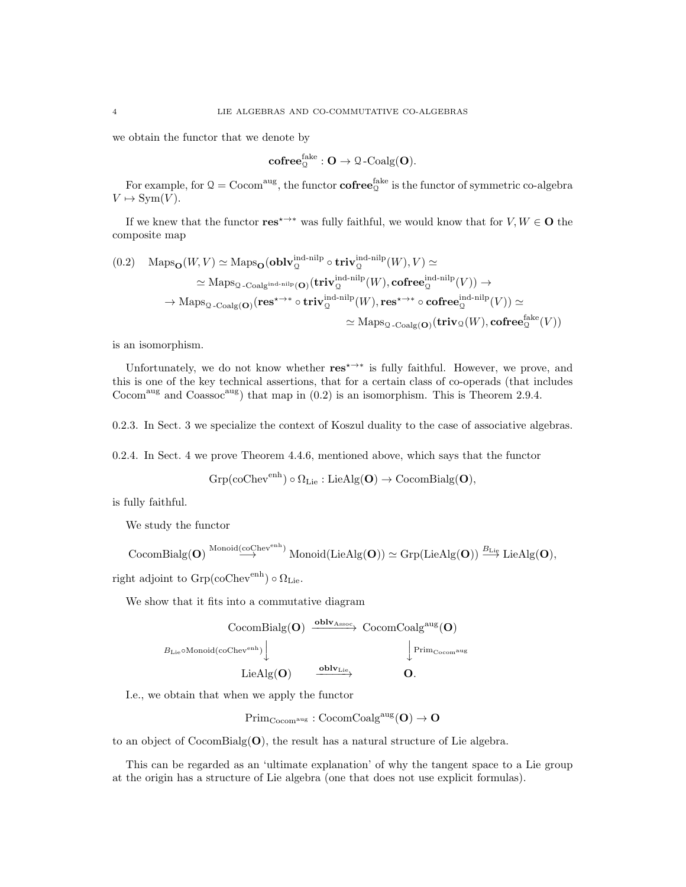we obtain the functor that we denote by

$$
\mathbf{cofree}_{\mathbb{Q}}^{\mathsf{fake}} : \mathbf{O} \rightarrow \mathbf{\Omega}\text{-}\mathsf{Coalg}(\mathbf{O}).
$$

For example, for  $\mathcal{Q} = \text{Cocom}^{\text{aug}}$ , the functor  $\textbf{cofree}^{\text{fake}}_{\mathcal{Q}}$  is the functor of symmetric co-algebra  $V \mapsto \text{Sym}(V)$ .

If we knew that the functor  $res^{\star\rightarrow\ast}$  was fully faithful, we would know that for  $V, W \in \mathbf{O}$  the composite map

$$
(0.2) \quad \text{Maps}_{\mathbf{O}}(W, V) \simeq \text{Maps}_{\mathbf{O}}(\mathbf{oblv}_{\mathbf{Q}}^{\text{ind-nilp}} \circ \mathbf{triv}_{\mathbf{Q}}^{\text{ind-nilp}}(W), V) \simeq
$$
\n
$$
\simeq \text{Maps}_{\mathbf{Q}\text{-} \text{Coalg}^{\text{ind-nilp}}(\mathbf{O})}(\mathbf{triv}_{\mathbf{Q}}^{\text{ind-nilp}}(W), \mathbf{cofree}_{\mathbf{Q}}^{\text{ind-nilp}}(V)) \to
$$
\n
$$
\to \text{Maps}_{\mathbf{Q}\text{-} \text{Coalg}(\mathbf{O})}(\mathbf{res}^{ \star \to * } \circ \mathbf{triv}_{\mathbf{Q}}^{\text{ind-nilp}}(W), \mathbf{res}^{ \star \to * } \circ \mathbf{cofree}_{\mathbf{Q}}^{\text{ind-nilp}}(V)) \simeq
$$
\n
$$
\simeq \text{Maps}_{\mathbf{Q}\text{-} \text{Coalg}(\mathbf{O})}(\mathbf{triv}_{\mathbf{Q}}(W), \mathbf{cofree}_{\mathbf{Q}}^{\text{fake}}(V))
$$

is an isomorphism.

Unfortunately, we do not know whether  $res^{\star \rightarrow *}$  is fully faithful. However, we prove, and this is one of the key technical assertions, that for a certain class of co-operads (that includes Cocom<sup>aug</sup> and Coassoc<sup>aug</sup>) that map in  $(0.2)$  is an isomorphism. This is Theorem 2.9.4.

0.2.3. In Sect. 3 we specialize the context of Koszul duality to the case of associative algebras.

0.2.4. In Sect. 4 we prove Theorem 4.4.6, mentioned above, which says that the functor

$$
\mathrm{Grp}(\mathrm{coChev}^\mathrm{enh})\circ\Omega_\mathrm{Lie}:\mathrm{LieAlg}(\mathbf O)\to\mathrm{CocomBialg}(\mathbf O),
$$

is fully faithful.

We study the functor

$$
\mathrm{CocomBialg}(\mathbf{O})\overset{\mathrm{Monoid}(\mathrm{coChev}^{\mathrm{enh}})}{\longrightarrow}\mathrm{Monoid}(\mathrm{LieAlg}(\mathbf{O}))\simeq\mathrm{Grp}(\mathrm{LieAlg}(\mathbf{O}))\overset{B_{\mathrm{Lie}}}{\longrightarrow}\mathrm{LieAlg}(\mathbf{O}),
$$

right adjoint to  $Grp({\rm coChev}^{\rm enh}) \circ \Omega_{\rm Lie}.$ 

We show that it fits into a commutative diagram



I.e., we obtain that when we apply the functor

 $Prim_{Cocom^{aug}}: CocomCoalg^{aug}(\mathbf{O}) \rightarrow \mathbf{O}$ 

to an object of CocomBialg( $\mathbf{O}$ ), the result has a natural structure of Lie algebra.

This can be regarded as an 'ultimate explanation' of why the tangent space to a Lie group at the origin has a structure of Lie algebra (one that does not use explicit formulas).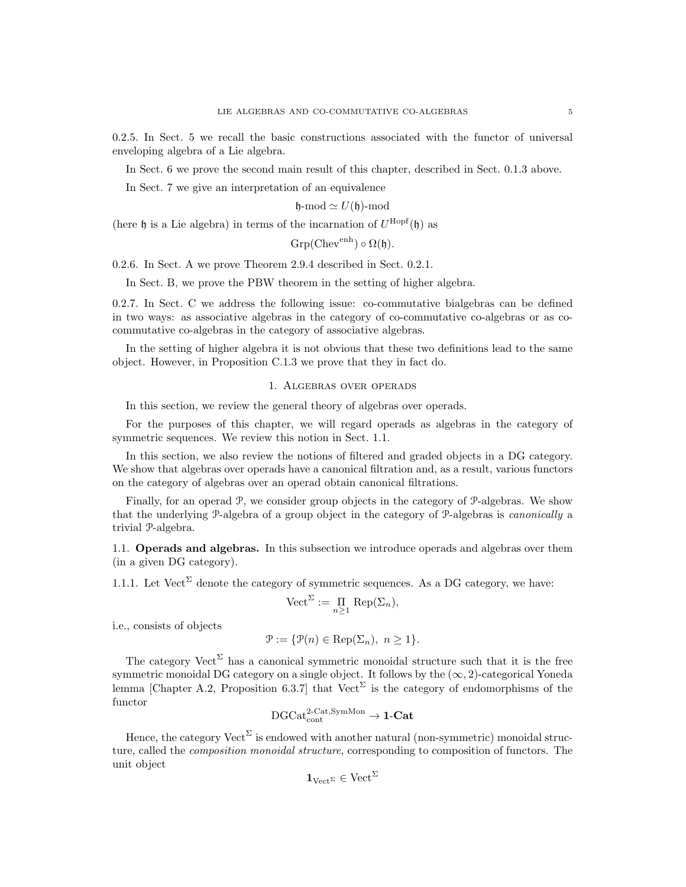0.2.5. In Sect. 5 we recall the basic constructions associated with the functor of universal enveloping algebra of a Lie algebra.

In Sect. 6 we prove the second main result of this chapter, described in Sect. 0.1.3 above.

In Sect. 7 we give an interpretation of an equivalence

$$
\mathfrak{h}\text{-mod} \simeq U(\mathfrak{h})\text{-mod}
$$

(here  $\mathfrak h$  is a Lie algebra) in terms of the incarnation of  $U^{\text{Hopf}}(\mathfrak h)$  as

 $Grp(Chev<sup>enh</sup>) \circ \Omega(\mathfrak{h}).$ 

0.2.6. In Sect. A we prove Theorem 2.9.4 described in Sect. 0.2.1.

In Sect. B, we prove the PBW theorem in the setting of higher algebra.

0.2.7. In Sect. C we address the following issue: co-commutative bialgebras can be defined in two ways: as associative algebras in the category of co-commutative co-algebras or as cocommutative co-algebras in the category of associative algebras.

In the setting of higher algebra it is not obvious that these two definitions lead to the same object. However, in Proposition C.1.3 we prove that they in fact do.

#### 1. Algebras over operads

In this section, we review the general theory of algebras over operads.

For the purposes of this chapter, we will regard operads as algebras in the category of symmetric sequences. We review this notion in Sect. 1.1.

In this section, we also review the notions of filtered and graded objects in a DG category. We show that algebras over operads have a canonical filtration and, as a result, various functors on the category of algebras over an operad obtain canonical filtrations.

Finally, for an operad P, we consider group objects in the category of P-algebras. We show that the underlying P-algebra of a group object in the category of P-algebras is canonically a trivial P-algebra.

1.1. Operads and algebras. In this subsection we introduce operads and algebras over them (in a given DG category).

1.1.1. Let Vect<sup> $\Sigma$ </sup> denote the category of symmetric sequences. As a DG category, we have:

$$
\text{Vect}^{\Sigma} := \prod_{n \geq 1} \text{Rep}(\Sigma_n),
$$

i.e., consists of objects

$$
\mathcal{P} := \{ \mathcal{P}(n) \in \text{Rep}(\Sigma_n), \ n \ge 1 \}.
$$

The category  $\text{Vect}^{\Sigma}$  has a canonical symmetric monoidal structure such that it is the free symmetric monoidal DG category on a single object. It follows by the  $(\infty, 2)$ -categorical Yoneda lemma [Chapter A.2, Proposition 6.3.7] that  $Vect^{\Sigma}$  is the category of endomorphisms of the functor

$$
\mathrm{DGCat}_{\mathrm{cont}}^{\mathrm{2\text{-}Cat},\mathrm{SymMon}}\to\mathbf{1\text{-}Cat}
$$

Hence, the category  $\text{Vect}^{\Sigma}$  is endowed with another natural (non-symmetric) monoidal structure, called the *composition monoidal structure*, corresponding to composition of functors. The unit object

$$
\mathbf{1}_{\mathrm{Vect}^{\Sigma}} \in \mathrm{Vect}^{\Sigma}
$$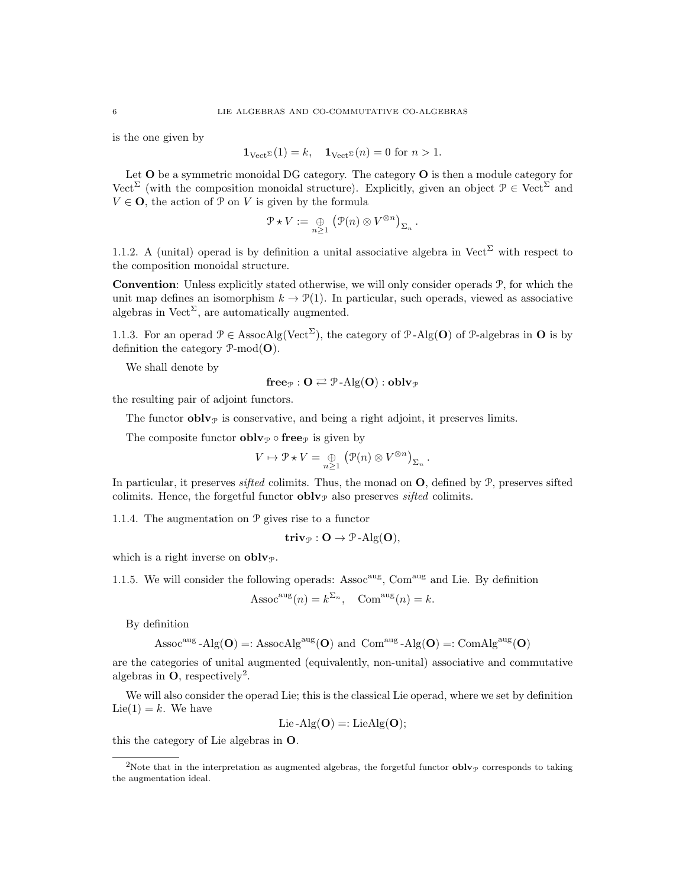is the one given by

$$
\mathbf{1}_{\text{Vect}^{\Sigma}}(1) = k, \quad \mathbf{1}_{\text{Vect}^{\Sigma}}(n) = 0 \text{ for } n > 1.
$$

Let  $O$  be a symmetric monoidal DG category. The category  $O$  is then a module category for Vect<sup>Σ</sup> (with the composition monoidal structure). Explicitly, given an object  $\mathcal{P} \in \text{Vect}^{\Sigma}$  and  $V \in \mathbf{O}$ , the action of  $\mathcal{P}$  on V is given by the formula

$$
\mathcal{P} \star V := \bigoplus_{n \geq 1} \left( \mathcal{P}(n) \otimes V^{\otimes n} \right)_{\Sigma_n}.
$$

1.1.2. A (unital) operad is by definition a unital associative algebra in Vect<sup> $\Sigma$ </sup> with respect to the composition monoidal structure.

Convention: Unless explicitly stated otherwise, we will only consider operads P, for which the unit map defines an isomorphism  $k \to \mathcal{P}(1)$ . In particular, such operads, viewed as associative algebras in Vect<sup> $\Sigma$ </sup>, are automatically augmented.

1.1.3. For an operad  $P \in \text{AssocAlg}(\text{Vect}^{\Sigma})$ , the category of P-Alg(O) of P-algebras in O is by definition the category  $\mathcal{P}\text{-mod}(\mathbf{O})$ .

We shall denote by

$$
\mathbf{free}_{\mathcal{P}} : \mathbf{O} \rightleftarrows \mathcal{P}\text{-}\mathrm{Alg}(\mathbf{O}) : \mathbf{oblv}_{\mathcal{P}}
$$

the resulting pair of adjoint functors.

The functor  $\textbf{oblv}_{\mathcal{P}}$  is conservative, and being a right adjoint, it preserves limits.

The composite functor  $\textbf{oblv}_{\mathcal{P}} \circ \textbf{free}_{\mathcal{P}}$  is given by

$$
V \mapsto \mathcal{P} \star V = \bigoplus_{n \geq 1} (\mathcal{P}(n) \otimes V^{\otimes n})_{\Sigma_n}.
$$

In particular, it preserves *sifted* colimits. Thus, the monad on  $\Omega$ , defined by  $\mathcal{P}$ , preserves sifted colimits. Hence, the forgetful functor  $\textbf{oblv}_{\mathcal{P}}$  also preserves sifted colimits.

1.1.4. The augmentation on P gives rise to a functor

$$
\mathbf{triv}_{\mathcal{P}}: \mathbf{O} \to \mathcal{P}\text{-Alg}(\mathbf{O}),
$$

which is a right inverse on  $oblv_{\mathcal{P}}$ .

1.1.5. We will consider the following operads: Assoc<sup>aug</sup>, Com<sup>aug</sup> and Lie. By definition

$$
Assocaug(n) = k^{\Sigma_n}, \quad Comaug(n) = k.
$$

By definition

$$
\operatorname{Assoc}^{\operatorname{aug}}\text{-}\operatorname{Alg}(\mathbf{O}) =: \operatorname{AssocAlg}^{\operatorname{aug}}(\mathbf{O}) \text{ and } \operatorname{Com}^{\operatorname{aug}}\text{-}\operatorname{Alg}(\mathbf{O}) =: \operatorname{ComAlg}^{\operatorname{aug}}(\mathbf{O})
$$

are the categories of unital augmented (equivalently, non-unital) associative and commutative algebras in  $\mathbf{O}$ , respectively<sup>2</sup>.

We will also consider the operad Lie; this is the classical Lie operad, where we set by definition  $Lie(1) = k$ . We have

$$
Lie-Alg(\mathbf{O}) =: LieAlg(\mathbf{O});
$$

this the category of Lie algebras in O.

<sup>&</sup>lt;sup>2</sup>Note that in the interpretation as augmented algebras, the forgetful functor  $\textbf{oblv}_{\mathcal{P}}$  corresponds to taking the augmentation ideal.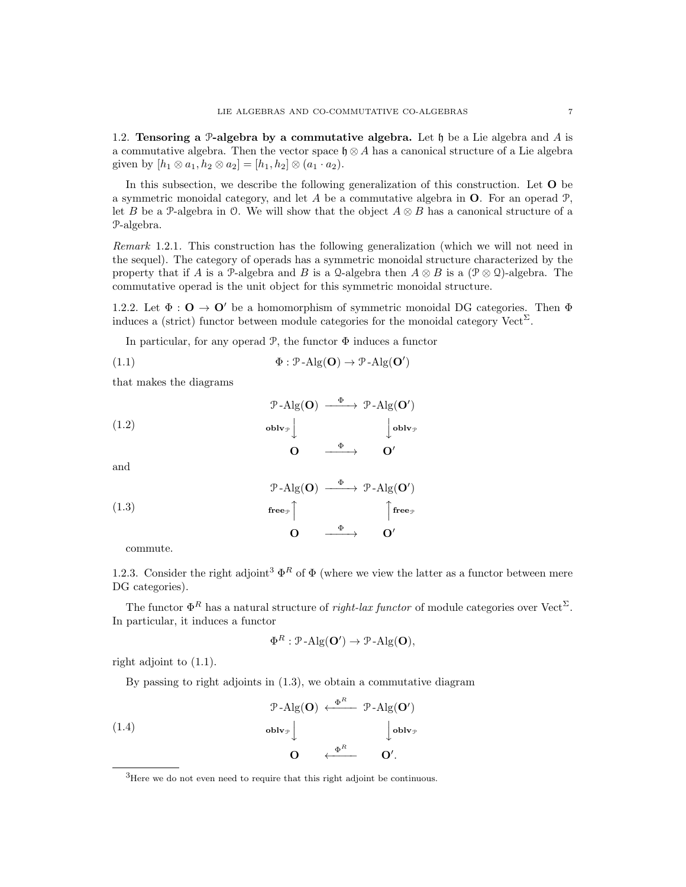1.2. Tensoring a P-algebra by a commutative algebra. Let  $\mathfrak h$  be a Lie algebra and A is a commutative algebra. Then the vector space  $\mathfrak{h} \otimes A$  has a canonical structure of a Lie algebra given by  $[h_1 \otimes a_1, h_2 \otimes a_2] = [h_1, h_2] \otimes (a_1 \cdot a_2).$ 

In this subsection, we describe the following generalization of this construction. Let O be a symmetric monoidal category, and let  $A$  be a commutative algebra in  $O$ . For an operad  $P$ , let B be a P-algebra in O. We will show that the object  $A \otimes B$  has a canonical structure of a P-algebra.

Remark 1.2.1. This construction has the following generalization (which we will not need in the sequel). The category of operads has a symmetric monoidal structure characterized by the property that if A is a P-algebra and B is a Q-algebra then  $A \otimes B$  is a  $(\mathcal{P} \otimes \mathcal{Q})$ -algebra. The commutative operad is the unit object for this symmetric monoidal structure.

1.2.2. Let  $\Phi: \mathbf{O} \to \mathbf{O}'$  be a homomorphism of symmetric monoidal DG categories. Then  $\Phi$ induces a (strict) functor between module categories for the monoidal category  $\text{Vect}^{\Sigma}$ .

In particular, for any operad  $\mathcal{P}$ , the functor  $\Phi$  induces a functor

(1.1) 
$$
\Phi : \mathcal{P}\text{-}\mathrm{Alg}(\mathbf{O}) \to \mathcal{P}\text{-}\mathrm{Alg}(\mathbf{O}')
$$

that makes the diagrams

(1.2)  
\n
$$
\begin{array}{ccc}\n & \mathcal{P}\text{-}\mathrm{Alg}(\mathbf{O}) & \xrightarrow{\Phi} & \mathcal{P}\text{-}\mathrm{Alg}(\mathbf{O}') \\
 & \text{oblv}_{\mathcal{P}} & & \downarrow{\text{oblv}_{\mathcal{P}}}\\
 & \mathbf{O} & \xrightarrow{\Phi} & \mathbf{O}'\n\end{array}
$$

and

(1.3)  
\n
$$
\begin{array}{ccc}\n\mathcal{P}\text{-}\mathrm{Alg}(\mathbf{O}) & \xrightarrow{\Phi} & \mathcal{P}\text{-}\mathrm{Alg}(\mathbf{O}') \\
\text{free}_{\mathcal{P}} \uparrow & & \uparrow^{\text{free}_{\mathcal{P}}} \\
\mathbf{O} & \xrightarrow{\Phi} & \mathbf{O}'\n\end{array}
$$

commute.

1.2.3. Consider the right adjoint<sup>3</sup>  $\Phi^R$  of  $\Phi$  (where we view the latter as a functor between mere DG categories).

The functor  $\Phi^R$  has a natural structure of *right-lax functor* of module categories over Vect<sup> $\Sigma$ </sup>. In particular, it induces a functor

$$
\Phi^R : \mathcal{P}\text{-Alg}(\mathbf{O}') \to \mathcal{P}\text{-Alg}(\mathbf{O}),
$$

right adjoint to (1.1).

By passing to right adjoints in (1.3), we obtain a commutative diagram



<sup>&</sup>lt;sup>3</sup>Here we do not even need to require that this right adjoint be continuous.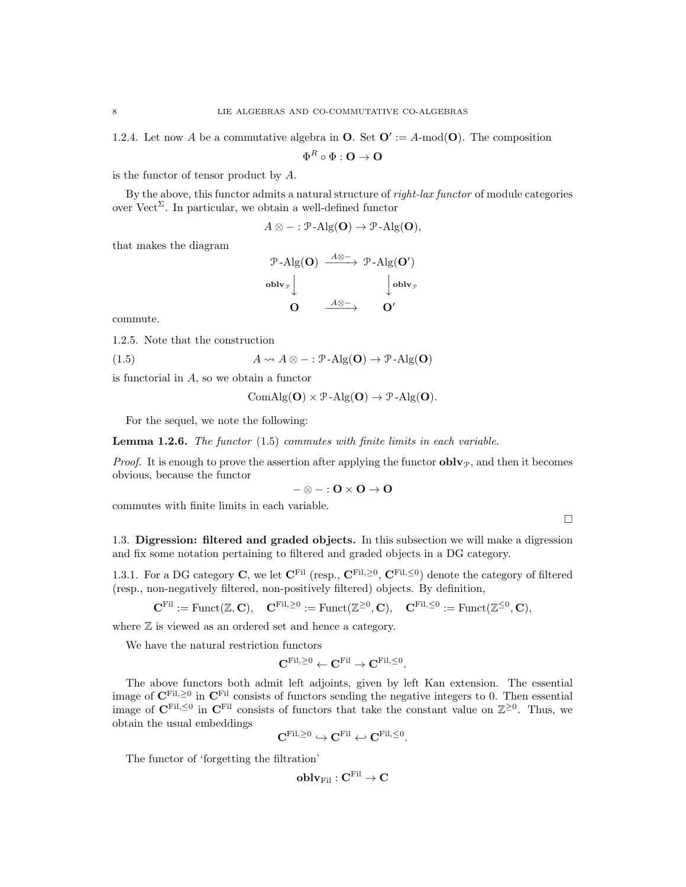1.2.4. Let now A be a commutative algebra in **O**. Set  $\mathbf{O}' := A$ -mod $(\mathbf{O})$ . The composition

$$
\Phi^R \circ \Phi : \mathbf{O} \to \mathbf{O}
$$

is the functor of tensor product by A.

By the above, this functor admits a natural structure of *right-lax functor* of module categories over Vect<sup>Σ</sup>. In particular, we obtain a well-defined functor

$$
A \otimes - : \mathcal{P}\text{-Alg}(\mathbf{O}) \to \mathcal{P}\text{-Alg}(\mathbf{O}),
$$

that makes the diagram

$$
\begin{array}{ccc}\n\mathcal{P}\text{-}\mathrm{Alg}(\mathbf{O}) & \xrightarrow{A\otimes -} & \mathcal{P}\text{-}\mathrm{Alg}(\mathbf{O}') \\
\text{oblv}_{\mathcal{P}} & & \downarrow \text{oblv}_{\mathcal{P}} \\
\mathbf{O} & \xrightarrow{A\otimes -} & \mathbf{O}'\n\end{array}
$$

commute.

1.2.5. Note that the construction

(1.5) 
$$
A \rightsquigarrow A \otimes - : \mathcal{P}\text{-Alg}(\mathbf{O}) \to \mathcal{P}\text{-Alg}(\mathbf{O})
$$

is functorial in A, so we obtain a functor

$$
ComAlg(\mathbf{O}) \times \mathcal{P}\text{-}Alg(\mathbf{O}) \to \mathcal{P}\text{-}Alg(\mathbf{O}).
$$

For the sequel, we note the following:

**Lemma 1.2.6.** The functor  $(1.5)$  commutes with finite limits in each variable.

*Proof.* It is enough to prove the assertion after applying the functor  $oblv_{\mathcal{P}}$ , and then it becomes obvious, because the functor

$$
-\otimes -: O\times O \to O
$$

commutes with finite limits in each variable.

 $\Box$ 

1.3. Digression: filtered and graded objects. In this subsection we will make a digression and fix some notation pertaining to filtered and graded objects in a DG category.

1.3.1. For a DG category C, we let  $\mathbf{C}^{\text{Fil}}$  (resp.,  $\mathbf{C}^{\text{Fil},\geq0}$ ,  $\mathbf{C}^{\text{Fil},\leq0}$ ) denote the category of filtered (resp., non-negatively filtered, non-positively filtered) objects. By definition,

$$
\mathbf{C}^{\mathrm{Fil}} := \mathrm{Funct}(\mathbb{Z}, \mathbf{C}), \quad \mathbf{C}^{\mathrm{Fil}, \geq 0} := \mathrm{Funct}(\mathbb{Z}^{\geq 0}, \mathbf{C}), \quad \mathbf{C}^{\mathrm{Fil}, \leq 0} := \mathrm{Funct}(\mathbb{Z}^{\leq 0}, \mathbf{C}),
$$

where  $\mathbb Z$  is viewed as an ordered set and hence a category.

We have the natural restriction functors

$$
\mathbf{C}^{\mathrm{Fil},\geq 0} \leftarrow \mathbf{C}^{\mathrm{Fil}} \rightarrow \mathbf{C}^{\mathrm{Fil},\leq 0}.
$$

The above functors both admit left adjoints, given by left Kan extension. The essential image of  $\mathbf{C}^{\text{Fil},\geq 0}$  in  $\mathbf{C}^{\text{Fil}}$  consists of functors sending the negative integers to 0. Then essential image of  $\mathbf{C}^{\text{Fil},\leq0}$  in  $\mathbf{C}^{\text{Fil}}$  consists of functors that take the constant value on  $\mathbb{Z}^{\geq0}$ . Thus, we obtain the usual embeddings

$$
\mathbf{C}^{\mathrm{Fil},\geq 0}\hookrightarrow \mathbf{C}^{\mathrm{Fil}}\hookleftarrow \mathbf{C}^{\mathrm{Fil},\leq 0}
$$

.

The functor of 'forgetting the filtration'

$$
\mathbf{oblv}_{\mathrm{Fil}}: \mathbf{C}^{\mathrm{Fil}} \to \mathbf{C}
$$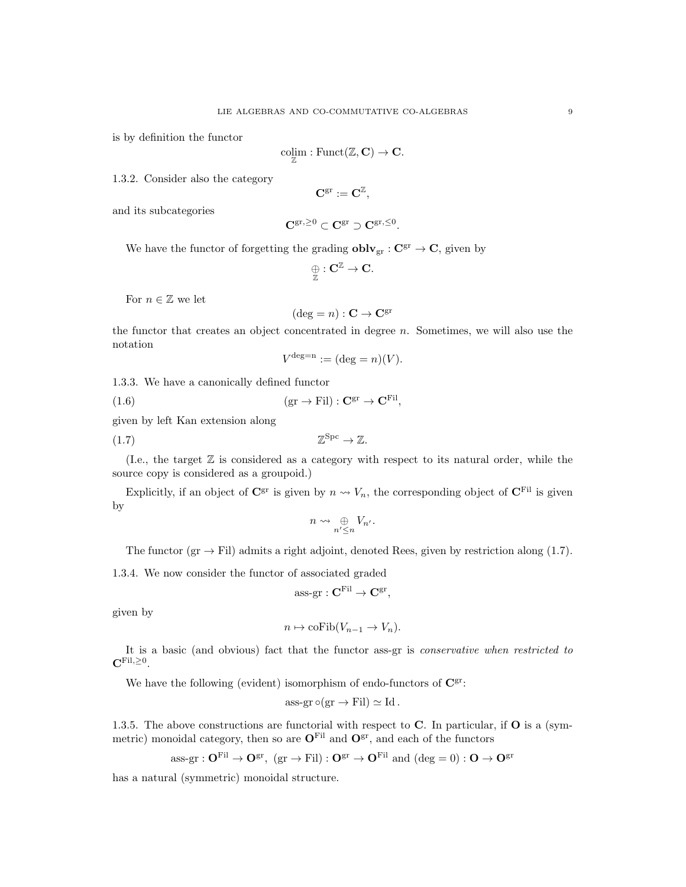is by definition the functor

$$
\underset{\mathbb{Z}}{\text{colim}} : \text{Funct}(\mathbb{Z}, \mathbf{C}) \to \mathbf{C}.
$$

1.3.2. Consider also the category

$$
\mathbf{C}^{\operatorname{gr}}:=\mathbf{C}^{\mathbb{Z}},
$$

and its subcategories

$$
\mathbf{C}^{\mathrm{gr},\geq 0} \subset \mathbf{C}^{\mathrm{gr}} \supset \mathbf{C}^{\mathrm{gr},\leq 0}.
$$

We have the functor of forgetting the grading  $oblv_{gr} : C^{gr} \to C$ , given by

$$
\underset{\mathbb{Z}}{\oplus}: \mathbf{C}^{\mathbb{Z}} \rightarrow \mathbf{C}.
$$

For  $n \in \mathbb{Z}$  we let

$$
(\deg = n) : \mathbf{C} \to \mathbf{C}^{\mathrm{gr}}
$$

the functor that creates an object concentrated in degree  $n$ . Sometimes, we will also use the notation

$$
V^{\deg = n} := (\deg = n)(V).
$$

1.3.3. We have a canonically defined functor

(1.6)  $(\text{gr} \to \text{Fil}) : \mathbf{C}^{\text{gr}} \to \mathbf{C}^{\text{Fil}},$ 

given by left Kan extension along

$$
(1.7) \t\t\t\t\mathbb{Z}^{Spc} \to \mathbb{Z}.
$$

(I.e., the target Z is considered as a category with respect to its natural order, while the source copy is considered as a groupoid.)

Explicitly, if an object of  $\mathbb{C}^{\text{gr}}$  is given by  $n \rightsquigarrow V_n$ , the corresponding object of  $\mathbb{C}^{\text{Fil}}$  is given by

$$
n \leadsto \mathop{\oplus}_{n' \leq n} V_{n'}.
$$

The functor (gr  $\rightarrow$  Fil) admits a right adjoint, denoted Rees, given by restriction along (1.7).

1.3.4. We now consider the functor of associated graded

$$
\text{ass-gr}: \mathbf{C}^{\mathrm{Fil}} \to \mathbf{C}^{\mathrm{gr}},
$$

given by

$$
n \mapsto \mathrm{coFib}(V_{n-1} \to V_n).
$$

It is a basic (and obvious) fact that the functor ass-gr is conservative when restricted to  $\mathbf{C}^{\mathrm{Fil},\geq 0}.$ 

We have the following (evident) isomorphism of endo-functors of  $\mathbf{C}^{\text{gr}}$ :

ass-gr 
$$
\circ
$$
(gr  $\rightarrow$  Fil)  $\simeq$  Id.

1.3.5. The above constructions are functorial with respect to  $C$ . In particular, if  $O$  is a (symmetric) monoidal category, then so are  $\mathbf{O}^{\text{Fil}}$  and  $\mathbf{O}^{\text{gr}}$ , and each of the functors

ass-gr : 
$$
\mathbf{O}^{\mathrm{Fil}} \to \mathbf{O}^{\mathrm{gr}}
$$
, (gr  $\to$  Fil) :  $\mathbf{O}^{\mathrm{gr}} \to \mathbf{O}^{\mathrm{Fil}}$  and (deg = 0) :  $\mathbf{O} \to \mathbf{O}^{\mathrm{gr}}$ 

has a natural (symmetric) monoidal structure.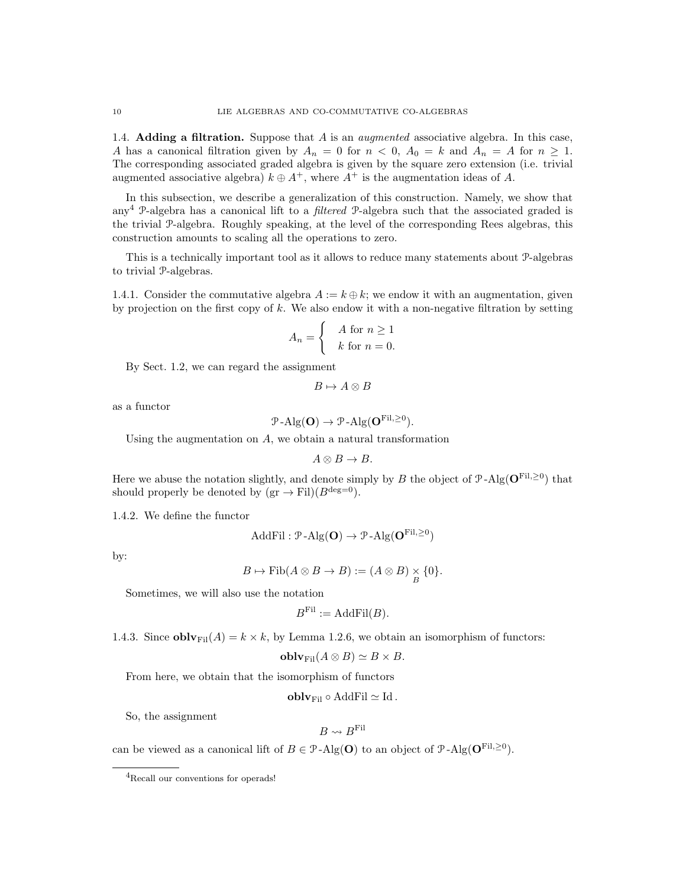1.4. **Adding a filtration.** Suppose that  $A$  is an *augmented* associative algebra. In this case, A has a canonical filtration given by  $A_n = 0$  for  $n < 0$ ,  $A_0 = k$  and  $A_n = A$  for  $n \ge 1$ . The corresponding associated graded algebra is given by the square zero extension (i.e. trivial augmented associative algebra)  $k \oplus A^+$ , where  $A^+$  is the augmentation ideas of A.

In this subsection, we describe a generalization of this construction. Namely, we show that any<sup>4</sup> P-algebra has a canonical lift to a *filtered* P-algebra such that the associated graded is the trivial P-algebra. Roughly speaking, at the level of the corresponding Rees algebras, this construction amounts to scaling all the operations to zero.

This is a technically important tool as it allows to reduce many statements about P-algebras to trivial P-algebras.

1.4.1. Consider the commutative algebra  $A := k \oplus k$ ; we endow it with an augmentation, given by projection on the first copy of  $k$ . We also endow it with a non-negative filtration by setting

$$
A_n = \begin{cases} A \text{ for } n \ge 1 \\ k \text{ for } n = 0. \end{cases}
$$

By Sect. 1.2, we can regard the assignment

$$
B \mapsto A \otimes B
$$

as a functor

$$
\mathcal{P}\text{-Alg}(\mathbf{O}) \to \mathcal{P}\text{-Alg}(\mathbf{O}^{\text{Fil},\geq 0}).
$$

Using the augmentation on A, we obtain a natural transformation

$$
A\otimes B\to B.
$$

Here we abuse the notation slightly, and denote simply by B the object of  $\mathcal{P}\text{-}\mathrm{Alg}(\mathbf{O}^{\mathrm{Fil},\geq 0})$  that should properly be denoted by  $(\text{gr} \to \text{Fil})(B^{\deg=0}).$ 

1.4.2. We define the functor

$$
\text{AddFil}: \mathcal{P}\text{-Alg}(\mathbf{O}) \to \mathcal{P}\text{-Alg}(\mathbf{O}^{\text{Fil}, \geq 0})
$$

by:

$$
B \mapsto \mathrm{Fib}(A \otimes B \to B) := (A \otimes B) \underset{B}{\times} \{0\}.
$$

Sometimes, we will also use the notation

$$
B^{\mathrm{Fil}} := \mathrm{AddFil}(B).
$$

1.4.3. Since **obl** $\mathbf{v}_{\text{Fil}}(A) = k \times k$ , by Lemma 1.2.6, we obtain an isomorphism of functors:

$$
oblvFil(A \otimes B) \simeq B \times B.
$$

From here, we obtain that the isomorphism of functors

$$
\mathbf{oblv}_{\mathrm{Fil}} \circ \mathrm{AddFil} \simeq \mathrm{Id}.
$$

So, the assignment

$$
B \leadsto B^{\mathrm{Fil}}
$$

can be viewed as a canonical lift of  $B \in \mathcal{P}$ -Alg(**O**) to an object of  $\mathcal{P}$ -Alg(**O**<sup>Fil, $\geq$ <sup>0</sup>).</sup>

<sup>4</sup>Recall our conventions for operads!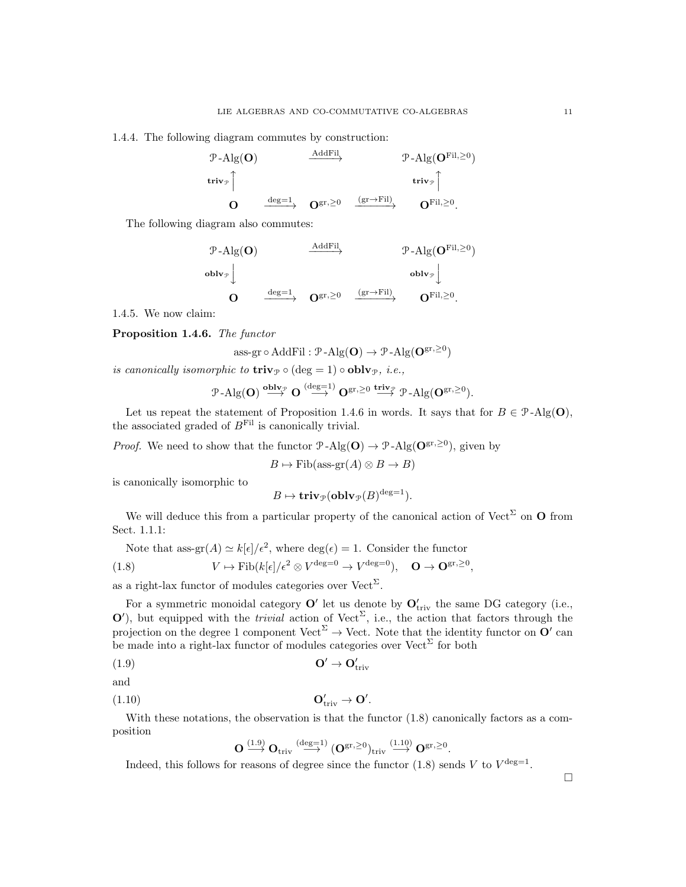1.4.4. The following diagram commutes by construction:

$$
\begin{array}{ccc}\n\mathcal{P}\text{-}\mathrm{Alg}(\mathbf{O}) & \xrightarrow{\mathrm{AddFil}} & \mathcal{P}\text{-}\mathrm{Alg}(\mathbf{O}^{\mathrm{Fil},\geq 0}) \\
\text{triv}_{\mathcal{P}}\uparrow & \text{triv}_{\mathcal{P}}\uparrow \\
\mathbf{O} & \xrightarrow{\mathrm{deg}=1} & \mathbf{O}^{\mathrm{gr},\geq 0} & \xrightarrow{(\mathrm{gr}\rightarrow \mathrm{Fil})} & \mathbf{O}^{\mathrm{Fil},\geq 0}.\n\end{array}
$$

The following diagram also commutes:

$$
\begin{array}{ccc}\n\mathcal{P}\text{-}\mathrm{Alg}(\mathbf{O}) & \xrightarrow{\mathrm{AddFil}} & \mathcal{P}\text{-}\mathrm{Alg}(\mathbf{O}^{\mathrm{Fil},\geq 0}) \\
\text{oblv}_{\mathcal{P}} & & \text{oblv}_{\mathcal{P}} \downarrow & \\
\mathbf{O} & \xrightarrow{\mathrm{deg}=1} & \mathbf{O}^{\mathrm{gr},\geq 0} & \xrightarrow{(\mathrm{gr}\to \mathrm{Fil})} & \mathbf{O}^{\mathrm{Fil},\geq 0}.\n\end{array}
$$

1.4.5. We now claim:

Proposition 1.4.6. The functor

$$
\text{ass-}\mathrm{gr} \circ \mathrm{AddFil} : \mathcal{P}\text{-}\mathrm{Alg}(\mathbf{O}) \to \mathcal{P}\text{-}\mathrm{Alg}(\mathbf{O}^{\mathrm{gr},\geq 0})
$$

is canonically isomorphic to  $\mathbf{triv}_{\mathcal{P}} \circ (\text{deg} = 1) \circ \mathbf{oblv}_{\mathcal{P}}$ , i.e.,

$$
\mathcal{P}\text{-}\mathrm{Alg}(\mathbf{O})\stackrel{\mathbf{oblv}_{\mathcal{P}}}{\longrightarrow}\mathbf{O}\stackrel{(\mathrm{deg}=1)}{\longrightarrow}\mathbf{O}^{\mathrm{gr},\geq 0}\stackrel{\mathbf{triv}_{\mathcal{P}}}{\longrightarrow}\mathcal{P}\text{-}\mathrm{Alg}(\mathbf{O}^{\mathrm{gr},\geq 0}).
$$

Let us repeat the statement of Proposition 1.4.6 in words. It says that for  $B \in \mathcal{P}$ -Alg(O), the associated graded of  $B<sup>Fil</sup>$  is canonically trivial.

*Proof.* We need to show that the functor  $\mathcal{P}\text{-Alg}(\mathbf{O}) \to \mathcal{P}\text{-Alg}(\mathbf{O}^{\text{gr},\geq 0})$ , given by

 $B \mapsto$  Fib(ass-gr(A) ⊗  $B \to B$ )

is canonically isomorphic to

$$
B \mapsto \mathbf{triv}_{\mathcal{P}}(\mathbf{oblv}_{\mathcal{P}}(B)^{\deg=1}).
$$

We will deduce this from a particular property of the canonical action of Vect<sup> $\Sigma$ </sup> on **O** from Sect. 1.1.1:

Note that 
$$
ass\text{-}\mathrm{gr}(A) \simeq k[\epsilon]/\epsilon^2
$$
, where  $\deg(\epsilon) = 1$ . Consider the functor

(1.8) 
$$
V \mapsto \text{Fib}(k[\epsilon]/\epsilon^2 \otimes V^{\text{deg}=0} \to V^{\text{deg}=0}), \quad \mathbf{O} \to \mathbf{O}^{\text{gr}, \geq 0},
$$

as a right-lax functor of modules categories over  $Vect^{\Sigma}$ .

For a symmetric monoidal category  $\mathbf{O}'$  let us denote by  $\mathbf{O}_{\text{triv}}'$  the same DG category (i.e.,  $\mathbf{O}'$ , but equipped with the *trivial* action of Vect<sup> $\Sigma$ </sup>, i.e., the action that factors through the projection on the degree 1 component Vect<sup> $\Sigma$ </sup>  $\rightarrow$  Vect. Note that the identity functor on  $O'$  can be made into a right-lax functor of modules categories over  $Vect^{\Sigma}$  for both

(1.9) O<sup>0</sup> → O<sup>0</sup> triv

$$
\quad\text{and}\quad
$$

$$
O_{\text{triv}}' \to O'
$$

With these notations, the observation is that the functor  $(1.8)$  canonically factors as a composition

.

$$
\mathbf{O} \stackrel{(1.9)}{\longrightarrow} \mathbf{O}_{\mathrm{triv}} \stackrel{(\mathrm{deg}=1)}{\longrightarrow} (\mathbf{O}^{\mathrm{gr},\geq 0})_{\mathrm{triv}} \stackrel{(1.10)}{\longrightarrow} \mathbf{O}^{\mathrm{gr},\geq 0}.
$$

Indeed, this follows for reasons of degree since the functor  $(1.8)$  sends V to  $V^{\text{deg}=1}$ .

 $\Box$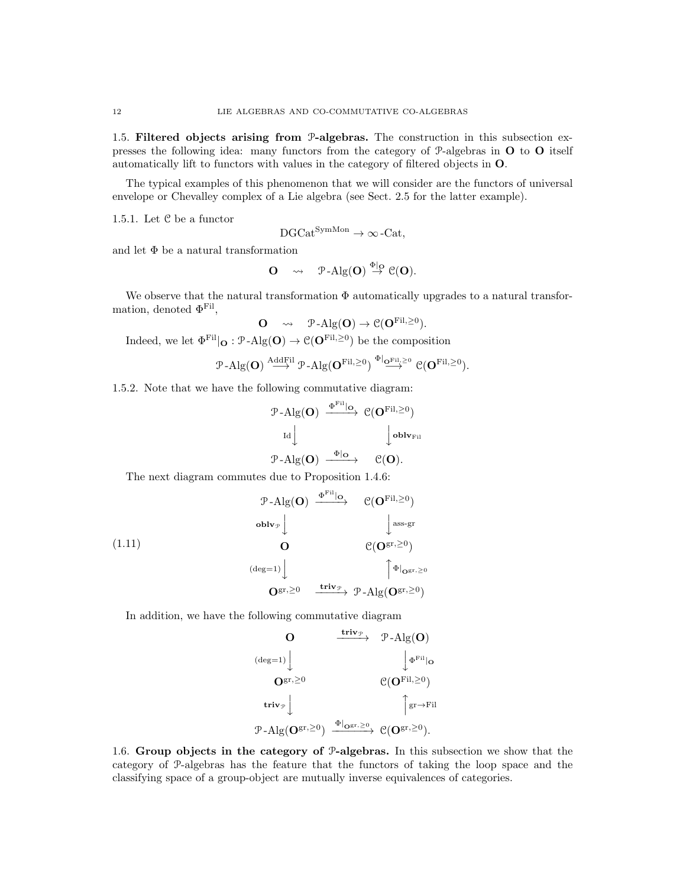1.5. Filtered objects arising from P-algebras. The construction in this subsection expresses the following idea: many functors from the category of P-algebras in O to O itself automatically lift to functors with values in the category of filtered objects in O.

The typical examples of this phenomenon that we will consider are the functors of universal envelope or Chevalley complex of a Lie algebra (see Sect. 2.5 for the latter example).

1.5.1. Let C be a functor

$$
DGCat^{SymMon} \to \infty\text{-Cat},
$$

and let  $\Phi$  be a natural transformation

$$
O \quad \rightsquigarrow \quad \mathcal{P}\text{-}\mathrm{Alg}(O) \stackrel{\Phi|_O}{\rightarrow} \mathcal{C}(O).
$$

We observe that the natural transformation  $\Phi$  automatically upgrades to a natural transformation, denoted  $\Phi^{\text{Fil}}$ ,

$$
\mathbf{O} \quad \rightsquigarrow \quad \mathcal{P}\text{-Alg}(\mathbf{O}) \rightarrow \mathcal{C}(\mathbf{O}^{\mathrm{Fil}, \geq 0}).
$$

Indeed, we let  $\Phi^{\text{Fil}}|_{\mathbf{O}} : \mathcal{P}\text{-Alg}(\mathbf{O}) \to \mathcal{C}(\mathbf{O}^{\text{Fil},\geq 0})$  be the composition

$$
\text{$\mathfrak{P}\text{-}\mathrm{Alg}(\mathbf{O})\overset{\mathrm{AddFil}}{\longrightarrow} \mathfrak{P}\text{-}\mathrm{Alg}(\mathbf{O}^{\mathrm{Fil},\geq 0})\overset{\Phi|_{\mathbf{O}^{\mathrm{Fil},\geq 0}}}{\longrightarrow}\mathfrak{C}(\mathbf{O}^{\mathrm{Fil},\geq 0}).$}
$$

1.5.2. Note that we have the following commutative diagram:

$$
\begin{array}{ccc}\n\mathcal{P}\text{-}\mathrm{Alg}(\mathbf{O}) & \xrightarrow{\Phi^{\mathrm{Fil}}|\mathbf{O}} & \mathcal{C}(\mathbf{O}^{\mathrm{Fil},\geq 0}) \\
\downarrow & & \downarrow \text{oblv}_{\mathrm{Fil}} \\
\mathcal{P}\text{-}\mathrm{Alg}(\mathbf{O}) & \xrightarrow{\Phi|\mathbf{O}} & \mathcal{C}(\mathbf{O}).\n\end{array}
$$

The next diagram commutes due to Proposition 1.4.6:

(1.11)  
\n
$$
\begin{array}{ccc}\n & \mathcal{P}\text{-}\mathrm{Alg}(\mathbf{O}) & \xrightarrow{\Phi^{\mathrm{Fil}}|\mathbf{O}} & \mathcal{C}(\mathbf{O}^{\mathrm{Fil},\geq 0}) \\
 & & \downarrow \text{ass-gr} & \\
 & \mathbf{O} & \mathcal{C}(\mathbf{O}^{\mathrm{gr},\geq 0}) \\
 & & \downarrow \text{ass-gr} & \\
 & & \mathbf{O}^{\mathrm{gr},\geq 0} & \xrightarrow{\mathbf{triv}_{\mathcal{P}}} & \mathcal{P}\text{-}\mathrm{Alg}(\mathbf{O}^{\mathrm{gr},\geq 0})\n\end{array}
$$

In addition, we have the following commutative diagram

**O**  
\n
$$
\xrightarrow{\text{triv}_{\mathcal{P}}} \mathcal{P} - Alg(\mathbf{O})
$$
\n
$$
\xrightarrow{\text{deriv}_{\mathcal{P}}} \mathcal{P} - Alg(\mathbf{O})
$$
\n
$$
\xrightarrow{\text{triv}_{\mathcal{P}}} \mathcal{C}(\mathbf{O}^{\text{Fil}}, \geq 0)
$$
\n
$$
\xrightarrow{\text{triv}_{\mathcal{P}}} \mathcal{P} - Alg(\mathbf{O}^{\text{gr}}, \geq 0) \xrightarrow{\Phi|_{\mathbf{O}^{\text{gr}}, \geq 0}} \mathcal{C}(\mathbf{O}^{\text{gr}}, \geq 0).
$$

1.6. Group objects in the category of P-algebras. In this subsection we show that the category of P-algebras has the feature that the functors of taking the loop space and the classifying space of a group-object are mutually inverse equivalences of categories.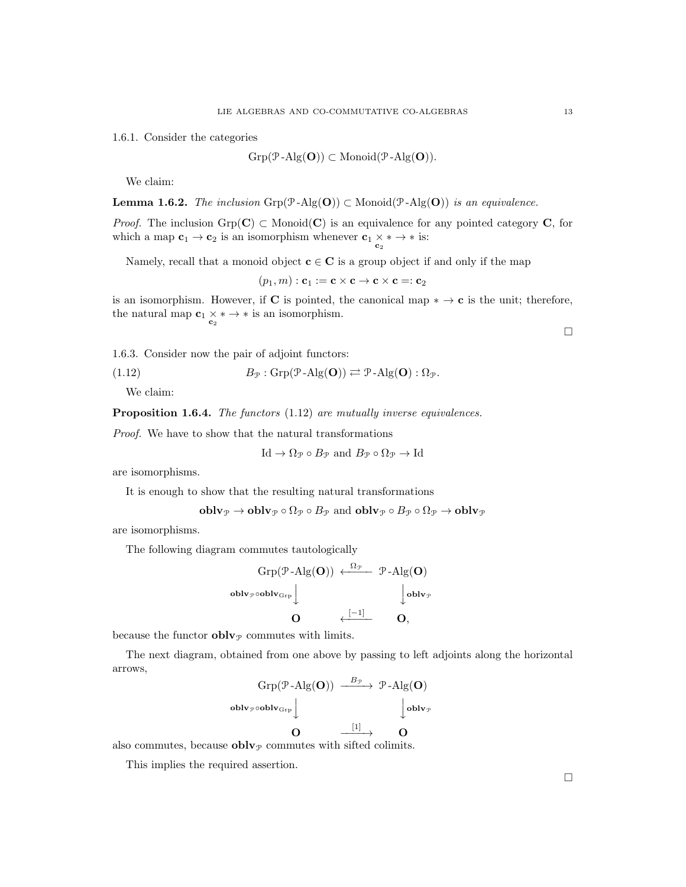1.6.1. Consider the categories

 $Grp(\mathcal{P}-Alg(\mathbf{O})) \subset \text{Monoid}(\mathcal{P}-Alg(\mathbf{O})).$ 

We claim:

**Lemma 1.6.2.** The inclusion Grp( $\mathcal{P}\text{-Alg}(O)$ ) ⊂ Monoid( $\mathcal{P}\text{-Alg}(O)$ ) is an equivalence.

*Proof.* The inclusion  $\text{Grp}(\mathbf{C}) \subset \text{Monoid}(\mathbf{C})$  is an equivalence for any pointed category **C**, for which a map  $\mathbf{c}_1 \to \mathbf{c}_2$  is an isomorphism whenever  $\mathbf{c}_1 \times * \to *$  is:<br> $\mathbf{c}_2$ 

Namely, recall that a monoid object  $c \in C$  is a group object if and only if the map

 $(p_1, m)$ :  $\mathbf{c}_1 := \mathbf{c} \times \mathbf{c} \to \mathbf{c} \times \mathbf{c} =: \mathbf{c}_2$ 

is an isomorphism. However, if C is pointed, the canonical map  $* \to \mathbf{c}$  is the unit; therefore, the natural map  $\mathbf{c}_1 \times \ast \to \ast$  is an isomorphism.

1.6.3. Consider now the pair of adjoint functors:

(1.12)  $B_{\mathcal{P}}: \text{Grp}(\mathcal{P}\text{-Alg}(\mathbf{O})) \rightleftarrows \mathcal{P}\text{-Alg}(\mathbf{O}) : \Omega_{\mathcal{P}}.$ 

We claim:

Proposition 1.6.4. The functors (1.12) are mutually inverse equivalences.

Proof. We have to show that the natural transformations

$$
Id \to \Omega_{\mathcal{P}} \circ B_{\mathcal{P}} \text{ and } B_{\mathcal{P}} \circ \Omega_{\mathcal{P}} \to Id
$$

are isomorphisms.

It is enough to show that the resulting natural transformations

$$
oblv $\mathcal{P}$  \rightarrow **oblv** <sub>$\mathcal{P}$</sub>  \circ  $\Omega_{\mathcal{P}}$  \circ  $B_{\mathcal{P}}$  and **oblv** <sub>$\mathcal{P}$</sub>  \circ  $\Omega_{\mathcal{P}}$  \circ  $\Omega_{\mathcal{P}}$  \rightarrow **oblv** <sub>$\mathcal{P}$</sub>
$$

are isomorphisms.

The following diagram commutes tautologically

$$
\text{Grp}(\mathcal{P}\text{-}\text{Alg}(\mathbf{O})) \xleftarrow{\Omega_{\mathcal{P}}} \mathcal{P}\text{-}\text{Alg}(\mathbf{O})
$$
\n
$$
\text{oblv}_{\mathcal{P}} \text{oblv}_{\text{Grp}} \Big\downarrow \text{oblv}_{\mathcal{P}}
$$
\n
$$
\mathbf{O} \qquad \xleftarrow{\begin{bmatrix} -1 \end{bmatrix}} \mathbf{O},
$$

because the functor  $\textbf{oblv}_{\mathcal{P}}$  commutes with limits.

The next diagram, obtained from one above by passing to left adjoints along the horizontal arrows,

$$
Grp(\mathcal{P}\text{-}Alg(\mathbf{O})) \xrightarrow{\begin{array}{c} B_{\mathcal{P}} \\ \longrightarrow \end{array}} \mathcal{P}\text{-}Alg(\mathbf{O})
$$
\n
$$
\begin{array}{c} \text{oblv}_{\mathcal{P}} \circ \text{oblv}_{\text{Grp}} \downarrow \text{oblv}_{\mathcal{P}} \\ \text{Oblv}_{\mathcal{P}} \downarrow \text{oblv}_{\mathcal{P}} \end{array}
$$
\n
$$
\begin{array}{c} \text{Oblv}_{\mathcal{P}} \\ \text{Oblv}_{\mathcal{P}} \downarrow \text{computes with effect colimitz} \end{array}
$$

also commutes, because  ${\bf oblv}_\mathcal{P}$  commutes with sifted colimits.

This implies the required assertion.

 $\Box$ 

 $\Box$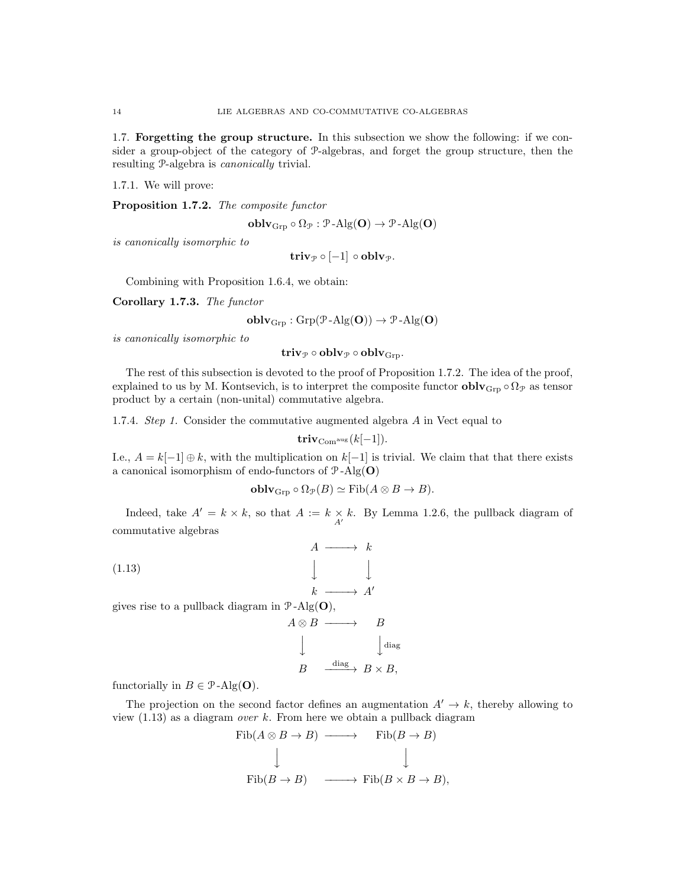1.7. Forgetting the group structure. In this subsection we show the following: if we consider a group-object of the category of P-algebras, and forget the group structure, then the resulting P-algebra is canonically trivial.

1.7.1. We will prove:

Proposition 1.7.2. The composite functor

$$
\mathbf{oblv}_{\mathrm{Grp}} \circ \Omega_{\mathcal{P}} : \mathcal{P}\text{-}\mathrm{Alg}(\mathbf{O}) \to \mathcal{P}\text{-}\mathrm{Alg}(\mathbf{O})
$$

is canonically isomorphic to

$$
\mathbf{triv}_{\mathcal{P}}\circ [-1]\circ \mathbf{oblv}_{\mathcal{P}}.
$$

Combining with Proposition 1.6.4, we obtain:

Corollary 1.7.3. The functor

$$
\mathbf{oblv}_{\mathrm{Grp}}: \mathrm{Grp}(\mathcal{P}\text{-}\mathrm{Alg}(\mathbf{O})) \to \mathcal{P}\text{-}\mathrm{Alg}(\mathbf{O})
$$

is canonically isomorphic to

triv $p \circ \textbf{oblv}_{\mathcal{P}} \circ \textbf{oblv}_{\text{Grp}}$ .

The rest of this subsection is devoted to the proof of Proposition 1.7.2. The idea of the proof, explained to us by M. Kontsevich, is to interpret the composite functor  $\textbf{oblv}_{\text{Grp}} \circ \Omega_{\mathcal{P}}$  as tensor product by a certain (non-unital) commutative algebra.

1.7.4. Step 1. Consider the commutative augmented algebra A in Vect equal to

$$
\mathbf{triv}_{\mathrm{Com}^{\mathrm{aug}}}(k[-1]).
$$

I.e.,  $A = k[-1] \oplus k$ , with the multiplication on  $k[-1]$  is trivial. We claim that that there exists a canonical isomorphism of endo-functors of  $P$ -Alg(O)

$$
\mathbf{oblv}_{\mathrm{Grp}} \circ \Omega_{\mathcal{P}}(B) \simeq \mathrm{Fib}(A \otimes B \to B).
$$

Indeed, take  $A' = k \times k$ , so that  $A := k \times k$ . By Lemma 1.2.6, the pullback diagram of commutative algebras

(1.13)  $A \; \xrightarrow{\phantom{a}} \; k$  $\downarrow$  $\downarrow$  $k \longrightarrow A'$ gives rise to a pullback diagram in  $\mathcal{P}\text{-Alg}(\mathbf{O}),$  $A \otimes B \longrightarrow B$  $\downarrow$  $\int$ diag  $B \xrightarrow{\text{diag}} B \times B$ ,

functorially in  $B \in \mathcal{P}$ -Alg(**O**).

The projection on the second factor defines an augmentation  $A' \rightarrow k$ , thereby allowing to view  $(1.13)$  as a diagram *over* k. From here we obtain a pullback diagram

$$
\text{Fib}(A \otimes B \to B) \longrightarrow \text{Fib}(B \to B)
$$
  

$$
\downarrow \qquad \qquad \downarrow
$$
  

$$
\text{Fib}(B \to B) \longrightarrow \text{Fib}(B \times B \to B),
$$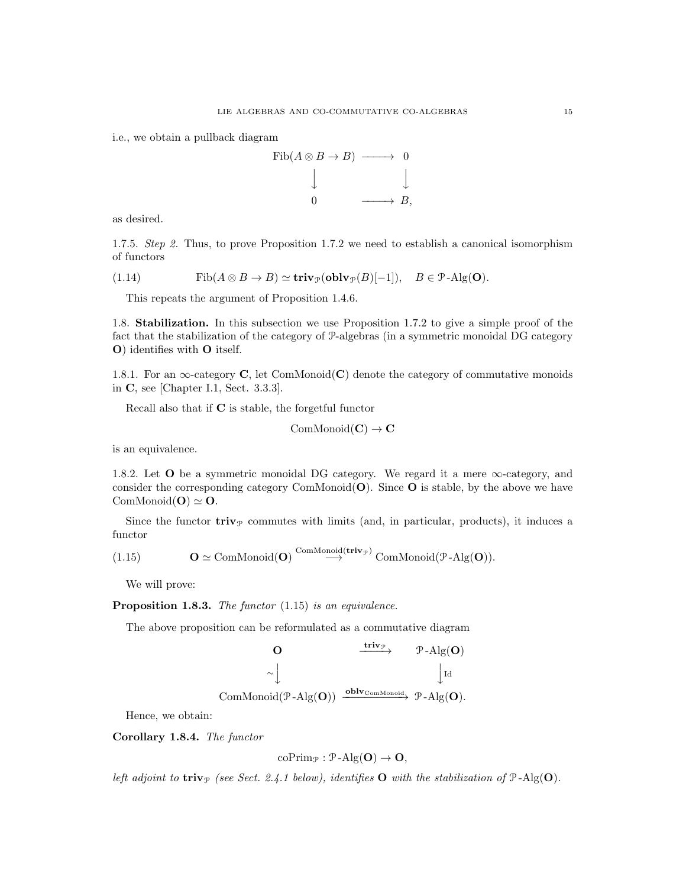i.e., we obtain a pullback diagram



as desired.

1.7.5. Step 2. Thus, to prove Proposition 1.7.2 we need to establish a canonical isomorphism of functors

(1.14) 
$$
\text{Fib}(A \otimes B \to B) \simeq \text{triv}_{\mathcal{P}}(\text{oblv}_{\mathcal{P}}(B)[-1]), \quad B \in \mathcal{P}\text{-Alg}(\mathbf{O}).
$$

This repeats the argument of Proposition 1.4.6.

1.8. Stabilization. In this subsection we use Proposition 1.7.2 to give a simple proof of the fact that the stabilization of the category of P-algebras (in a symmetric monoidal DG category O) identifies with O itself.

1.8.1. For an  $\infty$ -category C, let ComMonoid(C) denote the category of commutative monoids in C, see [Chapter I.1, Sect. 3.3.3].

Recall also that if C is stable, the forgetful functor

$$
\mathrm{ComMonoid}(\mathbf{C}) \to \mathbf{C}
$$

is an equivalence.

1.8.2. Let  $O$  be a symmetric monoidal DG category. We regard it a mere  $\infty$ -category, and consider the corresponding category ComMonoid $(O)$ . Since O is stable, by the above we have ComMonoid( $O$ )  $\simeq$  O.

Since the functor  $\mathbf{triv}_{\mathcal{P}}$  commutes with limits (and, in particular, products), it induces a functor

(1.15) 
$$
\mathbf{O} \simeq \text{ComMonoid}(\mathbf{O}) \stackrel{\text{ComMonoid}(\mathbf{triv}_{\mathcal{P}})}{\longrightarrow} \text{ComMonoid}(\mathcal{P}\text{-}\text{Alg}(\mathbf{O})).
$$

We will prove:

Proposition 1.8.3. The functor (1.15) is an equivalence.

The above proposition can be reformulated as a commutative diagram

$$
\begin{array}{ccc}\n\mathbf{O} & \xrightarrow{\mathbf{triv}_{\mathcal{P}}} & \mathcal{P}\text{-}\mathrm{Alg}(\mathbf{O}) \\
& \sim & \downarrow \mathrm{Id} \\
\mathrm{ComMonoid}(\mathcal{P}\text{-}\mathrm{Alg}(\mathbf{O})) & \xrightarrow{\mathbf{oblv}_{\mathrm{ComMonoid}}} & \mathcal{P}\text{-}\mathrm{Alg}(\mathbf{O}).\n\end{array}
$$

Hence, we obtain:

Corollary 1.8.4. The functor

$$
\mathrm{coPrim}_{\mathcal{P}}: \mathcal{P}\text{-}\mathrm{Alg}(O) \to O,
$$

left adjoint to triv<sub>P</sub> (see Sect. 2.4.1 below), identifies O with the stabilization of  $P$ -Alg(O).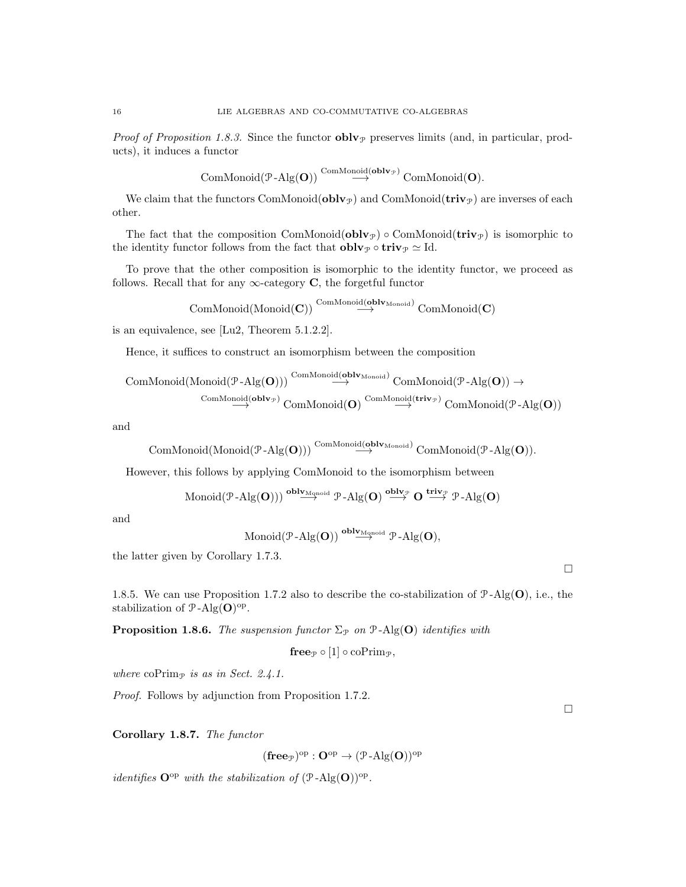*Proof of Proposition 1.8.3.* Since the functor  $\text{oblv}_{\mathcal{P}}$  preserves limits (and, in particular, products), it induces a functor

$$
\mathrm{ComMonoid}(\mathcal{P}\text{-}\mathrm{Alg}(\mathbf{O})) \overset{\mathrm{ComMonoid}(\mathbf{oblv}_{\mathcal{P}})}{\longrightarrow} \mathrm{ComMonoid}(\mathbf{O}).
$$

We claim that the functors ComMonoid( $\text{oblv}_{\mathcal{P}}$ ) and ComMonoid( $\text{triv}_{\mathcal{P}}$ ) are inverses of each other.

The fact that the composition ComMonoid( $oblv_{\mathcal{P}}$ ) ∘ ComMonoid( $\text{triv}_{\mathcal{P}}$ ) is isomorphic to the identity functor follows from the fact that  $\textbf{oblv}_{\mathcal{P}} \circ \textbf{triv}_{\mathcal{P}} \simeq \text{Id}.$ 

To prove that the other composition is isomorphic to the identity functor, we proceed as follows. Recall that for any  $\infty$ -category C, the forgetful functor

$$
\mathrm{ComMonoid}(\mathrm{Monoid}(\mathbf{C})) \overset{\mathrm{ComMonoid}(\mathbf{oblv}_{\mathrm{Monoid}})}{\longrightarrow} \mathrm{ComMonoid}(\mathbf{C})
$$

is an equivalence, see [Lu2, Theorem 5.1.2.2].

Hence, it suffices to construct an isomorphism between the composition

$$
\operatorname{ComMonoid}(\operatorname{Monoid}(\mathcal{P}\text{-}\mathrm{Alg}(\mathbf{O}))) \overset{\operatorname{ComMonoid}(\mathbf{oblv}_{\operatorname{Monoid}})}{\longrightarrow} \operatorname{ComMonoid}(\mathcal{P}\text{-}\mathrm{Alg}(\mathbf{O})) \rightarrow \\ \xrightarrow{\operatorname{ComMonoid}(\mathbf{oblv}_{\mathcal{P}})} \operatorname{ComMonoid}(\mathbf{O}) \overset{\operatorname{ComMonoid}(\mathbf{triv}_{\mathcal{P}})}{\longrightarrow} \operatorname{ComMonoid}(\mathcal{P}\text{-}\mathrm{Alg}(\mathbf{O}))
$$

and

$$
\mathrm{ComMonoid}(\mathrm{Monoid}(\mathcal{P}\text{-}\mathrm{Alg}(\mathbf{O})))\overset{\mathrm{ComMonoid}(\mathbf{oblv}_{\mathrm{Monoid}})}{\longrightarrow}\mathrm{ComMonoid}(\mathcal{P}\text{-}\mathrm{Alg}(\mathbf{O})).
$$

However, this follows by applying ComMonoid to the isomorphism between

$$
\operatorname{Monoid}(\mathcal{P}\text{-}\mathrm{Alg}(\mathbf{O})))\stackrel{\mathbf{oblv}_{\mathrm{Mapoid}}}{\longrightarrow}\mathcal{P}\text{-}\mathrm{Alg}(\mathbf{O})\stackrel{\mathbf{oblv}_{\mathcal{P}}}{\longrightarrow}\mathbf{O}\stackrel{\mathbf{triv}_{\mathcal{P}}}{\longrightarrow}\mathcal{P}\text{-}\mathrm{Alg}(\mathbf{O})
$$

and

$$
\text{Monoid}(\mathcal{P}\text{-}\mathrm{Alg}(\mathbf{O})) \stackrel{\text{oblv}_{\mathrm{Monoid}}}{\longrightarrow} \mathcal{P}\text{-}\mathrm{Alg}(\mathbf{O}),
$$

the latter given by Corollary 1.7.3.

1.8.5. We can use Proposition 1.7.2 also to describe the co-stabilization of  $\mathcal{P}\text{-}\mathrm{Alg}(\mathbf{O})$ , i.e., the stabilization of  $\mathcal{P}\text{-}\mathrm{Alg}(\mathbf{O})^{\text{op}}$ .

**Proposition 1.8.6.** The suspension functor  $\Sigma_{\mathcal{P}}$  on  $\mathcal{P}$ -Alg(O) identifies with

$$
\mathbf{free}_{\mathcal{P}}\circ [1]\circ \mathrm{coPrim}_{\mathcal{P}},
$$

where coPrim<sub>P</sub> is as in Sect. 2.4.1.

Proof. Follows by adjunction from Proposition 1.7.2.

Corollary 1.8.7. The functor

 $(\mathbf{free}_{\mathcal{P}})^\mathrm{op} : \mathbf{O}^\mathrm{op} \to (\mathcal{P}\text{-}\mathrm{Alg}(\mathbf{O}))^\mathrm{op}$ 

*identifies*  $\mathbf{O}^{\mathrm{op}}$  with the stabilization of  $(\mathcal{P}\text{-}\mathrm{Alg}(\mathbf{O}))^{\mathrm{op}}$ .

 $\Box$ 

 $\Box$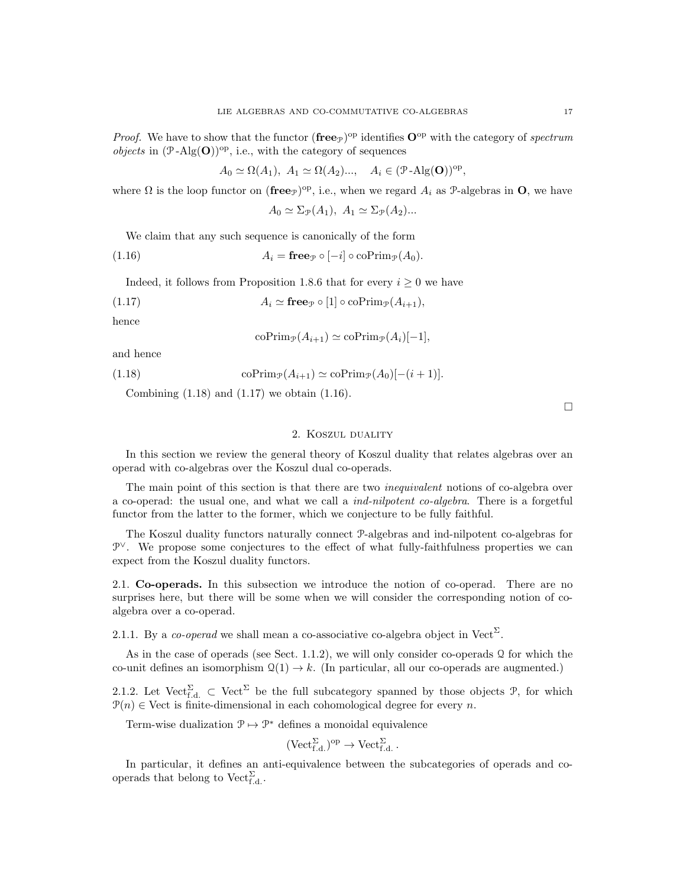*Proof.* We have to show that the functor  $(free_{\mathcal{P}})^{op}$  identifies  $O^{op}$  with the category of spectrum *objects* in  $(\mathcal{P} - \mathrm{Alg}(\mathbf{O}))^{\mathrm{op}}$ , i.e., with the category of sequences

$$
A_0 \simeq \Omega(A_1), \ A_1 \simeq \Omega(A_2) \dots, \quad A_i \in (\mathcal{P} - \mathrm{Alg}(\mathbf{O}))^{\mathrm{op}},
$$

where  $\Omega$  is the loop functor on (free<sub>P</sub>)<sup>op</sup>, i.e., when we regard  $A_i$  as P-algebras in O, we have

$$
A_0 \simeq \Sigma_{\mathcal{P}}(A_1), \ A_1 \simeq \Sigma_{\mathcal{P}}(A_2)...
$$

We claim that any such sequence is canonically of the form

(1.16) 
$$
A_i = \mathbf{free}_{\mathcal{P}} \circ [-i] \circ \mathrm{coPrim}_{\mathcal{P}}(A_0).
$$

Indeed, it follows from Proposition 1.8.6 that for every  $i \geq 0$  we have

(1.17) 
$$
A_i \simeq \mathbf{free}_{\mathcal{P}} \circ [1] \circ \mathrm{coPrim}_{\mathcal{P}}(A_{i+1}),
$$

hence

$$
\mathrm{coPrim}_{\mathcal{P}}(A_{i+1}) \simeq \mathrm{coPrim}_{\mathcal{P}}(A_i)[-1],
$$

and hence

(1.18) co $\text{Prim}_{\mathcal{P}}(A_{i+1}) \simeq \text{coPrim}_{\mathcal{P}}(A_0)[- (i+1)].$ 

Combining (1.18) and (1.17) we obtain (1.16).

#### 2. Koszul duality

In this section we review the general theory of Koszul duality that relates algebras over an operad with co-algebras over the Koszul dual co-operads.

The main point of this section is that there are two *inequivalent* notions of co-algebra over a co-operad: the usual one, and what we call a ind-nilpotent co-algebra. There is a forgetful functor from the latter to the former, which we conjecture to be fully faithful.

The Koszul duality functors naturally connect P-algebras and ind-nilpotent co-algebras for P<sup>∨</sup>. We propose some conjectures to the effect of what fully-faithfulness properties we can expect from the Koszul duality functors.

2.1. Co-operads. In this subsection we introduce the notion of co-operad. There are no surprises here, but there will be some when we will consider the corresponding notion of coalgebra over a co-operad.

2.1.1. By a *co-operad* we shall mean a co-associative co-algebra object in Vect<sup> $\Sigma$ </sup>.

As in the case of operads (see Sect. 1.1.2), we will only consider co-operads  $\Omega$  for which the co-unit defines an isomorphism  $\mathcal{Q}(1) \to k$ . (In particular, all our co-operads are augmented.)

2.1.2. Let  $Vect_{f,d.}^{\Sigma} \subset Vect^{\Sigma}$  be the full subcategory spanned by those objects  $\mathcal{P}$ , for which  $P(n) \in$  Vect is finite-dimensional in each cohomological degree for every n.

Term-wise dualization  $\mathcal{P} \mapsto \mathcal{P}^*$  defines a monoidal equivalence

$$
(\mathrm{Vect}_{f.d.}^{\Sigma})^{\mathrm{op}} \to \mathrm{Vect}_{f.d.}^{\Sigma}.
$$

In particular, it defines an anti-equivalence between the subcategories of operads and cooperads that belong to  $\mathrm{Vect}_{f.d.}^{\Sigma}$ .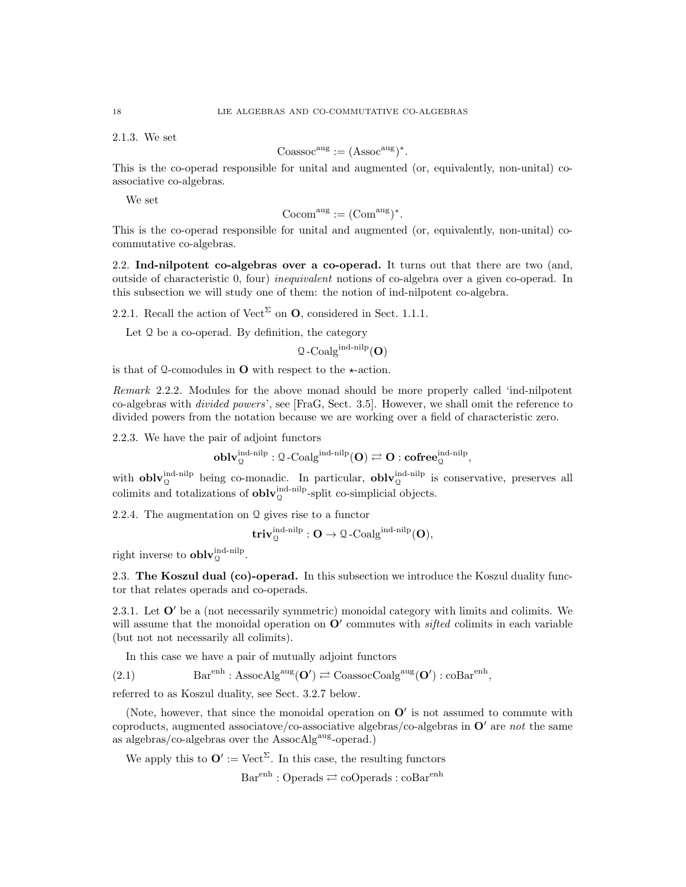2.1.3. We set

$$
Coassocaug := (Assocaug)*.
$$

This is the co-operad responsible for unital and augmented (or, equivalently, non-unital) coassociative co-algebras.

We set

$$
Cocom^{aug} := (Com^{aug})^*.
$$

This is the co-operad responsible for unital and augmented (or, equivalently, non-unital) cocommutative co-algebras.

2.2. Ind-nilpotent co-algebras over a co-operad. It turns out that there are two (and, outside of characteristic 0, four) inequivalent notions of co-algebra over a given co-operad. In this subsection we will study one of them: the notion of ind-nilpotent co-algebra.

2.2.1. Recall the action of Vect<sup> $\Sigma$ </sup> on **O**, considered in Sect. 1.1.1.

Let Q be a co-operad. By definition, the category

 $Q$ -Coalg<sup>ind-nilp</sup>(O)

is that of Q-comodules in  $O$  with respect to the  $\star$ -action.

Remark 2.2.2. Modules for the above monad should be more properly called 'ind-nilpotent co-algebras with divided powers', see [FraG, Sect. 3.5]. However, we shall omit the reference to divided powers from the notation because we are working over a field of characteristic zero.

2.2.3. We have the pair of adjoint functors

$$
\operatorname{\textbf{oblv}}_{\mathbb Q}^{\operatorname{ind-nilp}} : \mathbb Q\operatorname{-Coalg}^{\operatorname{ind-nilp}}(\mathbf O) \rightleftarrows \mathbf O: \operatorname{\textbf{cofree}}_{\mathbb Q}^{\operatorname{ind-nilp}},
$$

with **obly**  $\mu_0^{\text{ind-nilp}}$  being co-monadic. In particular, **obly**  $\mu_0^{\text{ind-nilp}}$  is conservative, preserves all colimits and totalizations of  $\textbf{oblv}_{\mathbb{Q}}^{\text{ind-nilp}}$ -split co-simplicial objects.

2.2.4. The augmentation on Q gives rise to a functor

$$
\mathbf{triv}^{\mathrm{ind-nilp}}_{\mathcal{Q}} : \mathbf{O} \to \mathbf{\mathcal{Q}}\text{-Coalg}^{\mathrm{ind-nilp}}(\mathbf{O}),
$$

right inverse to  $\textbf{oblv}_{\mathcal{Q}}^{\text{ind-nilp}}$ .

2.3. The Koszul dual (co)-operad. In this subsection we introduce the Koszul duality functor that relates operads and co-operads.

2.3.1. Let  $O'$  be a (not necessarily symmetric) monoidal category with limits and colimits. We will assume that the monoidal operation on  $O'$  commutes with *sifted* colimits in each variable (but not not necessarily all colimits).

In this case we have a pair of mutually adjoint functors

(2.1) 
$$
Barenh : AssocAlgaug(O') \rightleftarrows \text{CoassocCoalg}aug(O') : coBarenh,
$$

referred to as Koszul duality, see Sect. 3.2.7 below.

(Note, however, that since the monoidal operation on  $O'$  is not assumed to commute with coproducts, augmented associatove/co-associative algebras/co-algebras in  $\mathbf{O}'$  are not the same as algebras/co-algebras over the  $\text{AssocAlg}^{\text{aug}}$ -operad.)

We apply this to  $\mathbf{O}' := \text{Vect}^{\Sigma}$ . In this case, the resulting functors

 $Bar<sup>enh</sup> : Operads \rightleftarrows coOperads : coBar<sup>enh</sup>$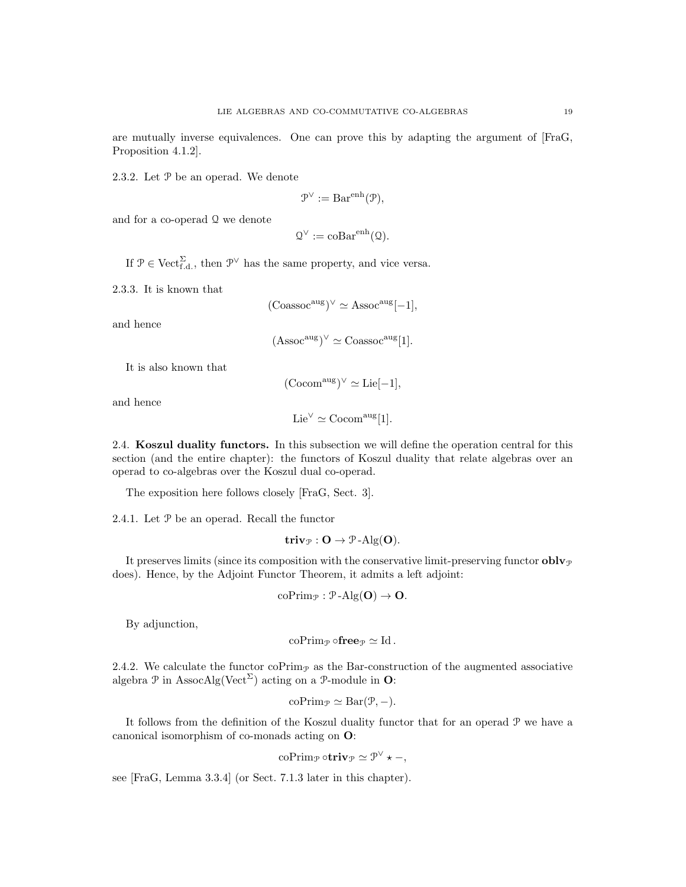are mutually inverse equivalences. One can prove this by adapting the argument of [FraG, Proposition 4.1.2].

2.3.2. Let P be an operad. We denote

$$
\mathcal{P}^{\vee} := \text{Bar}^{\text{enh}}(\mathcal{P}),
$$

and for a co-operad Q we denote

 $\mathcal{Q}^{\vee} := \mathrm{coBar}^{\mathrm{enh}}(\mathcal{Q}).$ 

If  $\mathcal{P} \in \text{Vect}_{f.d.}^{\Sigma}$ , then  $\mathcal{P}^{\vee}$  has the same property, and vice versa.

2.3.3. It is known that

$$
(\text{Coassoc}^{\text{aug}})^{\vee} \simeq \text{Assoc}^{\text{aug}}[-1],
$$

and hence

$$
(\operatorname{Assoc}^{\text{aug}})^{\vee} \simeq \operatorname{Coassoc}^{\text{aug}}[1].
$$

It is also known that

 $(\mathrm{Cocom}^{\mathrm{aug}})^{\vee} \simeq \mathrm{Lie}[-1],$ 

and hence

$$
Lie^{\vee} \simeq \mathrm{Cocom}^{\mathrm{aug}}[1].
$$

2.4. Koszul duality functors. In this subsection we will define the operation central for this section (and the entire chapter): the functors of Koszul duality that relate algebras over an operad to co-algebras over the Koszul dual co-operad.

The exposition here follows closely [FraG, Sect. 3].

2.4.1. Let P be an operad. Recall the functor

$$
\mathbf{triv}_{\mathcal{P}}: \mathbf{O} \to \mathcal{P}\text{-}\mathrm{Alg}(\mathbf{O}).
$$

It preserves limits (since its composition with the conservative limit-preserving functor  $\textbf{oblv}_{\mathcal{P}}$ does). Hence, by the Adjoint Functor Theorem, it admits a left adjoint:

coPrim<sub>$$
\mathcal{P}
$$</sub>:  $\mathcal{P}\text{-Alg}(\mathbf{O}) \to \mathbf{O}$ .

By adjunction,

$$
\mathrm{coPrim}_{\mathcal{P}} \circ \mathbf{free}_{\mathcal{P}} \simeq \mathrm{Id}.
$$

2.4.2. We calculate the functor  $\mathrm{coPrim}_{\mathcal{P}}$  as the Bar-construction of the augmented associative algebra  $\mathcal P$  in AssocAlg(Vect<sup> $\Sigma$ </sup>) acting on a  $\mathcal P$ -module in **O**:

$$
\mathrm{coPrim}_{\mathcal{P}} \simeq \mathrm{Bar}(\mathcal{P}, -).
$$

It follows from the definition of the Koszul duality functor that for an operad P we have a canonical isomorphism of co-monads acting on O:

$$
\mathrm{coPrim}_{\mathcal{P}} \circ \mathbf{triv}_{\mathcal{P}} \simeq \mathcal{P}^{\vee} \star -,
$$

see [FraG, Lemma 3.3.4] (or Sect. 7.1.3 later in this chapter).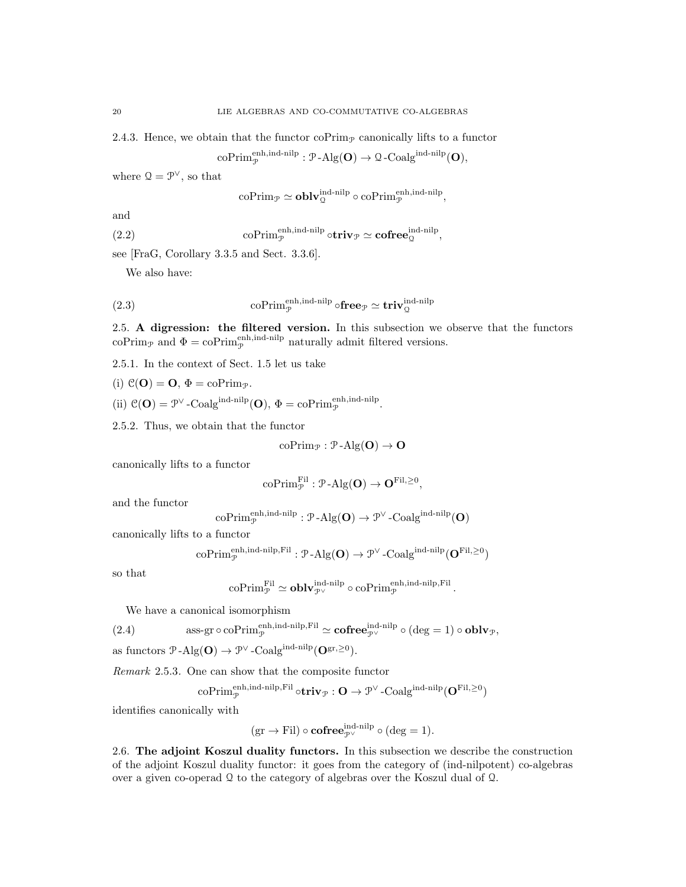2.4.3. Hence, we obtain that the functor  $\mathrm{coPrim}_{\mathcal{P}}$  canonically lifts to a functor

$$
\mathrm{coPrim}_{\mathcal{P}}^{\mathrm{enh}, \mathrm{ind\text{-}nilp}}: \mathcal{P}\text{-}\mathrm{Alg}(\mathbf{O}) \to \mathcal{Q}\text{-}\mathrm{Coalg}^{\mathrm{ind\text{-}nilp}}(\mathbf{O}),
$$

where  $Q = \mathcal{P}^{\vee}$ , so that

$$
\mathrm{coPrim}_{\mathcal{P}} \simeq \mathbf{oblv}_{\mathcal{Q}}^{\mathrm{ind-nilp}} \circ \mathrm{coPrim}_{\mathcal{P}}^{\mathrm{enh}, \mathrm{ind-nilp}}
$$

,

.

and

(2.2) coPrim<sub>p</sub><sup>enh,ind-nilp</sup> o
$$
\text{triv}_{\mathcal{P}} \simeq \text{cofree}_{\mathcal{Q}}^{\text{ind-nilp}},
$$

see [FraG, Corollary 3.3.5 and Sect. 3.3.6].

We also have:

(2.3) 
$$
\text{coPrim}_{\mathcal{P}}^{\text{enh,ind-nilp}} \circ \mathbf{free}_{\mathcal{P}} \simeq \mathbf{triv}_{\mathcal{Q}}^{\text{ind-nilp}}
$$

2.5. A digression: the filtered version. In this subsection we observe that the functors coPrim<sub>P</sub> and  $\Phi = \text{coPrim}_{\mathcal{P}}^{\text{enh,ind-nilp}}$  naturally admit filtered versions.

2.5.1. In the context of Sect. 1.5 let us take

(i)  $\mathcal{C}(\mathbf{O}) = \mathbf{O}, \Phi = \text{coPrim}_{\mathcal{P}}.$ 

(ii)  $\mathcal{C}(\mathbf{O}) = \mathcal{P}^{\vee}$ -Coalg<sup>ind-nilp</sup>(**O**),  $\Phi = \text{coPrim}_{\mathcal{P}}^{\text{enh,ind-nilp}}$ .

2.5.2. Thus, we obtain that the functor

$$
\mathrm{coPrim}_{\mathcal{P}} : \mathcal{P}\text{-}\mathrm{Alg}(\mathbf{O}) \to \mathbf{O}
$$

canonically lifts to a functor

$$
\mathrm{coPrim}_{\mathcal{P}}^{\mathrm{Fil}}: \mathcal{P}\text{-}\mathrm{Alg}(\mathbf{O}) \to \mathbf{O}^{\mathrm{Fil},\geq 0},
$$

and the functor

$$
\mathrm{coPrim}_{\mathcal{P}}^{\mathrm{enh}, \mathrm{ind\text{-}nilp}}: \mathcal{P}\text{-}\mathrm{Alg}(\mathbf{O}) \rightarrow \mathcal{P}^{\vee}\text{-}\mathrm{Coalg}^{\mathrm{ind\text{-}nilp}}(\mathbf{O})
$$

canonically lifts to a functor

$$
\mathrm{coPrim}_{\mathcal{P}}^{\mathrm{enh}, \mathrm{ind\text{-}nilp}, \mathrm{Fil}}: \mathcal{P}\text{-}\mathrm{Alg}(\mathbf{O}) \rightarrow \mathcal{P}^{\vee}\text{-}\mathrm{Coalg}^{\mathrm{ind\text{-}nilp}}(\mathbf{O}^{\mathrm{Fil}, \geq 0})
$$

so that

$$
\mathrm{coPrim}_{\mathcal{P}}^{\mathrm{Fil}} \simeq \mathbf{oblv}_{\mathcal{P}^\vee}^{\mathrm{ind-nilp}} \circ \mathrm{coPrim}_{\mathcal{P}}^{\mathrm{enh}, \mathrm{ind-nilp}, \mathrm{Fil}}
$$

We have a canonical isomorphism

(2.4) 
$$
\text{ass-gr}\circ \text{coPrim}_{\mathcal{P}}^{\text{enh}, \text{ind-nilp}, \text{Fil}} \simeq \text{cofree}_{\mathcal{P}^\vee}^{\text{ind-nilp}} \circ (\text{deg} = 1) \circ \text{oblv}_{\mathcal{P}},
$$

as functors  $\mathcal{P}\text{-Alg}(\mathbf{O}) \to \mathcal{P}^{\vee}\text{-Coalg}^{\text{ind-nilp}}(\mathbf{O}^{\text{gr},\geq 0}).$ 

Remark 2.5.3. One can show that the composite functor

$$
\mathrm{coPrim}_{\mathcal{P}}^{\mathrm{enh}, \mathrm{ind\text{-}nilp}, \mathrm{Fil}} \circ \mathbf{triv}_{\mathcal{P}}: \mathbf{O} \rightarrow \mathcal{P}^{\vee} \text{-Coalg}^{\mathrm{ind\text{-}nilp}}(\mathbf{O}^{\mathrm{Fil}, \geq 0})
$$

identifies canonically with

$$
(\text{gr} \to \text{Fil}) \circ \mathbf{cofree}_{\mathcal{P}^{\vee}}^{\text{ind-nilp}} \circ (\text{deg} = 1).
$$

2.6. The adjoint Koszul duality functors. In this subsection we describe the construction of the adjoint Koszul duality functor: it goes from the category of (ind-nilpotent) co-algebras over a given co-operad Q to the category of algebras over the Koszul dual of Q.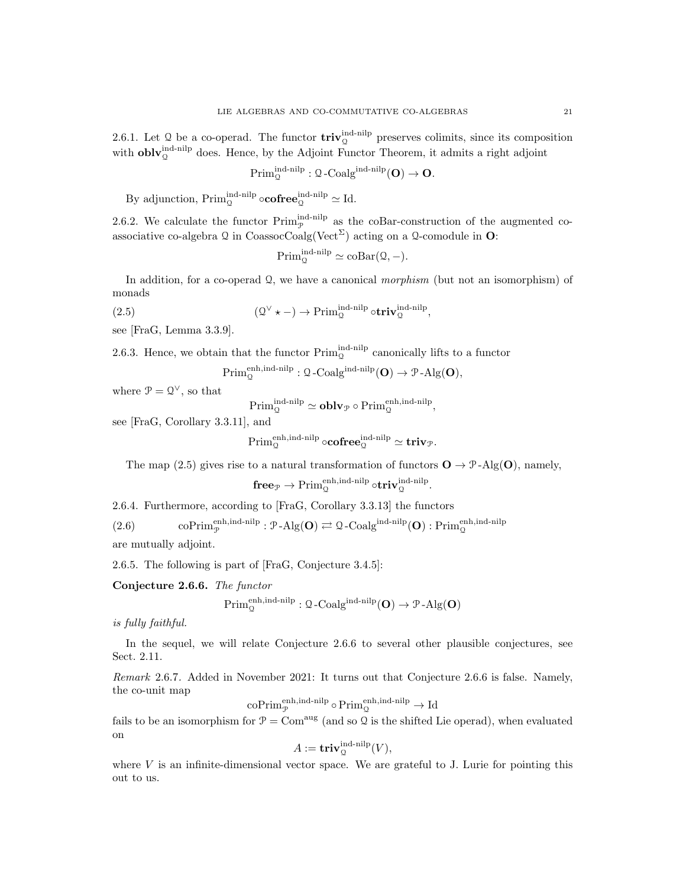2.6.1. Let Q be a co-operad. The functor  $\text{triv}_{\mathcal{Q}}^{\text{ind-nilp}}$  preserves colimits, since its composition with  $\textbf{oblv}_{\mathcal{Q}}^{\text{ind-nilp}}$  does. Hence, by the Adjoint Functor Theorem, it admits a right adjoint

$$
\mathrm{Prim}^{\mathrm{ind}\text{-nilp}}_{\mathcal{Q}} : \mathcal{Q}\text{-}\mathrm{Coalg}^{\mathrm{ind}\text{-nilp}}(\mathbf{O}) \to \mathbf{O}.
$$

By adjunction,  $\text{Prim}_{\mathcal{Q}}^{\text{ind-nilp}} \circ \mathbf{cofree}_{\mathcal{Q}}^{\text{ind-nilp}} \simeq \text{Id}.$ 

2.6.2. We calculate the functor  $\text{Prim}_{\mathcal{P}}^{\text{ind-nilp}}$  as the coBar-construction of the augmented coassociative co-algebra  $\mathcal Q$  in CoassocCoalg(Vect<sup> $\Sigma$ </sup>) acting on a  $\mathcal Q$ -comodule in **O**:

$$
\mathrm{Prim}_{\mathbb{Q}}^{\mathrm{ind\text{-}nilp}} \simeq \mathrm{coBar}(\mathbb{Q}, -).
$$

In addition, for a co-operad  $\Omega$ , we have a canonical *morphism* (but not an isomorphism) of monads

$$
(\mathcal{Q}^{\vee} \star -) \to \operatorname{Prim}^{\operatorname{ind-nilp}}_{\mathcal{Q}} \circ \mathbf{triv}^{\operatorname{ind-nilp}}_{\mathcal{Q}},
$$

see [FraG, Lemma 3.3.9].

 $(2.5)$ 

2.6.3. Hence, we obtain that the functor  $\text{Prim}_{\mathcal{Q}}^{\text{ind-nilp}}$  canonically lifts to a functor

 $\text{Prim}_{\mathcal{Q}}^{\text{enh},\text{ind-nilp}}: \mathcal{Q}\text{-}\text{Coalg}^{\text{ind-nilp}}(\mathbf{O}) \to \mathcal{P}\text{-}\text{Alg}(\mathbf{O}),$ 

where  $\mathcal{P} = \mathcal{Q}^{\vee}$ , so that

 $\mathrm{Prim}_{\mathbb{Q}}^{\mathrm{ind-nilp}} \simeq \mathbf{oblv}_{\mathcal{P}} \circ \mathrm{Prim}_{\mathbb{Q}}^{\mathrm{enh},\mathrm{ind-nilp}},$ 

see [FraG, Corollary 3.3.11], and

 $\operatorname{Prim}^{\operatorname{enh,ind-nilp}}_{\mathbb Q} \circ \mathbf{cofree}^{\operatorname{ind-nilp}}_{\mathbb Q} \simeq \mathbf{triv}_{\mathcal P}.$ 

The map (2.5) gives rise to a natural transformation of functors  $\mathbf{O} \to \mathcal{P}$ -Alg( $\mathbf{O}$ ), namely,

$$
\mathbf{free}_{\mathcal{P}}\rightarrow\operatorname{Prim}_{\mathcal{Q}}^{\operatorname{enh,ind-nilp}}\circ\mathbf{triv}^{\operatorname{ind-nilp}}_{\mathcal{Q}}.
$$

2.6.4. Furthermore, according to [FraG, Corollary 3.3.13] the functors

(2.6) coPrim $_{\mathcal{P}}^{\text{enh,ind-nilp}}$ : P-Alg(**O**)  $\rightleftharpoons$  Q-Coalg<sup>ind-nilp</sup>(**O**) : Prim<sub>Q</sub><sup>enh,ind-nilp</sup>

are mutually adjoint.

2.6.5. The following is part of [FraG, Conjecture 3.4.5]:

Conjecture 2.6.6. The functor

$$
\operatorname{Prim}^{\operatorname{enh,ind-nilp}}_{\mathfrak{Q}}:\mathfrak{Q}\text{-}\mathrm{Coalg}^{\operatorname{ind-nilp}}(\mathbf{O})\to\mathfrak{P}\text{-}\mathrm{Alg}(\mathbf{O})
$$

is fully faithful.

In the sequel, we will relate Conjecture 2.6.6 to several other plausible conjectures, see Sect. 2.11.

Remark 2.6.7. Added in November 2021: It turns out that Conjecture 2.6.6 is false. Namely, the co-unit map

$$
\mathrm{coPrim}_{\mathcal{P}}^{\mathrm{enh},\mathrm{ind\text{-}nilp}}\circ\mathrm{Prim}_{\mathcal{Q}}^{\mathrm{enh},\mathrm{ind\text{-}nilp}}\to\mathrm{Id}
$$

fails to be an isomorphism for  $\mathcal{P} = \text{Com}^{\text{aug}}$  (and so  $\mathcal{Q}$  is the shifted Lie operad), when evaluated on

$$
A := \mathbf{triv}_{\mathcal{Q}}^{\text{ind-nilp}}(V),
$$

where  $V$  is an infinite-dimensional vector space. We are grateful to J. Lurie for pointing this out to us.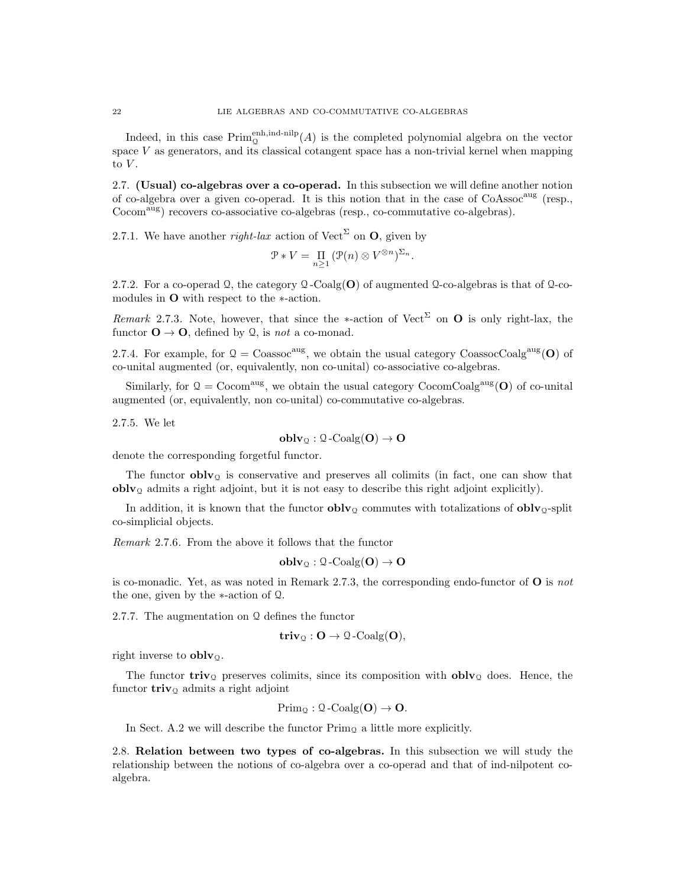Indeed, in this case  $\text{Prim}_{\mathcal{Q}}^{\text{enh,ind-nilp}}(A)$  is the completed polynomial algebra on the vector space  $V$  as generators, and its classical cotangent space has a non-trivial kernel when mapping to  $V$ .

2.7. (Usual) co-algebras over a co-operad. In this subsection we will define another notion of co-algebra over a given co-operad. It is this notion that in the case of CoAssoc<sup>aug</sup> (resp., Cocom<sup>aug</sup>) recovers co-associative co-algebras (resp., co-commutative co-algebras).

2.7.1. We have another *right-lax* action of Vect<sup> $\Sigma$ </sup> on **O**, given by

$$
\mathcal{P} * V = \prod_{n \geq 1} (\mathcal{P}(n) \otimes V^{\otimes n})^{\Sigma_n}.
$$

2.7.2. For a co-operad  $\mathcal{Q}$ , the category  $\mathcal{Q}$ -Coalg(O) of augmented  $\mathcal{Q}$ -co-algebras is that of  $\mathcal{Q}$ -comodules in O with respect to the ∗-action.

Remark 2.7.3. Note, however, that since the \*-action of Vect<sup>Σ</sup> on **O** is only right-lax, the functor  $\mathbf{O} \to \mathbf{O}$ , defined by  $\mathcal{Q}$ , is not a co-monad.

2.7.4. For example, for  $Q = \text{Coassoc}^{\text{aug}}$ , we obtain the usual category CoassocCoalg<sup>aug</sup>(O) of co-unital augmented (or, equivalently, non co-unital) co-associative co-algebras.

Similarly, for  $\mathcal{Q} = \text{Cocom}^{\text{aug}}$ , we obtain the usual category  $\text{CocomCoalg}^{\text{aug}}(\mathbf{O})$  of co-unital augmented (or, equivalently, non co-unital) co-commutative co-algebras.

2.7.5. We let

$$
\mathbf{oblv}_\mathfrak{Q} : \mathfrak{Q}\text{-}\mathrm{Coalg}(O) \to O
$$

denote the corresponding forgetful functor.

The functor  $\textbf{oblv}_{\Omega}$  is conservative and preserves all colimits (in fact, one can show that  $oblv<sub>Q</sub>$  admits a right adjoint, but it is not easy to describe this right adjoint explicitly).

In addition, it is known that the functor  $\bf{oblv}_Q$  commutes with totalizations of  $\bf{oblv}_Q$ -split co-simplicial objects.

Remark 2.7.6. From the above it follows that the functor

$$
\mathbf{oblv}_{\mathfrak{Q}}: \mathfrak{Q}\text{-}\mathrm{Coalg}(\mathbf{O}) \to \mathbf{O}
$$

is co-monadic. Yet, as was noted in Remark 2.7.3, the corresponding endo-functor of  $\bf{O}$  is not the one, given by the ∗-action of Q.

2.7.7. The augmentation on Q defines the functor

$$
\mathbf{triv}_{\mathfrak{Q}}: \mathbf{O} \rightarrow \mathfrak{Q}\text{-Coalg}(\mathbf{O}),
$$

right inverse to  $oblv<sub>Q</sub>$ .

The functor **triv**<sub>Q</sub> preserves colimits, since its composition with **oblv**<sub>Q</sub> does. Hence, the functor  $\mathbf{triv}_\mathcal{Q}$  admits a right adjoint

$$
\mathrm{Prim}_{\mathfrak{Q}} : \mathfrak{Q}\text{-}\mathrm{Coalg}(\mathbf{O}) \to \mathbf{O}.
$$

In Sect. A.2 we will describe the functor  $\text{Prim}_{\Omega}$  a little more explicitly.

2.8. Relation between two types of co-algebras. In this subsection we will study the relationship between the notions of co-algebra over a co-operad and that of ind-nilpotent coalgebra.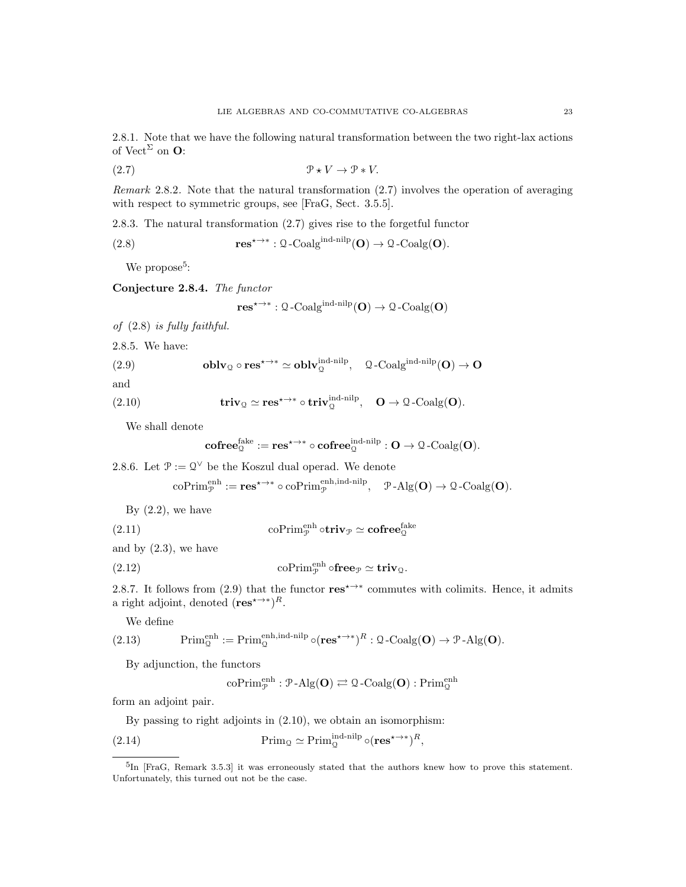2.8.1. Note that we have the following natural transformation between the two right-lax actions of  $Vect^{\Sigma}$  on **O**:

(2.7) P ? V → P ∗ V.

Remark 2.8.2. Note that the natural transformation (2.7) involves the operation of averaging with respect to symmetric groups, see [FraG, Sect. 3.5.5].

2.8.3. The natural transformation (2.7) gives rise to the forgetful functor

(2.8) 
$$
\mathbf{res}^{\star \to \ast}: \mathbf{Q}\text{-Coalg}^{\text{ind-nilp}}(\mathbf{O}) \to \mathbf{Q}\text{-Coalg}(\mathbf{O}).
$$

We propose<sup>5</sup>:

Conjecture 2.8.4. The functor

$$
\mathbf{res}^{\star \rightarrow *} : \mathfrak{Q}\text{-}\mathrm{Coalg}^{\mathrm{ind-nilp}}(\mathbf{O}) \rightarrow \mathfrak{Q}\text{-}\mathrm{Coalg}(\mathbf{O})
$$

of (2.8) is fully faithful.

2.8.5. We have:

(2.9) **oblv**<sub>Q</sub> 
$$
\circ
$$
 **res** <sup>$\star \to \ast$</sup>   $\simeq$  **oblv**<sub>Q</sub><sup>ind-nilp</sup>,  $Q$ -Coalg<sup>ind-nilp</sup>(**O**)  $\to$  **O**

and

(2.10) 
$$
\mathbf{triv}_{\mathcal{Q}} \simeq \mathbf{res}^{ \star \to * } \circ \mathbf{triv}_{\mathcal{Q}}^{\text{ind-nilp}}, \quad \mathbf{O} \to \mathcal{Q}\text{-Coalg}(\mathbf{O}).
$$

We shall denote

$$
\mathbf{cofree}_{\mathfrak{Q}}^{\mathsf{fake}}:=\mathbf{res}^{\star\rightarrow\ast}\circ\mathbf{cofree}_{\mathfrak{Q}}^{\mathsf{ind-nilp}}:\mathbf{O}\rightarrow\mathfrak{Q}\text{-}\mathrm{Coalg}(\mathbf{O}).
$$

2.8.6. Let  $\mathcal{P} := \mathcal{Q}^{\vee}$  be the Koszul dual operad. We denote

$$
\mathrm{coPrim}_{\mathcal{P}}^{\mathrm{enh}}:=\mathbf{res}^{\star\to\ast}\circ\mathrm{coPrim}_{\mathcal{P}}^{\mathrm{enh},\mathrm{ind\text{-}nilp}},\quad \mathcal{P}\text{-}\mathrm{Alg}(\mathbf{O})\to \mathcal{Q}\text{-}\mathrm{Coalg}(\mathbf{O}).
$$

By  $(2.2)$ , we have

(2.11) 
$$
\operatorname{coPrim}_{\mathcal{P}}^{\text{enh}} \circ \operatorname{triv}_{\mathcal{P}} \simeq \operatorname{cofree}_{\mathcal{Q}}^{\text{fake}}
$$

and by (2.3), we have

(2.12) 
$$
\operatorname{coPrim}_{\mathcal{P}}^{\text{enh}} \circ \mathbf{free}_{\mathcal{P}} \simeq \mathbf{triv}_{\mathcal{Q}}.
$$

2.8.7. It follows from (2.9) that the functor  $\text{res}^{\star\to\ast}$  commutes with colimits. Hence, it admits a right adjoint, denoted  $(res^{*\rightarrow})^R$ .

We define

(2.13) 
$$
\text{Prim}_{\mathcal{Q}}^{\text{enh}} := \text{Prim}_{\mathcal{Q}}^{\text{enh}, \text{ind-nilp}} \circ (\text{res}^{\star \to \ast})^R : \mathcal{Q} - \text{Coalg}(\mathbf{O}) \to \mathcal{P} - \text{Alg}(\mathbf{O}).
$$

By adjunction, the functors

$$
\mathrm{coPrim}_{\mathcal{P}}^{\mathrm{enh}}: \mathcal{P}\text{-}\mathrm{Alg}(\mathbf{O}) \rightleftarrows \mathcal{Q}\text{-}\mathrm{Coalg}(\mathbf{O}): \mathrm{Prim}_{\mathcal{Q}}^{\mathrm{enh}}
$$

form an adjoint pair.

By passing to right adjoints in (2.10), we obtain an isomorphism:

(2.14) 
$$
\text{Prim}_{\mathcal{Q}} \simeq \text{Prim}_{\mathcal{Q}}^{\text{ind-nilp}} \circ (\text{res}^{\star \to *})^R,
$$

<sup>&</sup>lt;sup>5</sup>In [FraG, Remark 3.5.3] it was erroneously stated that the authors knew how to prove this statement. Unfortunately, this turned out not be the case.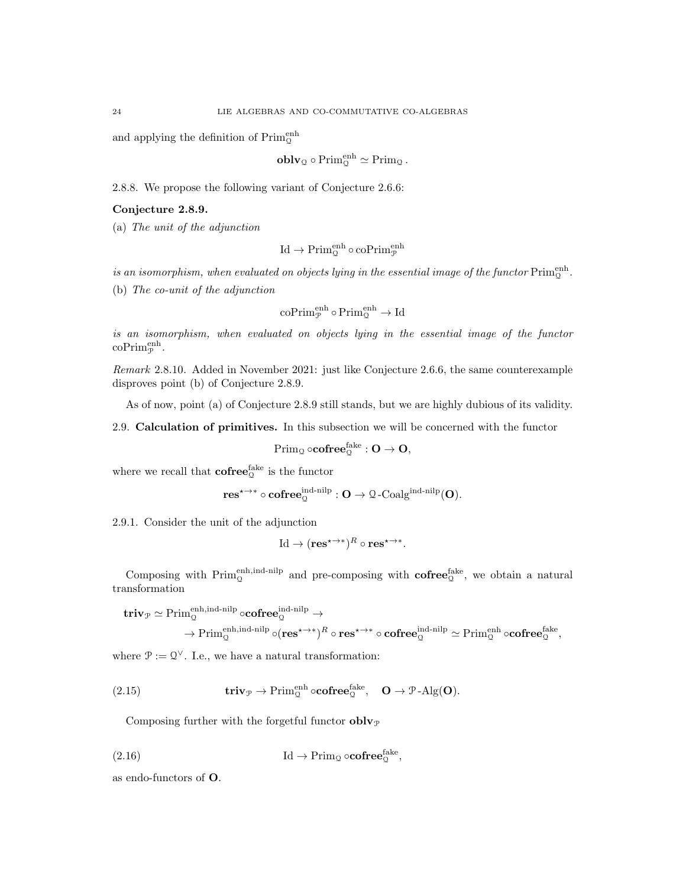and applying the definition of  $\mathrm{Prim}^{\mathrm{enh}}_{\mathbb{Q}}$ 

$$
\mathbf{oblv}_{\mathbf{Q}} \circ \mathrm{Prim}_{\mathbf{Q}}^{\mathrm{enh}} \simeq \mathrm{Prim}_{\mathbf{Q}}.
$$

2.8.8. We propose the following variant of Conjecture 2.6.6:

## Conjecture 2.8.9.

(a) The unit of the adjunction

$$
\mathrm{Id}\to\mathrm{Prim}_{\mathbb{Q}}^{\mathrm{enh}}\circ\mathrm{coPrim}_{\mathcal{P}}^{\mathrm{enh}}
$$

is an isomorphism, when evaluated on objects lying in the essential image of the functor  $\operatorname{Prim}^{\operatorname{enh}}_{\mathfrak Q}.$ 

(b) The co-unit of the adjunction

$$
\mathrm{coPrim}_{\mathcal{P}}^{\mathrm{enh}}\circ \mathrm{Prim}_{\mathcal{Q}}^{\mathrm{enh}}\rightarrow \mathrm{Id}
$$

is an isomorphism, when evaluated on objects lying in the essential image of the functor  $\mathrm{coPrim}_{\mathcal{P}}^{\mathrm{enh}}.$ 

Remark 2.8.10. Added in November 2021: just like Conjecture 2.6.6, the same counterexample disproves point (b) of Conjecture 2.8.9.

As of now, point (a) of Conjecture 2.8.9 still stands, but we are highly dubious of its validity.

2.9. Calculation of primitives. In this subsection we will be concerned with the functor

$$
\operatorname{Prim}_{\mathbb{Q}}\circ\operatorname{\mathbf{cofree}}^{\operatorname{fake}}_{\mathbb{Q}}:\mathbf{O}\rightarrow\mathbf{O},
$$

where we recall that  $\mathbf{cofree}_{\mathbb{Q}}^{\mathsf{fake}}$  is the functor

$$
\textnormal{res}^{\star \rightarrow \ast} \circ \textnormal{cofree}_{\mathbb{Q}}^{\textnormal{ind-nilp}}: \mathbf{O} \rightarrow \mathbf{\Omega}\textnormal{-}\textnormal{Coalg}^{\textnormal{ind-nilp}}(\mathbf{O}).
$$

2.9.1. Consider the unit of the adjunction

$$
\mathrm{Id} \to (\mathbf{res}^{\star \to *})^R \circ \mathbf{res}^{\star \to *}.
$$

Composing with  $\text{Prim}_{\mathcal{Q}}^{\text{enh,ind-nilp}}$  and pre-composing with  $\text{cofree}_{\mathcal{Q}}^{\text{fake}}$ , we obtain a natural transformation

$$
\begin{aligned} \mathbf{triv}_{\mathcal{P}} &\simeq \mathrm{Prim}_{\mathbb{Q}}^{\mathrm{enh},\mathrm{ind}\text{-nilp}} \circ\mathrm{\mathbf{cofree}}_{\mathbb{Q}}^{\mathrm{ind}\text{-nilp}} \rightarrow \\ &\to \mathrm{Prim}_{\mathbb{Q}}^{\mathrm{enh},\mathrm{ind}\text{-nilp}} \circ(\mathrm{\mathbf{res}}^{\star\to *})^R \circ \mathrm{\mathbf{res}}^{\star\to *} \circ \mathrm{\mathbf{cofree}}_{\mathbb{Q}}^{\mathrm{ind}\text{-nilp}} \simeq \mathrm{Prim}_{\mathbb{Q}}^{\mathrm{enh}} \circ\mathrm{\mathbf{cofree}}_{\mathbb{Q}}^{\mathrm{fake}}, \end{aligned}
$$

where  $\mathcal{P} := \mathcal{Q}^{\vee}$ . I.e., we have a natural transformation:

(2.15) 
$$
\mathbf{triv}_{\mathcal{P}} \to \operatorname{Prim}_{\mathcal{Q}}^{\operatorname{enh}} \circ \mathbf{cofree}_{\mathcal{Q}}^{\operatorname{fake}}, \quad \mathbf{O} \to \mathcal{P}\text{-Alg}(\mathbf{O}).
$$

Composing further with the forgetful functor  $\textbf{oblv}_{\mathcal{P}}$ 

(2.16) 
$$
\mathrm{Id} \to \mathrm{Prim}_{\mathfrak{Q}} \circ \mathbf{cofree}_{\mathfrak{Q}}^{\mathrm{fake}},
$$

as endo-functors of O.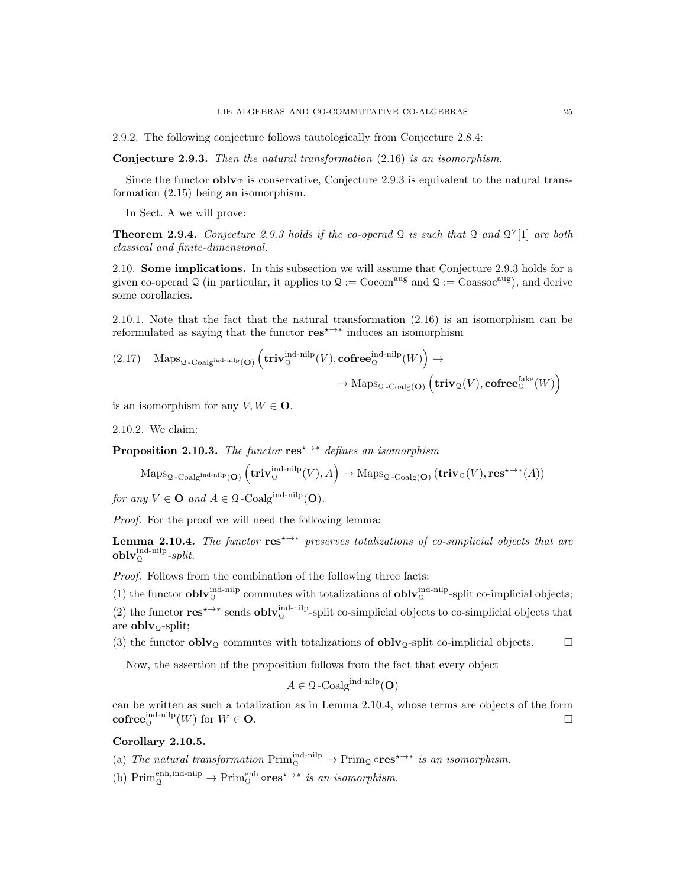2.9.2. The following conjecture follows tautologically from Conjecture 2.8.4:

Conjecture 2.9.3. Then the natural transformation  $(2.16)$  is an isomorphism.

Since the functor **obly** is conservative, Conjecture 2.9.3 is equivalent to the natural transformation (2.15) being an isomorphism.

In Sect. A we will prove:

**Theorem 2.9.4.** Conjecture 2.9.3 holds if the co-operad Q is such that Q and  $Q^{\vee}[1]$  are both classical and finite-dimensional.

2.10. Some implications. In this subsection we will assume that Conjecture 2.9.3 holds for a given co-operad Q (in particular, it applies to  $\mathcal{Q} := \text{Cocom}^{\text{aug}}$  and  $\mathcal{Q} := \text{Coassoc}^{\text{aug}}$ ), and derive some corollaries.

2.10.1. Note that the fact that the natural transformation (2.16) is an isomorphism can be reformulated as saying that the functor  $res^* \rightarrow^*$  induces an isomorphism

$$
(2.17) \quad \operatorname{Maps}_{\mathcal{Q}\text{-}\mathrm{Coalg}^{\mathrm{ind}\text{-}\mathrm{nilp}}(\mathbf{O})}\left(\mathbf{triv}_{\mathcal{Q}}^{\mathrm{ind}\text{-}\mathrm{nilp}}(V),\mathbf{cofree}_{\mathcal{Q}}^{\mathrm{ind}\text{-}\mathrm{nilp}}(W)\right)\to \\ \rightarrow \operatorname{Maps}_{\mathcal{Q}\text{-}\mathrm{Coalg}(\mathbf{O})}\left(\mathbf{triv}_{\mathcal{Q}}(V),\mathbf{cofree}_{\mathcal{Q}}^{\mathrm{fake}}(W)\right)
$$

is an isomorphism for any  $V, W \in \mathbf{O}$ .

2.10.2. We claim:

**Proposition 2.10.3.** The functor  $res^{x\rightarrow*}$  defines an isomorphism

$$
\mathrm{Maps}_{\mathfrak{Q}\text{-}\mathrm{Coalg}^{\mathrm{ind}\text{-}\mathrm{nilp}}(\mathbf{O})}\left(\mathbf{triv}^{\mathrm{ind}\text{-}\mathrm{nilp}}_{\mathfrak{Q}}(V),A\right)\rightarrow\mathrm{Maps}_{\mathfrak{Q}\text{-}\mathrm{Coalg}(\mathbf{O})}\left(\mathbf{triv}_{\mathfrak{Q}}(V),\mathbf{res}^{\star\rightarrow\ast}(A)\right)
$$

for any  $V \in \mathbf{O}$  and  $A \in \mathcal{Q}$ -Coalg<sup>ind-nilp</sup>(**O**).

Proof. For the proof we will need the following lemma:

**Lemma 2.10.4.** The functor  $res^{\star \rightarrow *}$  preserves totalizations of co-simplicial objects that are  $\textbf{oblv}^{\text{ind-nilp}}_{\mathfrak{Q}}\textit{-split}.$ 

Proof. Follows from the combination of the following three facts:

(1) the functor  $\textbf{oblv}_{\mathcal{Q}}^{\text{ind-nilp}}$  commutes with totalizations of  $\textbf{oblv}_{\mathcal{Q}}^{\text{ind-nilp}}$ -split co-implicial objects; (2) the functor  $res^{x\to *}$  sends  $oblv_{\mathcal{Q}}^{\text{ind-nilp}}$ -split co-simplicial objects to co-simplicial objects that are  $oblv_{\mathcal{Q}}$ -split;

(3) the functor **oblv**<sub>Q</sub> commutes with totalizations of **oblv**<sub>Q</sub>-split co-implicial objects.  $\square$ 

Now, the assertion of the proposition follows from the fact that every object

$$
A \in \mathcal{Q}\text{-Coalg}^{\text{ind-nilp}}(\mathbf{O})
$$

can be written as such a totalization as in Lemma 2.10.4, whose terms are objects of the form  $\mathbf{cofree}_{\mathcal{Q}}^{\mathbf{ind}\text{-nilp}}(W)$  for  $W \in \mathbf{O}$ .

### Corollary 2.10.5.

(a) The natural transformation  $\text{Prim}_{\mathcal{Q}}^{\text{ind-nilp}} \to \text{Prim}_{\mathcal{Q}} \circ \text{res}^{* \to *}$  is an isomorphism.

(b)  $\text{Prim}_{\mathcal{Q}}^{\text{enh,ind-nilp}} \to \text{Prim}_{\mathcal{Q}}^{\text{enh}} \circ \text{res}^{ \star \to * } \text{ is an isomorphism.}$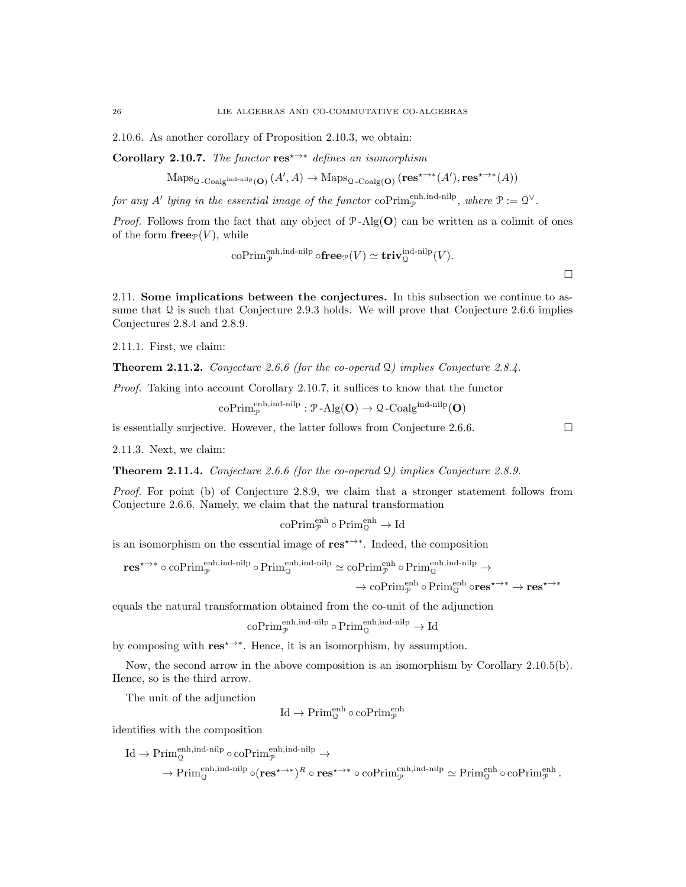2.10.6. As another corollary of Proposition 2.10.3, we obtain:

Corollary 2.10.7. The functor res<sup> $\leftrightarrow$ \*</sup> defines an isomorphism

 $\operatorname{Maps}_{\mathcal{Q}\text{-}\mathrm{Coalg}^{\text{ind-nilp}}(\mathbf{O})}(A',A)\to\operatorname{Maps}_{\mathcal{Q}\text{-}\mathrm{Coalg}(\mathbf{O})}(\mathbf{res}^{\star\to*}(A'),\mathbf{res}^{\star\to*}(A))$ 

for any A' lying in the essential image of the functor  $\mathrm{coPrim}_{\mathcal{P}}^{\mathrm{enh,ind-nilp}}$ , where  $\mathcal{P} := \mathcal{Q}^{\vee}$ .

*Proof.* Follows from the fact that any object of  $P$ -Alg(O) can be written as a colimit of ones of the form  ${\bf free}_{\mathcal{P}}(V)$ , while

$$
\operatorname{coPrim}_{\mathcal{P}}^{\operatorname{enh,ind-nilp}} \circ \operatorname{free}_{\mathcal{P}}(V) \simeq \operatorname{triv}_{\mathcal{Q}}^{\operatorname{ind-nilp}}(V).
$$

2.11. Some implications between the conjectures. In this subsection we continue to assume that  $\Omega$  is such that Conjecture 2.9.3 holds. We will prove that Conjecture 2.6.6 implies Conjectures 2.8.4 and 2.8.9.

2.11.1. First, we claim:

**Theorem 2.11.2.** Conjecture 2.6.6 (for the co-operad  $\Omega$ ) implies Conjecture 2.8.4.

Proof. Taking into account Corollary 2.10.7, it suffices to know that the functor

 $\mathrm{coPrim}_{\mathcal{P}}^{\mathrm{enh},\mathrm{ind-nilp}}: \mathcal{P}\text{-}\mathrm{Alg}(\mathbf{O}) \rightarrow \mathcal{Q}\text{-}\mathrm{Coalg}^{\mathrm{ind-nilp}}(\mathbf{O})$ 

is essentially surjective. However, the latter follows from Conjecture 2.6.6.  $\Box$ 

2.11.3. Next, we claim:

**Theorem 2.11.4.** Conjecture 2.6.6 (for the co-operad  $\Omega$ ) implies Conjecture 2.8.9.

Proof. For point (b) of Conjecture 2.8.9, we claim that a stronger statement follows from Conjecture 2.6.6. Namely, we claim that the natural transformation

$$
\mathrm{coPrim}_{\mathcal{P}}^{\mathrm{enh}}\circ \mathrm{Prim}_{\mathcal{Q}}^{\mathrm{enh}}\rightarrow \mathrm{Id}
$$

is an isomorphism on the essential image of  $res^{\star \rightarrow *}$ . Indeed, the composition

$$
\mathbf{res}^{\star \to \ast} \circ \operatorname{coPrim}_{\mathcal{P}}^{\operatorname{enh,ind-nilp}} \circ \operatorname{Prim}_{\mathcal{Q}}^{\operatorname{enh,ind-nilp}} \simeq \operatorname{coPrim}_{\mathcal{P}}^{\operatorname{enh}} \circ \operatorname{Prim}_{\mathcal{Q}}^{\operatorname{enh,ind-nilp}} \to \\ \to \operatorname{coPrim}_{\mathcal{P}}^{\operatorname{enh}} \circ \operatorname{Prim}_{\mathcal{Q}}^{\operatorname{enh}} \circ \operatorname{res}^{\star \to \ast} \to \operatorname{res}^{\star \to \ast}
$$

equals the natural transformation obtained from the co-unit of the adjunction

$$
\mathrm{coPrim}_{\mathcal{P}}^{\mathrm{enh}, \mathrm{ind\text{-}nilp}} \circ \mathrm{Prim}_{\mathcal{Q}}^{\mathrm{enh}, \mathrm{ind\text{-}nilp}} \to \mathrm{Id}
$$

by composing with  $res^* \rightarrow^*$ . Hence, it is an isomorphism, by assumption.

Now, the second arrow in the above composition is an isomorphism by Corollary 2.10.5(b). Hence, so is the third arrow.

The unit of the adjunction

 $\text{Id} \to \text{Prim}_{\mathcal{Q}}^{\text{enh}} \circ \text{coPrim}_{\mathcal{P}}^{\text{enh}}$ 

identifies with the composition

$$
\mathrm{Id} \to \mathrm{Prim}_{\mathbb{Q}}^{\mathrm{enh}, \mathrm{ind}\text{-nilp}} \circ \mathrm{coPrim}_{\mathcal{P}}^{\mathrm{enh}, \mathrm{ind}\text{-nilp}} \to \\ \to \mathrm{Prim}_{\mathbb{Q}}^{\mathrm{enh}, \mathrm{ind}\text{-nilp}} \circ (\mathbf{res}^{\star \to *})^R \circ \mathbf{res}^{\star \to *} \circ \mathrm{coPrim}_{\mathcal{P}}^{\mathrm{enh}, \mathrm{ind}\text{-nilp}} \simeq \mathrm{Prim}_{\mathbb{Q}}^{\mathrm{enh}} \circ \mathrm{coPrim}_{\mathcal{P}}^{\mathrm{enh}}.
$$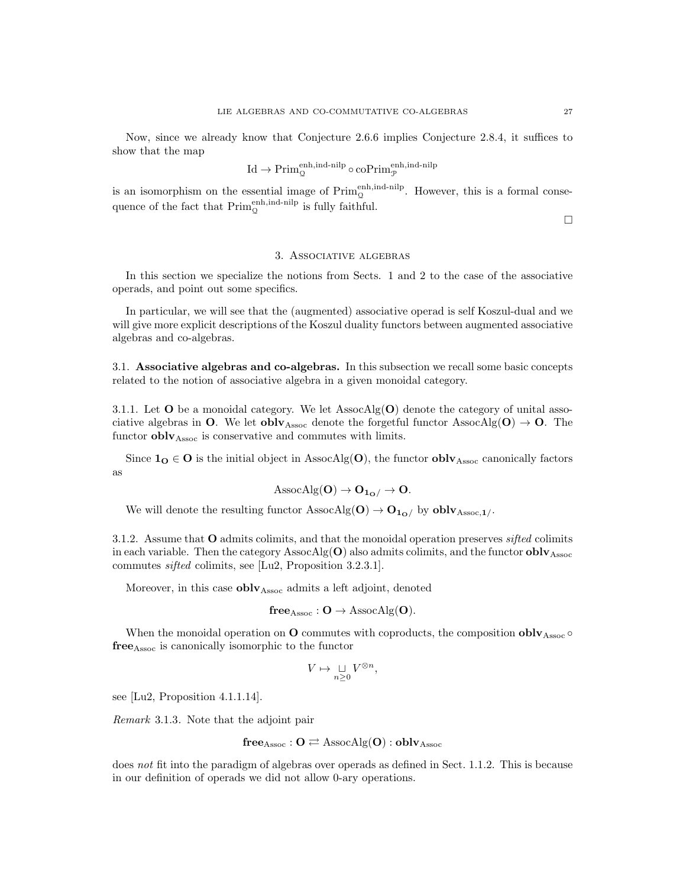Now, since we already know that Conjecture 2.6.6 implies Conjecture 2.8.4, it suffices to show that the map

$$
\mathrm{Id}\rightarrow\mathrm{Prim}_{\mathbb{Q}}^{\mathrm{enh},\mathrm{ind}\text{-nilp}}\circ\mathrm{coPrim}_{\mathcal{P}}^{\mathrm{enh},\mathrm{ind}\text{-nilp}}
$$

is an isomorphism on the essential image of  $\text{Prim}_{\mathcal{Q}}^{\text{enh,ind-nilp}}$ . However, this is a formal consequence of the fact that  $\text{Prim}_{\mathcal{Q}}^{\text{enh,ind-nilp}}$  is fully faithful.

 $\Box$ 

#### 3. Associative algebras

In this section we specialize the notions from Sects. 1 and 2 to the case of the associative operads, and point out some specifics.

In particular, we will see that the (augmented) associative operad is self Koszul-dual and we will give more explicit descriptions of the Koszul duality functors between augmented associative algebras and co-algebras.

3.1. Associative algebras and co-algebras. In this subsection we recall some basic concepts related to the notion of associative algebra in a given monoidal category.

3.1.1. Let  $O$  be a monoidal category. We let AssocAlg $(O)$  denote the category of unital associative algebras in O. We let obly<sub>Assoc</sub> denote the forgetful functor AssocAlg( $O$ )  $\rightarrow$  O. The functor  $\textbf{oblv}_{\text{Assoc}}$  is conservative and commutes with limits.

Since  $1_{\mathbf{O}} \in \mathbf{O}$  is the initial object in AssocAlg( $\mathbf{O}$ ), the functor  $oblv_{\text{Assoc}}$  canonically factors as

$$
\mathrm{AssocAlg}(\mathbf{O}) \to \mathbf{O}_{\mathbf{1}_{\mathbf{O}}}/\to \mathbf{O}.
$$

We will denote the resulting functor  $\text{AssocAlg}(\mathbf{O}) \rightarrow \mathbf{O}_{\mathbf{1}_{\mathbf{O}}}/\;$  by  $\textbf{oblv}_{\text{Assoc},\mathbf{1}}/$ .

3.1.2. Assume that O admits colimits, and that the monoidal operation preserves *sifted* colimits in each variable. Then the category  $\text{AssocAlg}(\mathbf{O})$  also admits colimits, and the functor  $\textbf{oblv}_{\text{Assoc}}$ commutes sifted colimits, see [Lu2, Proposition 3.2.3.1].

Moreover, in this case  $oblv<sub>Assoc</sub>$  admits a left adjoint, denoted

$$
free_{\mathrm{Assoc}}: O \rightarrow \mathrm{AssocAlg}(O).
$$

When the monoidal operation on  $O$  commutes with coproducts, the composition  $oblv<sub>Assoc</sub>$ freeAssoc is canonically isomorphic to the functor

$$
V \mapsto \mathop{\sqcup}\limits_{n \geq 0} V^{\otimes n},
$$

see [Lu2, Proposition 4.1.1.14].

Remark 3.1.3. Note that the adjoint pair

$$
free_{Assoc}: O \rightleftarrows \mathrm{AssocAlg}(O):oblv_{Assoc}
$$

does not fit into the paradigm of algebras over operads as defined in Sect. 1.1.2. This is because in our definition of operads we did not allow 0-ary operations.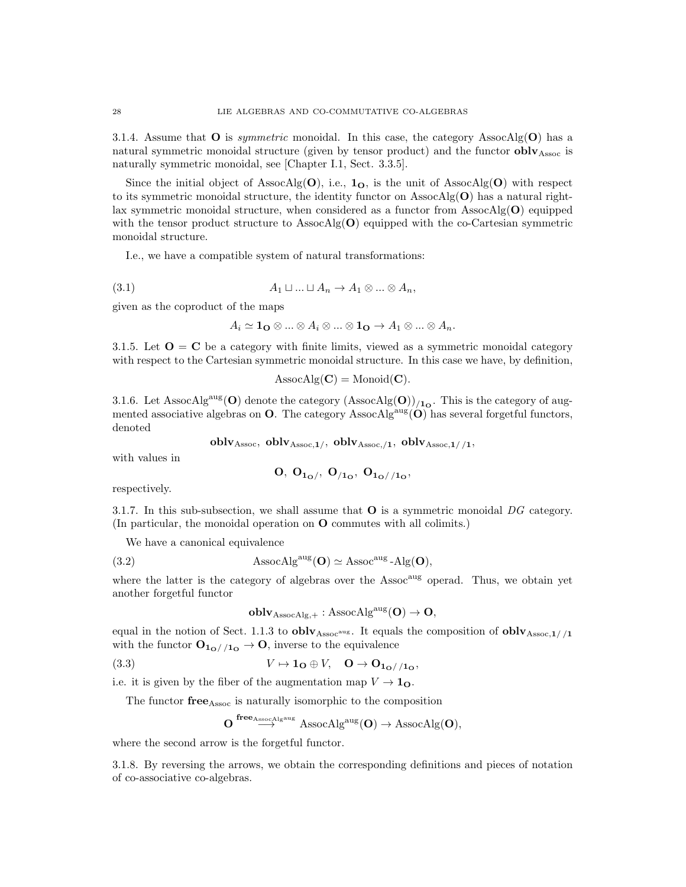3.1.4. Assume that  $O$  is *symmetric* monoidal. In this case, the category AssocAlg $(O)$  has a natural symmetric monoidal structure (given by tensor product) and the functor  $oblv<sub>Assoc</sub>$  is naturally symmetric monoidal, see [Chapter I.1, Sect. 3.3.5].

Since the initial object of AssocAlg(O), i.e.,  $1_{\Omega}$ , is the unit of AssocAlg(O) with respect to its symmetric monoidal structure, the identity functor on  $\text{AssocAlg}(\mathbf{O})$  has a natural rightlax symmetric monoidal structure, when considered as a functor from  $\text{AssocAlg}(\mathbf{O})$  equipped with the tensor product structure to AssocAlg( $\mathbf{O}$ ) equipped with the co-Cartesian symmetric monoidal structure.

I.e., we have a compatible system of natural transformations:

$$
(3.1) \t A_1 \sqcup ... \sqcup A_n \to A_1 \otimes ... \otimes A_n,
$$

given as the coproduct of the maps

$$
A_i \simeq \mathbf{1_O} \otimes \ldots \otimes A_i \otimes \ldots \otimes \mathbf{1_O} \to A_1 \otimes \ldots \otimes A_n.
$$

3.1.5. Let  $O = C$  be a category with finite limits, viewed as a symmetric monoidal category with respect to the Cartesian symmetric monoidal structure. In this case we have, by definition,

 $\text{AssocAlg}(\mathbf{C}) = \text{Monoid}(\mathbf{C}).$ 

3.1.6. Let AssocAlg<sup>aug</sup>(O) denote the category  $(Associ\Omega)$ <sub>/1</sub>. This is the category of augmented associative algebras on  $O$ . The category AssocAlg<sup>aug</sup> $(O)$  has several forgetful functors, denoted

oblv<sub>Assoc</sub>, oblv<sub>Assoc,1</sub>/, oblv<sub>Assoc,1</sub>, oblv<sub>Assoc,1</sub>//1,

with values in

$$
0,\; 0_{1_O/},\; 0_{/1_O},\; 0_{1_O//1_O},\;
$$

respectively.

3.1.7. In this sub-subsection, we shall assume that  $O$  is a symmetric monoidal  $DG$  category. (In particular, the monoidal operation on O commutes with all colimits.)

We have a canonical equivalence

(3.2) 
$$
\text{AssocAlg}^{\text{aug}}(\mathbf{O}) \simeq \text{Assoc}^{\text{aug}} \cdot \text{Alg}(\mathbf{O}),
$$

where the latter is the category of algebras over the  $\text{Assoc}^{\text{aug}}$  operad. Thus, we obtain yet another forgetful functor

$$
oblv_{\mathrm{AssocAlg},+}: \mathrm{AssocAlg}^{\mathrm{aug}}(O) \to O,
$$

equal in the notion of Sect. 1.1.3 to  $oblv<sub>Assoc</sub>$ <sup>aug</sup>. It equals the composition of  $oblv<sub>Assoc,1//1</sub>$ with the functor  $O_{1<sub>O</sub>//1<sub>O</sub>} \to O$ , inverse to the equivalence

(3.3) 
$$
V \mapsto \mathbf{1}_{\mathbf{O}} \oplus V, \quad \mathbf{O} \to \mathbf{O}_{\mathbf{1}_{\mathbf{O}}//\mathbf{1}_{\mathbf{O}}},
$$

i.e. it is given by the fiber of the augmentation map  $V \to 1_{\mathbf{O}}$ .

The functor free<sub>Assoc</sub> is naturally isomorphic to the composition

$$
\mathbf{O} \stackrel{\mathbf{free}_{\mathrm{AssocAlg}^{\mathrm{aug}}}}{\longrightarrow} \mathrm{AssocAlg}^{\mathrm{aug}}(\mathbf{O}) \to \mathrm{AssocAlg}(\mathbf{O}),
$$

where the second arrow is the forgetful functor.

3.1.8. By reversing the arrows, we obtain the corresponding definitions and pieces of notation of co-associative co-algebras.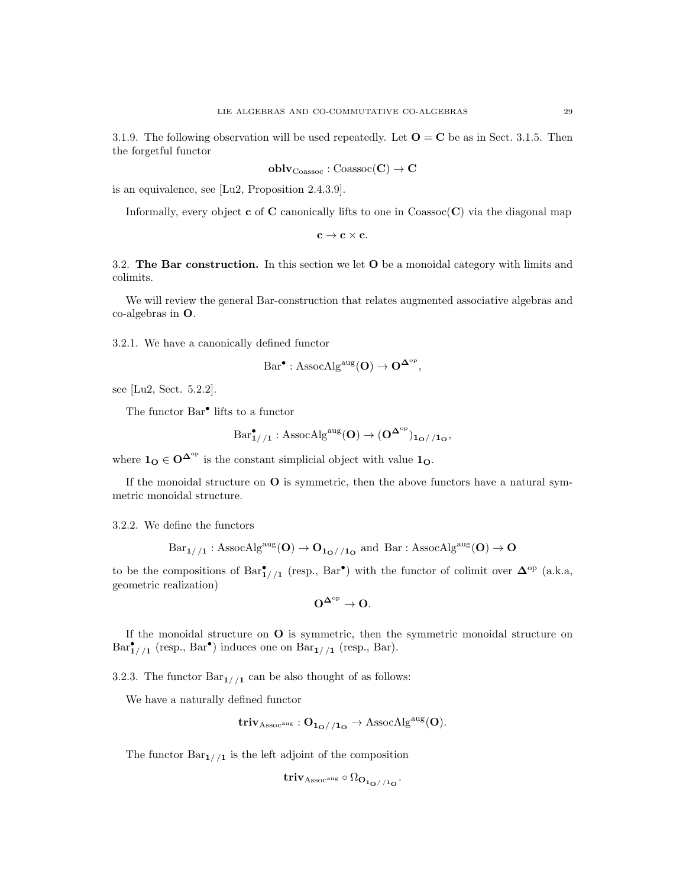3.1.9. The following observation will be used repeatedly. Let  $\mathbf{O} = \mathbf{C}$  be as in Sect. 3.1.5. Then the forgetful functor

$$
oblv_{\mathrm{Coassoc}}: \mathrm{Coassoc}(C) \rightarrow C
$$

is an equivalence, see [Lu2, Proposition 2.4.3.9].

Informally, every object c of C canonically lifts to one in  $\text{Coasso}(\mathbf{C})$  via the diagonal map

 $c \rightarrow c \times c$ .

3.2. The Bar construction. In this section we let O be a monoidal category with limits and colimits.

We will review the general Bar-construction that relates augmented associative algebras and co-algebras in O.

3.2.1. We have a canonically defined functor

$$
\mathrm{Bar}^{\bullet} : \mathrm{AssocAlg}^{\mathrm{aug}}(\mathbf{O}) \to \mathbf{O}^{\mathbf{\Delta}^{\mathrm{op}}},
$$

see [Lu2, Sect. 5.2.2].

The functor  $\mathrm{Bar}^\bullet$  lifts to a functor

$$
\mathrm{Bar}^{\bullet}_{1//1} : \mathrm{AssocAlg}^{\mathrm{aug}}(\mathbf{O}) \to (\mathbf{O}^{\mathbf{\Delta}^{\mathrm{op}}})_{\mathbf{1}_{\mathbf{O}}//\mathbf{1}_{\mathbf{O}}},
$$

where  $\mathbf{1}_{\mathbf{O}} \in \mathbf{O}^{\mathbf{\Delta}^{\mathrm{op}}}$  is the constant simplicial object with value  $\mathbf{1}_{\mathbf{O}}$ .

If the monoidal structure on  $\mathbf O$  is symmetric, then the above functors have a natural symmetric monoidal structure.

3.2.2. We define the functors

$$
\mathrm{Bar}_{1//1}:\mathrm{AssocAlg}^{\mathrm{aug}}(O)\rightarrow O_{1_{O}//1_{O}} \mathrm{\ and\ } \mathrm{Bar}: \mathrm{AssocAlg}^{\mathrm{aug}}(O)\rightarrow O
$$

to be the compositions of  $Bar_{1//1}^{\bullet}$  (resp.,  $Bar^{\bullet}$ ) with the functor of colimit over  $\Delta^{\rm op}$  (a.k.a, geometric realization)

$$
O^{\Delta^{\rm op}}\to O.
$$

If the monoidal structure on O is symmetric, then the symmetric monoidal structure on  $Bar_{1//1}^{\bullet}$  (resp.,  $Bar^{\bullet}$ ) induces one on  $Bar_{1//1}$  (resp., Bar).

3.2.3. The functor  $Bar_{1//1}$  can be also thought of as follows:

We have a naturally defined functor

$$
\mathbf{triv}_{\mathrm{Assoc^{aug}}} : O_{\mathbf{1}_{\mathbf{O}}//\mathbf{1}_{\mathbf{O}}} \rightarrow \mathrm{AssocAlg^{aug}(O)}.
$$

The functor  $Bar_{1/1}$  is the left adjoint of the composition

$$
\mathrm{triv}_{\mathrm{Assoc}^{\mathrm{aug}}} \circ \Omega_{\mathrm{O}_{\mathbf{1}_{\mathrm{O}}//\mathbf{1}_{\mathrm{O}}}}.
$$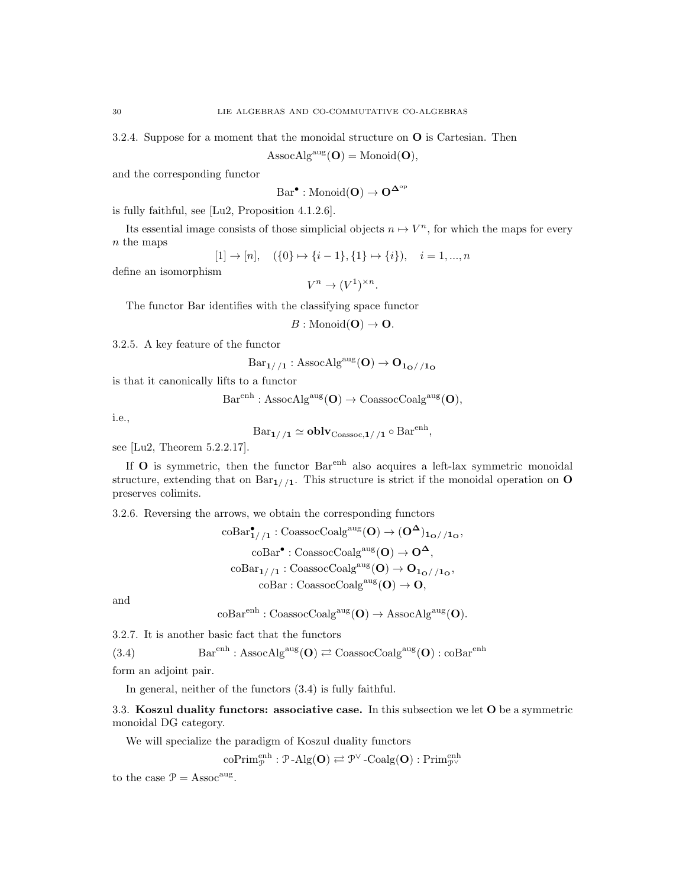3.2.4. Suppose for a moment that the monoidal structure on O is Cartesian. Then

 $\text{AssocAlg}^{\text{aug}}(\mathbf{O}) = \text{Monoid}(\mathbf{O}),$ 

and the corresponding functor

$$
\mathrm{Bar}^{\bullet} : \mathrm{Monoid}(\mathbf{O}) \to \mathbf{O}^{\mathbf{\Delta}^{\mathrm{op}}}
$$

is fully faithful, see [Lu2, Proposition 4.1.2.6].

Its essential image consists of those simplicial objects  $n \mapsto V^n$ , for which the maps for every n the maps

$$
[1] \to [n], \quad (\{0\} \mapsto \{i-1\}, \{1\} \mapsto \{i\}), \quad i = 1, ..., n
$$

define an isomorphism

$$
V^n \to (V^1)^{\times n}.
$$

The functor Bar identifies with the classifying space functor

$$
B: \mathrm{Monoid}(\mathbf{O}) \to \mathbf{O}.
$$

3.2.5. A key feature of the functor

$$
Bar_{1//1}: \text{AssocAlg}^{\text{aug}}(\mathbf{O}) \to \mathbf{O}_{\mathbf{1}_{\mathbf{O}}//\mathbf{1}_{\mathbf{O}}}
$$

is that it canonically lifts to a functor

$$
\text{Bar}^{\text{enh}}: \text{AssocAlg}^{\text{aug}}(\mathbf{O}) \to \text{CoassocCoalg}^{\text{aug}}(\mathbf{O}),
$$

i.e.,

$$
Bar_{1//1} \simeq \mathbf{oblv}_{\mathrm{Coassoc},1//1} \circ Bar^{\mathrm{enh}},
$$

see [Lu2, Theorem 5.2.2.17].

If  $O$  is symmetric, then the functor  $Bar<sup>enh</sup>$  also acquires a left-lax symmetric monoidal structure, extending that on  $Bar_{1/1}$ . This structure is strict if the monoidal operation on O preserves colimits.

3.2.6. Reversing the arrows, we obtain the corresponding functors

$$
\begin{aligned} \mathrm{coBar}_{1//1}^{\bullet}: \mathrm{CoassocCoalg}^{\mathrm{aug}}(\mathbf{O}) &\rightarrow (\mathbf{O}^{\mathbf{\Delta}})_{1\mathbf{o}//1\mathbf{o}},}\\ \mathrm{coBar}^{\bullet}:\mathrm{CoassocCoalg}^{\mathrm{aug}}(\mathbf{O}) &\rightarrow \mathbf{O}^{\mathbf{\Delta}},\\ \mathrm{coBar}_{1//1}:\mathrm{CoassocCoalg}^{\mathrm{aug}}(\mathbf{O}) &\rightarrow \mathbf{O}_{1\mathbf{o}//1\mathbf{o}},}\\ \mathrm{coBar}:\mathrm{CoassocCoalg}^{\mathrm{aug}}(\mathbf{O}) &\rightarrow \mathbf{O}, \end{aligned}
$$

and

$$
\mathrm{coBar}^\mathrm{enh} : \mathrm{CoassocCoalg}^\mathrm{aug}(\mathbf{O}) \to \mathrm{AssocAlg}^\mathrm{aug}(\mathbf{O}).
$$

3.2.7. It is another basic fact that the functors

(3.4) 
$$
Barenh : AssocAlgaug(O) \rightleftarrows CosasocCoalgaug(O) : coBarenh
$$

form an adjoint pair.

In general, neither of the functors (3.4) is fully faithful.

3.3. Koszul duality functors: associative case. In this subsection we let O be a symmetric monoidal DG category.

We will specialize the paradigm of Koszul duality functors

 $\mathrm{coPrim}_{\mathcal{P}}^{\mathrm{enh}}: \mathcal{P}\text{-}\mathrm{Alg}(\mathbf{O}) \rightleftarrows \mathcal{P}^{\vee}\text{-}\mathrm{Coalg}(\mathbf{O}): \mathrm{Prim}_{\mathcal{P}^{\vee}}^{\mathrm{enh}}$ 

to the case  $\mathcal{P} = \text{Assoc}^{\text{aug}}$ .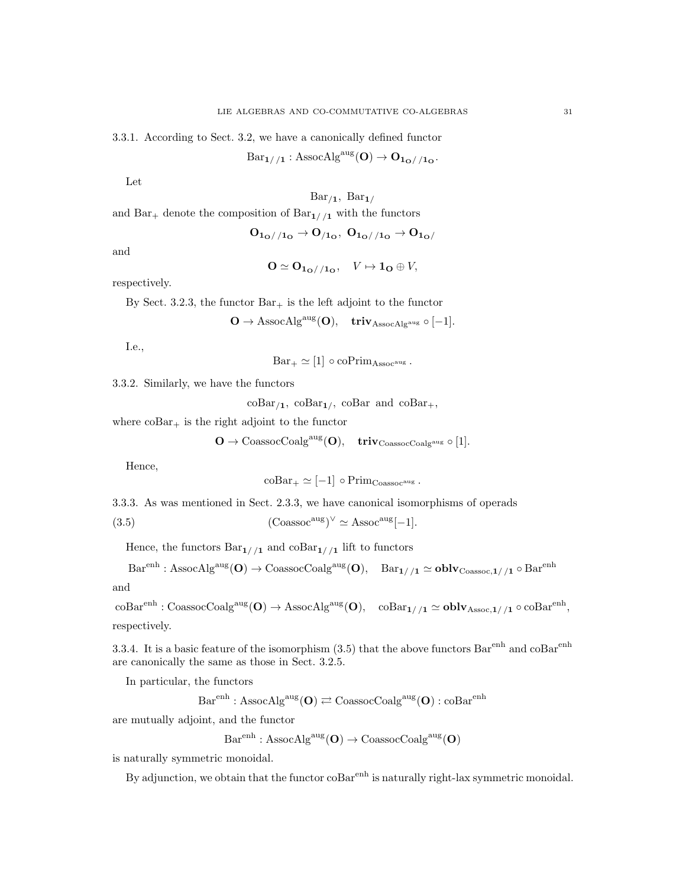3.3.1. According to Sect. 3.2, we have a canonically defined functor

 $Bar_{1//1}$ : AssocAlg<sup>aug</sup>(**O**)  $\rightarrow$   $O_{1o//1o}$ .

Let

 $Bar_{/1}$ ,  $Bar_{1/}$ 

and Bar<sub>+</sub> denote the composition of Bar<sub>1//1</sub> with the functors

$$
O_{1_O//1_O} \to O_{/1_O},\ O_{1_O//1_O} \to O_{1_O/}
$$

and

$$
\mathbf{O} \simeq \mathbf{O}_{\mathbf{1}_{\mathbf{O}}//\mathbf{1}_{\mathbf{O}}}, \quad V \mapsto \mathbf{1}_{\mathbf{O}} \oplus V,
$$

respectively.

By Sect. 3.2.3, the functor  $Bar_{+}$  is the left adjoint to the functor

$$
\textbf{O}\rightarrow \operatorname{AssocAlg}^{\operatorname{aug}}(\textbf{O}),\quad \operatorname{\mathbf{triv}}_{\operatorname{AssocAlg}^{\operatorname{aug}}}\circ[-1].
$$

I.e.,

 $Bar_{+} \simeq [1] \circ \text{coPrim}_{Assoc^{aug}}$ .

3.3.2. Similarly, we have the functors

 $\mathrm{coBar}_{/1}$ ,  $\mathrm{coBar}_{1/}$ ,  $\mathrm{coBar}$  and  $\mathrm{coBar}_+,$ 

where  $\mathrm{coBar}_{+}$  is the right adjoint to the functor

 $\mathbf{O} \to \text{CoassocCoalg}^{\text{aug}}(\mathbf{O}), \quad \text{triv}_{\text{CoassocCoalg}^{\text{aug}}} \circ [1].$ 

Hence,

$$
coBar_{+} \simeq [-1] \circ Prim_{Coassoc^{aug}}.
$$

3.3.3. As was mentioned in Sect. 2.3.3, we have canonical isomorphisms of operads

(3.5) 
$$
(\text{Coassoc}^{\text{aug}})^{\vee} \simeq \text{Assoc}^{\text{aug}}[-1].
$$

Hence, the functors  $Bar_{1//1}$  and  $coBar_{1//1}$  lift to functors

$$
\text{Bar}^{\text{enh}}:\text{AssocAlg}^{\text{aug}}(\mathbf{O})\rightarrow\text{CoassocCoalg}^{\text{aug}}(\mathbf{O}),\quad \text{Bar}_{\mathbf{1//\mathbf{1}}}\simeq\mathbf{oblv}_{\text{Coassoc},\mathbf{1//\mathbf{1}}}\circ\text{Bar}^{\text{enh}}
$$

and

 ${\rm coBar}^{\rm enh} : {\rm CoassocCoalg}^{\rm aug} ({\bf O}) \to {\rm AssocAlg}^{\rm aug} ({\bf O}), \quad {\rm coBar}_{1//1} \simeq {\bf oblv}_{\rm Assoc,1//1} \circ {\rm coBar}^{\rm enh},$ respectively.

3.3.4. It is a basic feature of the isomorphism  $(3.5)$  that the above functors  $Bar<sup>enh</sup>$  and  $coBar<sup>enh</sup>$ are canonically the same as those in Sect. 3.2.5.

In particular, the functors

 $Bar<sup>enh</sup> : AssocAlg<sup>aug</sup>(**O**) \rightleftarrows CossocCoalg<sup>aug</sup>(**O**) : coBar<sup>enh</sup>$ 

are mutually adjoint, and the functor

 $Bar<sup>enh</sup> : AssocAlg<sup>aug</sup>(**O**) \rightarrow CoassocCoalg<sup>aug</sup>(**O**)$ 

is naturally symmetric monoidal.

By adjunction, we obtain that the functor  $\cos\theta$  is naturally right-lax symmetric monoidal.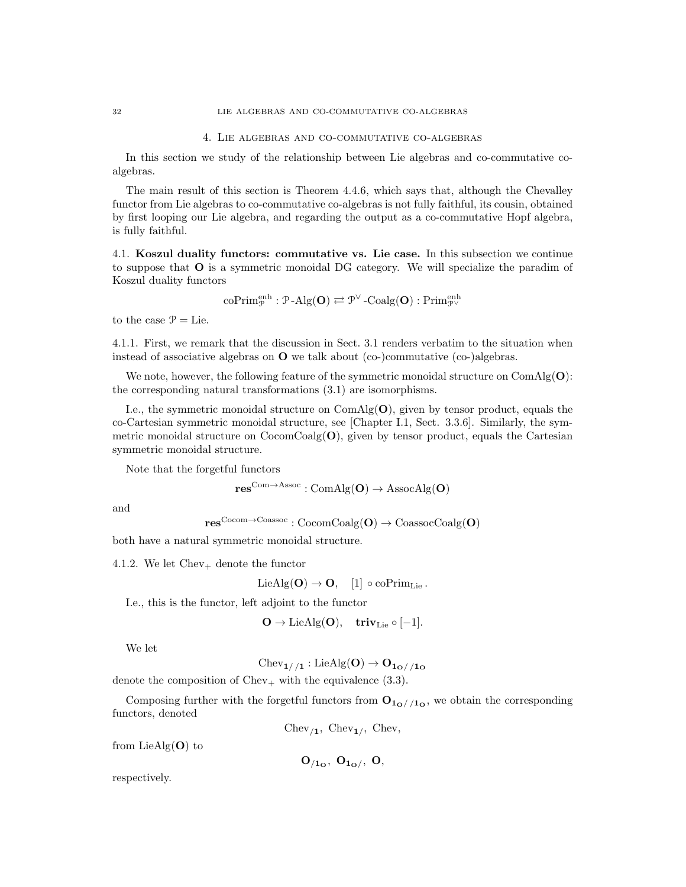#### 4. Lie algebras and co-commutative co-algebras

In this section we study of the relationship between Lie algebras and co-commutative coalgebras.

The main result of this section is Theorem 4.4.6, which says that, although the Chevalley functor from Lie algebras to co-commutative co-algebras is not fully faithful, its cousin, obtained by first looping our Lie algebra, and regarding the output as a co-commutative Hopf algebra, is fully faithful.

4.1. Koszul duality functors: commutative vs. Lie case. In this subsection we continue to suppose that O is a symmetric monoidal DG category. We will specialize the paradim of Koszul duality functors

$$
\mathrm{coPrim}_{\mathcal{P}}^{\mathrm{enh}}: \mathcal{P}\text{-}\mathrm{Alg}(\mathbf{O}) \rightleftarrows \mathcal{P}^{\vee}\text{-}\mathrm{Coalg}(\mathbf{O}): \mathrm{Prim}_{\mathcal{P}^{\vee}}^{\mathrm{enh}}
$$

to the case  $\mathcal{P} =$  Lie.

4.1.1. First, we remark that the discussion in Sect. 3.1 renders verbatim to the situation when instead of associative algebras on  $\Omega$  we talk about (co-)commutative (co-)algebras.

We note, however, the following feature of the symmetric monoidal structure on  $ComAlg(O)$ : the corresponding natural transformations (3.1) are isomorphisms.

I.e., the symmetric monoidal structure on  $ComAlg(O)$ , given by tensor product, equals the co-Cartesian symmetric monoidal structure, see [Chapter I.1, Sect. 3.3.6]. Similarly, the symmetric monoidal structure on  $\text{CocomCoalg}(\mathbf{O})$ , given by tensor product, equals the Cartesian symmetric monoidal structure.

Note that the forgetful functors

$$
res^{Com \rightarrow Assoc} : ComAlg(O) \rightarrow AssocAlg(O)
$$

and

 $res^{Cocom\rightarrow Coassoc} : CocomCoalg(O) \rightarrow CoassocCoalg(O)$ 

both have a natural symmetric monoidal structure.

4.1.2. We let  $Chev_+$  denote the functor

$$
\mathrm{LieAlg}(\mathbf{O}) \to \mathbf{O}, \quad [1] \circ \mathrm{coPrim}_{\mathrm{Lie}}.
$$

I.e., this is the functor, left adjoint to the functor

$$
\mathbf{O}\rightarrow \mathrm{LieAlg}(\mathbf{O}),\quad \mathbf{triv}_{\mathrm{Lie}}\circ [-1].
$$

We let

 $Chev_{1//1}: LieAlg(O) \rightarrow O_{1_O//1_O}$ 

denote the composition of Chev<sub>+</sub> with the equivalence  $(3.3)$ .

Composing further with the forgetful functors from  $O_{1<sub>O</sub>//1<sub>O</sub>}$ , we obtain the corresponding functors, denoted

 $Chev_{11}$ ,  $Chev_{11}$ ,  $Chev$ ,

from  $LieAlg(O)$  to

 $O_{/1_{\rm O}}$ ,  $O_{1_{\rm O}}$ ,  $O$ ,

respectively.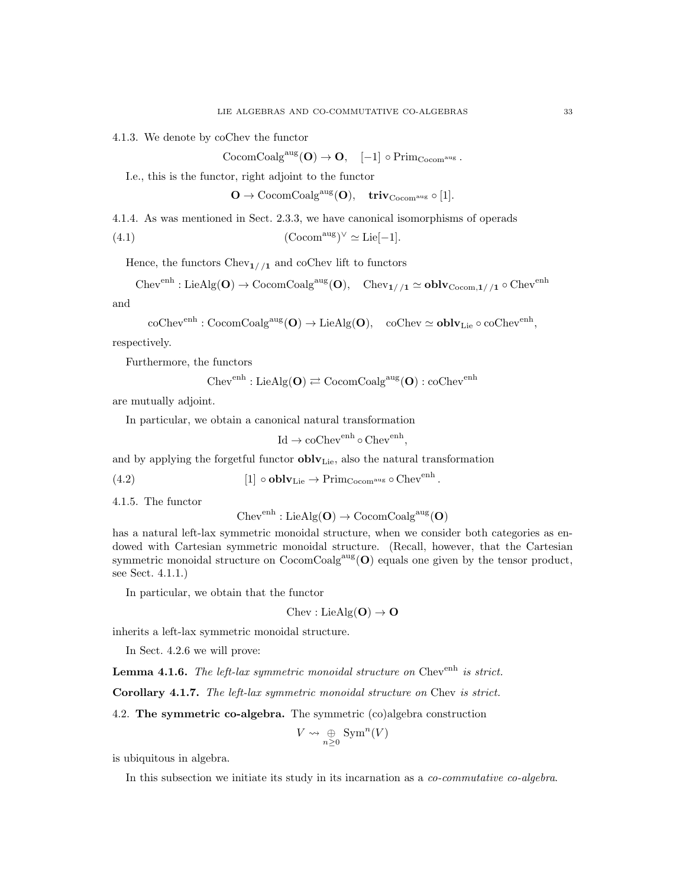4.1.3. We denote by coChev the functor

 $\mathrm{CocomCoalg}^{\mathrm{aug}}(\mathbf{O}) \to \mathbf{O}, \quad [-1] \circ \mathrm{Prim}_{\mathrm{Cocom}^{\mathrm{aug}}}.$ 

I.e., this is the functor, right adjoint to the functor

 $\mathbf{O} \to \operatorname{CocomCoalg}^{\operatorname{aug}}(\mathbf{O}), \quad \operatorname{triv}_{\operatorname{Cocom}^{\operatorname{aug}}} \circ [1].$ 

4.1.4. As was mentioned in Sect. 2.3.3, we have canonical isomorphisms of operads

(4.1) 
$$
(\text{Cocom}^{\text{aug}})^{\vee} \simeq \text{Lie}[-1].
$$

Hence, the functors  $Chev_{1//1}$  and coChev lift to functors

 $\text{Chev}^{\text{enh}}:\text{LieAlg}(\mathbf{O})\to \text{CocomCoalg}^{\text{aug}}(\mathbf{O}),\quad \text{Chev}_{1//1}\simeq \textbf{oblv}_{\text{Cocom},1//1}\circ \text{Chev}^{\text{enh}}$ 

and

$$
\operatorname{coChev}^{\operatorname{enh}}: \operatorname{CocomCoalg}^{\operatorname{aug}}(\mathbf{O}) \to \operatorname{LieAlg}(\mathbf{O}), \quad \operatorname{coChev} \simeq \operatorname{\mathbf{oblv}}_{\operatorname{Lie}} \circ \operatorname{coChev}^{\operatorname{enh}},
$$

respectively.

Furthermore, the functors

$$
\mathrm{Chev}^{\mathrm{enh}}:\mathrm{LieAlg}(\mathbf{O})\rightleftarrows \mathrm{CocomCoalg}^{\mathrm{aug}}(\mathbf{O}):\mathrm{coChev}^{\mathrm{enh}}
$$

are mutually adjoint.

In particular, we obtain a canonical natural transformation

$$
Id \to coChevenh \circ Chevenh,
$$

and by applying the forgetful functor  $\textbf{oblv}_{\text{Lie}}$ , also the natural transformation

(4.2) 
$$
[1] \circ \mathbf{oblv}_{\mathrm{Lie}} \to \mathrm{Prim}_{\mathrm{Cocom}^{\mathrm{aug}}} \circ \mathrm{Chev}^{\mathrm{enh}}.
$$

4.1.5. The functor

 $Chev<sup>enh</sup> : LieAlg(O) \rightarrow CocomCoalg<sup>aug</sup>(O)$ 

has a natural left-lax symmetric monoidal structure, when we consider both categories as endowed with Cartesian symmetric monoidal structure. (Recall, however, that the Cartesian symmetric monoidal structure on  $\text{CocomCoalg}^{\text{aug}}(\mathbf{O})$  equals one given by the tensor product, see Sect. 4.1.1.)

In particular, we obtain that the functor

 $Chev: LieAlg(O) \rightarrow O$ 

inherits a left-lax symmetric monoidal structure.

In Sect. 4.2.6 we will prove:

**Lemma 4.1.6.** The left-lax symmetric monoidal structure on Chev<sup>enh</sup> is strict.

Corollary 4.1.7. The left-lax symmetric monoidal structure on Chev is strict.

4.2. The symmetric co-algebra. The symmetric (co)algebra construction

$$
V \rightsquigarrow \bigoplus_{n \geq 0} \text{Sym}^n(V)
$$

is ubiquitous in algebra.

In this subsection we initiate its study in its incarnation as a co-commutative co-algebra.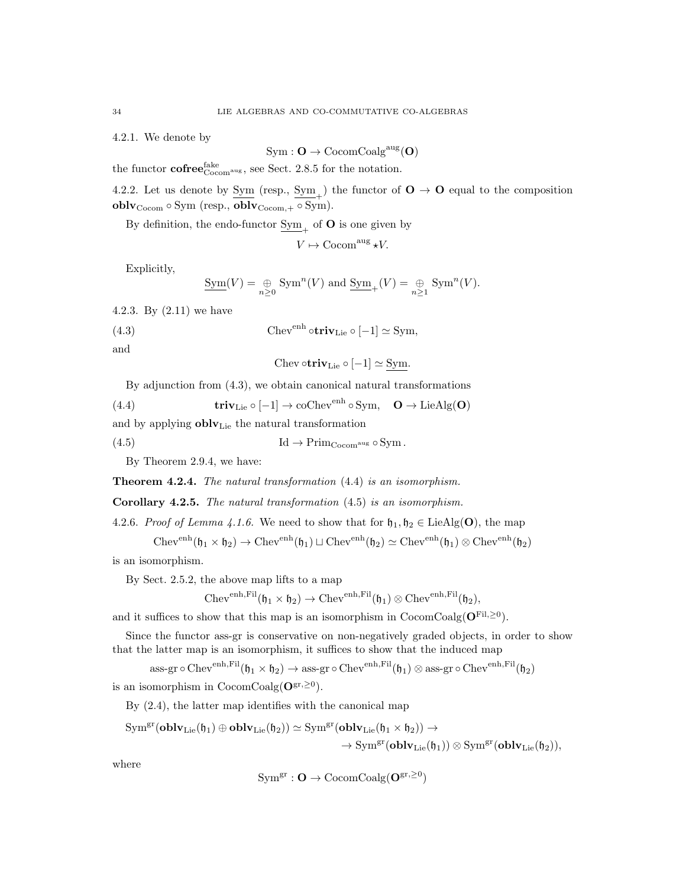4.2.1. We denote by

$$
\mathrm{Sym} : \mathbf{O} \to \mathrm{CocomCoalg}^{\mathrm{aug}}(\mathbf{O})
$$

the functor  $\text{cofree}_{\text{Cocom}^{\text{aug}}}^{fake}$ , see Sect. 2.8.5 for the notation.

4.2.2. Let us denote by  $\underline{\text{Sym}}$  (resp.,  $\underline{\text{Sym}}_+$ ) the functor of  $\mathbf{O} \to \mathbf{O}$  equal to the composition oblv<sub>Cocom</sub> ◦ Sym (resp., oblv<sub>Cocom,+</sub> ◦ Sym).

By definition, the endo-functor  $\underline{\mathrm{Sym}}_{+}$  of **O** is one given by

$$
V \mapsto \mathrm{Cocom}^{\mathrm{aug}} \star V.
$$

Explicitly,

$$
\underline{\mathrm{Sym}}(V) = \bigoplus_{n \geq 0} \mathrm{Sym}^n(V) \text{ and } \underline{\mathrm{Sym}}_+(V) = \bigoplus_{n \geq 1} \mathrm{Sym}^n(V).
$$

4.2.3. By (2.11) we have

(4.3) 
$$
Chev^{enh} \circ \mathbf{triv}_{Lie} \circ [-1] \simeq \text{Sym},
$$

and

$$
Chev \circ \mathbf{triv}_{Lie} \circ [-1] \simeq Sym.
$$

By adjunction from (4.3), we obtain canonical natural transformations

(4.4) 
$$
\mathbf{triv}_{\text{Lie}} \circ [-1] \to \text{coChev}^{\text{enh}} \circ \text{Sym}, \quad \mathbf{O} \to \text{LieAlg}(\mathbf{O})
$$

and by applying  ${\bf oblv}_{{\rm Lie}}$  the natural transformation

(4.5)  $\text{Id} \to \text{Prim}_{\text{Cocom}^{\text{aug}}} \circ \text{Sym}.$ 

By Theorem 2.9.4, we have:

Theorem 4.2.4. The natural transformation (4.4) is an isomorphism.

Corollary 4.2.5. The natural transformation (4.5) is an isomorphism.

4.2.6. Proof of Lemma 4.1.6. We need to show that for  $\mathfrak{h}_1, \mathfrak{h}_2 \in \text{LieAlg}(\mathbf{O})$ , the map

 $\mathrm{Chev}^{\mathrm{enh}}(\mathfrak{h}_1\times \mathfrak{h}_2)\to \mathrm{Chev}^{\mathrm{enh}}(\mathfrak{h}_1)\sqcup \mathrm{Chev}^{\mathrm{enh}}(\mathfrak{h}_2)\simeq \mathrm{Chev}^{\mathrm{enh}}(\mathfrak{h}_1)\otimes \mathrm{Chev}^{\mathrm{enh}}(\mathfrak{h}_2)$ 

is an isomorphism.

By Sect. 2.5.2, the above map lifts to a map

$$
\mathrm{Chev}^{\mathrm{enh},\mathrm{Fil}}(\mathfrak{h}_1\times \mathfrak{h}_2)\rightarrow \mathrm{Chev}^{\mathrm{enh},\mathrm{Fil}}(\mathfrak{h}_1)\otimes \mathrm{Chev}^{\mathrm{enh},\mathrm{Fil}}(\mathfrak{h}_2),
$$

and it suffices to show that this map is an isomorphism in CocomCoalg( $O<sup>Fil, ≥0</sup>$ ).

Since the functor ass-gr is conservative on non-negatively graded objects, in order to show that the latter map is an isomorphism, it suffices to show that the induced map

$$
\text{ass-gr}\circ \text{Chev}^{\text{enh},\text{Fil}}(\mathfrak{h}_1\times \mathfrak{h}_2)\rightarrow \text{ass-gr}\circ \text{Chev}^{\text{enh},\text{Fil}}(\mathfrak{h}_1)\otimes \text{ass-gr}\circ \text{Chev}^{\text{enh},\text{Fil}}(\mathfrak{h}_2)
$$

is an isomorphism in  $\text{CocomCoalg}(\mathbf{O}^{\text{gr},\geq 0}).$ 

By (2.4), the latter map identifies with the canonical map

$$
\begin{aligned} \mathrm{Sym}^{\mathrm{gr}}(\mathbf{oblv}_\mathrm{Lie}(\mathfrak{h}_1)\oplus\mathbf{oblv}_\mathrm{Lie}(\mathfrak{h}_2))&\simeq \mathrm{Sym}^{\mathrm{gr}}(\mathbf{oblv}_\mathrm{Lie}(\mathfrak{h}_1\times \mathfrak{h}_2))\to \\ &\to \mathrm{Sym}^{\mathrm{gr}}(\mathbf{oblv}_\mathrm{Lie}(\mathfrak{h}_1))\otimes \mathrm{Sym}^{\mathrm{gr}}(\mathbf{oblv}_\mathrm{Lie}(\mathfrak{h}_2)), \end{aligned}
$$

where

$$
\mathrm{Sym}^\mathrm{gr}: \mathbf{O} \to \mathrm{CocomCoalg}(\mathbf{O}^\mathrm{gr,\geq 0})
$$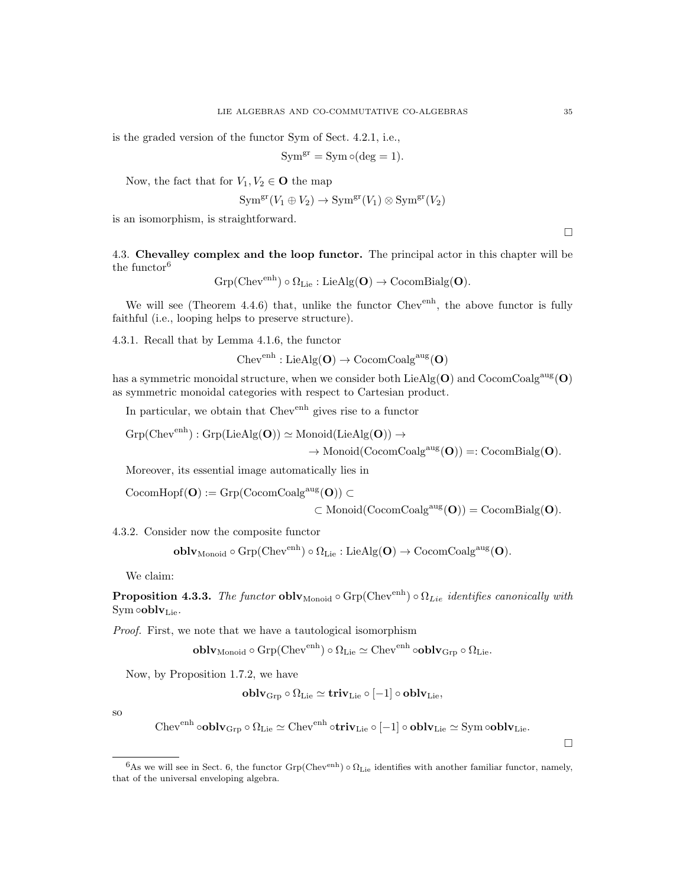is the graded version of the functor Sym of Sect. 4.2.1, i.e.,

$$
Sym^{gr} = Sym \circ (deg = 1).
$$

Now, the fact that for  $V_1, V_2 \in \mathbf{O}$  the map

$$
\text{Sym}^{\text{gr}}(V_1 \oplus V_2) \to \text{Sym}^{\text{gr}}(V_1) \otimes \text{Sym}^{\text{gr}}(V_2)
$$

is an isomorphism, is straightforward.

4.3. Chevalley complex and the loop functor. The principal actor in this chapter will be the functor<sup>6</sup>

$$
{\rm Grp}({\rm Chev}^{\rm enh})\circ \Omega_{\rm Lie}:{\rm LieAlg}(\mathbf{O})\to {\rm CocomBialg}(\mathbf{O}).
$$

We will see (Theorem 4.4.6) that, unlike the functor  $Chev^{enh}$ , the above functor is fully faithful (i.e., looping helps to preserve structure).

4.3.1. Recall that by Lemma 4.1.6, the functor

 $Chev<sup>enh</sup> : LieAlg(O) \rightarrow CocomCoalg<sup>aug</sup>(O)$ 

has a symmetric monoidal structure, when we consider both  $\text{LieAlg}(\mathbf{O})$  and  $\text{CocomCoalg}^{\text{aug}}(\mathbf{O})$ as symmetric monoidal categories with respect to Cartesian product.

In particular, we obtain that Chev<sup>enh</sup> gives rise to a functor

$$
\mathrm{Grp}(\mathrm{Chev}^{\mathrm{enh}}): \mathrm{Grp}(\mathrm{LieAlg}(\mathbf{O})) \simeq \mathrm{Monoid}(\mathrm{LieAlg}(\mathbf{O})) \rightarrow
$$

 $\rightarrow$  Monoid(CocomCoalg<sup>aug</sup>(O)) =: CocomBialg(O).

Moreover, its essential image automatically lies in

 $CocomHopf(O) := Grp(CocomCoalg<sup>aug</sup>(O)) \subset$ 

$$
\subset \text{Monoid}(\text{CocomCoalg}^{\text{aug}}(\mathbf{O})) = \text{CocomBialg}(\mathbf{O}).
$$

4.3.2. Consider now the composite functor

$$
\mathbf{oblv}_{\mathrm{Monoid}} \circ \mathrm{Grp}(\mathrm{Chev}^{\mathrm{enh}}) \circ \Omega_{\mathrm{Lie}}: \mathrm{LieAlg}(\mathbf{O}) \to \mathrm{CocomCoalg}^{\mathrm{aug}}(\mathbf{O}).
$$

We claim:

**Proposition 4.3.3.** The functor  $\text{oblv}_{\text{Monoid}} \circ \text{Grp}(\text{Chev}^{\text{enh}}) \circ \Omega_{Lie}$  identifies canonically with Sym  $\circ$ obl $v_{Lie}$ .

Proof. First, we note that we have a tautological isomorphism

$$
\mathbf{oblv}_{\mathrm{Monoid}} \circ \mathrm{Grp}(\mathrm{Chev}^{\mathrm{enh}}) \circ \Omega_{\mathrm{Lie}} \simeq \mathrm{Chev}^{\mathrm{enh}} \circ \mathbf{oblv}_{\mathrm{Grp}} \circ \Omega_{\mathrm{Lie}}.
$$

Now, by Proposition 1.7.2, we have

$$
\mathbf{oblv}_{\mathrm{Grp}} \circ \Omega_{\mathrm{Lie}} \simeq \mathbf{triv}_{\mathrm{Lie}} \circ [-1] \circ \mathbf{oblv}_{\mathrm{Lie}},
$$

so

 $\text{Chev}^{\text{enh}}\circ{\bf{oblv}}_{\rm{Grp}}\circ\Omega_{\rm{Lie}}\simeq \text{Chev}^{\text{enh}}\circ{\bf{triv}}_{\rm{Lie}}\circ[-1]\circ{\bf{oblv}}_{\rm{Lie}}\simeq \text{Sym}\circ{\bf{oblv}}_{\rm{Lie}}.$ 

 $\Box$ 

 $\Box$ 

<sup>&</sup>lt;sup>6</sup>As we will see in Sect. 6, the functor Grp(Chev<sup>enh</sup>)  $\circ \Omega_{\text{Lie}}$  identifies with another familiar functor, namely, that of the universal enveloping algebra.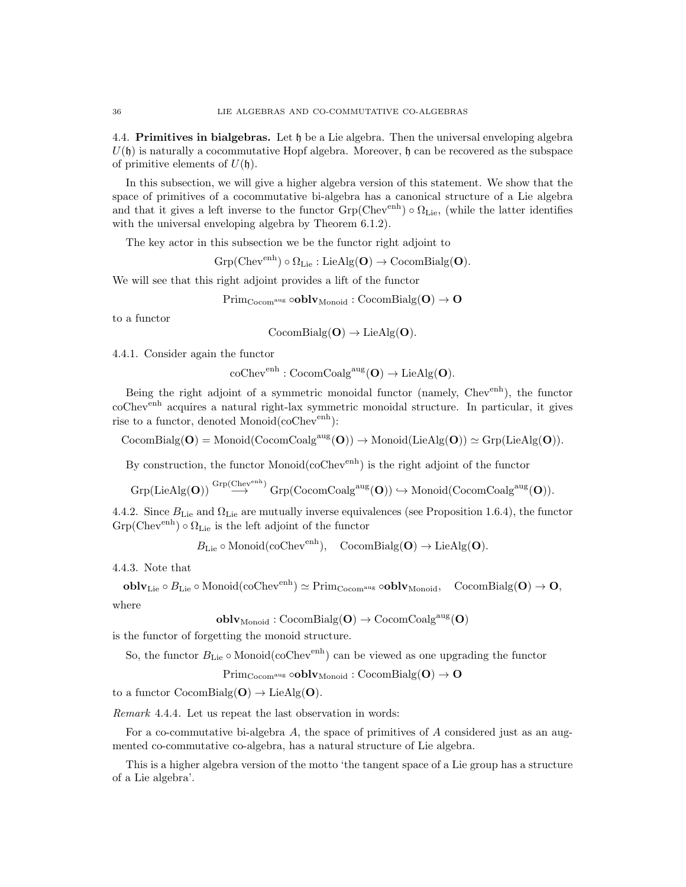4.4. Primitives in bialgebras. Let h be a Lie algebra. Then the universal enveloping algebra  $U(\mathfrak{h})$  is naturally a cocommutative Hopf algebra. Moreover,  $\mathfrak{h}$  can be recovered as the subspace of primitive elements of  $U(\mathfrak{h})$ .

In this subsection, we will give a higher algebra version of this statement. We show that the space of primitives of a cocommutative bi-algebra has a canonical structure of a Lie algebra and that it gives a left inverse to the functor  $Grp(Chev<sup>enh</sup>) \circ \Omega_{Lie}$ , (while the latter identifies with the universal enveloping algebra by Theorem 6.1.2).

The key actor in this subsection we be the functor right adjoint to

 $Grp(Chev^{enh}) \circ \Omega_{Lie} : LieAlg(O) \rightarrow CocomBialg(O).$ 

We will see that this right adjoint provides a lift of the functor

 $\text{Prim}_{\text{Cocom}}$ <sup>aug</sup>  $\text{oblv}_{\text{Monoid}}$  :  $\text{CocomBialg}(\mathbf{O}) \rightarrow \mathbf{O}$ 

to a functor

 $CocomBialg(O) \rightarrow LieAlg(O).$ 

4.4.1. Consider again the functor

 $\mathrm{coChev}^{\mathrm{enh}}: \mathrm{CocomCoalg}^{\mathrm{aug}}(\mathbf{O}) \to \mathrm{LieAlg}(\mathbf{O}).$ 

Being the right adjoint of a symmetric monoidal functor (namely, Chevenh), the functor coChev<sup>enh</sup> acquires a natural right-lax symmetric monoidal structure. In particular, it gives rise to a functor, denoted Monoid $(\text{coChev}^{\text{enh}})$ :

 $CocomBialg(\mathbf{O}) = Monoid(CocomCoalg<sup>aug</sup>(\mathbf{O})) \rightarrow Monoid(LieAlg(\mathbf{O})) \simeq Grp(LieAlg(\mathbf{O})).$ 

By construction, the functor Monoid( $\mathrm{coChev}^{\mathrm{enh}}$ ) is the right adjoint of the functor

$$
\operatorname{Grp}(\operatorname{LieAlg}(\mathbf{O})) \overset{\operatorname{Grp}(\operatorname{Chev}^{\operatorname{enh}})}{\longrightarrow} \operatorname{Grp}(\operatorname{CocomCoalg}^{\operatorname{aug}}(\mathbf{O})) \hookrightarrow \operatorname{Monoid}(\operatorname{CocomCoalg}^{\operatorname{aug}}(\mathbf{O})).
$$

4.4.2. Since  $B_{\text{Lie}}$  and  $\Omega_{\text{Lie}}$  are mutually inverse equivalences (see Proposition 1.6.4), the functor  $Grp(Chev<sup>enh</sup>) \circ \Omega_{Lie}$  is the left adjoint of the functor

 $B_{\text{Lie}} \circ \text{Monoid}(\text{coChev}^{\text{enh}}), \quad \text{CocomBialg}(\mathbf{O}) \to \text{LieAlg}(\mathbf{O}).$ 

4.4.3. Note that

 ${\bf oblv}_{{\rm Lie}}\circ B_{{\rm Lie}}\circ {\rm Monoid}(\operatorname{coChev}^{\rm enh})\simeq {\rm Prim}_{\rm Cocom^{aug}}\circ {\bf oblv}_{{\rm Monoid}},\quad {\rm CocomBialg}({\bf O})\to {\bf O},$ where

 $oblv_{\text{Monoid}}: \text{CocomBialg}(\mathbf{O}) \to \text{CocomCoalg}^{\text{aug}}(\mathbf{O})$ 

is the functor of forgetting the monoid structure.

So, the functor  $B_{\text{Lie}} \circ \text{Monoid}(\text{coChev}^{\text{enh}})$  can be viewed as one upgrading the functor

 $\mathrm{Prim}_{\mathrm{Cocom}^{\mathrm{aug}}} \circ \mathrm{oblv}_{\mathrm{Monoid}} : \mathrm{CocomBialg}(\mathbf{O}) \to \mathbf{O}$ 

to a functor  $CocomBialg(O) \rightarrow LieAlg(O)$ .

Remark 4.4.4. Let us repeat the last observation in words:

For a co-commutative bi-algebra  $A$ , the space of primitives of  $A$  considered just as an augmented co-commutative co-algebra, has a natural structure of Lie algebra.

This is a higher algebra version of the motto 'the tangent space of a Lie group has a structure of a Lie algebra'.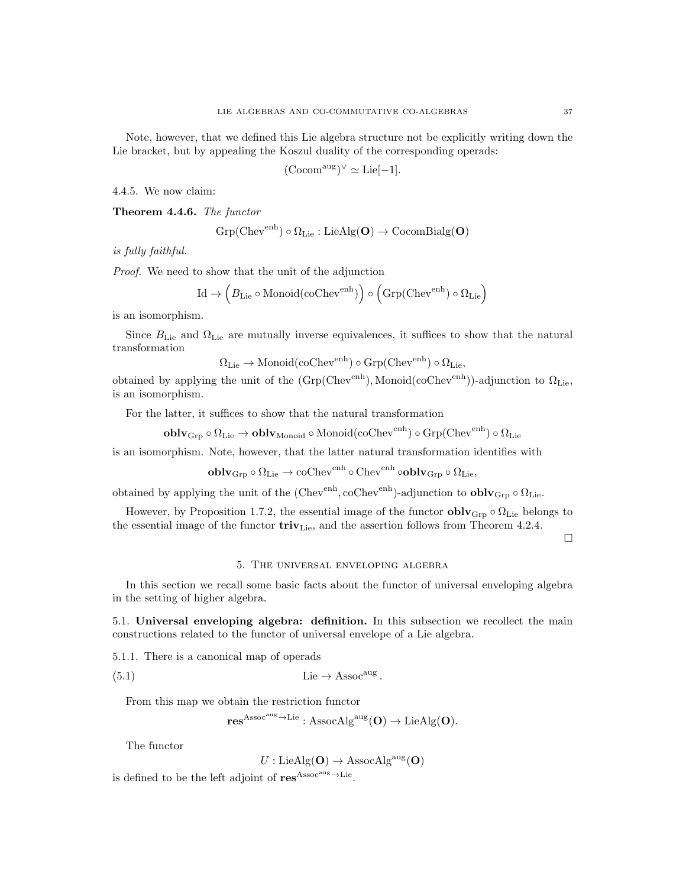Note, however, that we defined this Lie algebra structure not be explicitly writing down the Lie bracket, but by appealing the Koszul duality of the corresponding operads:

$$
(\mathrm{Cocom}^{\mathrm{aug}})^{\vee} \simeq \mathrm{Lie}[-1].
$$

4.4.5. We now claim:

Theorem 4.4.6. The functor

$$
\mathrm{Grp}(\mathrm{Chev}^{\mathrm{enh}})\circ \Omega_{\mathrm{Lie}}:\mathrm{LieAlg}(\mathbf{O})\rightarrow \mathrm{CocomBialg}(\mathbf{O})
$$

is fully faithful.

Proof. We need to show that the unit of the adjunction

$$
\mathrm{Id} \to \left(B_{\mathrm{Lie}} \circ \mathrm{Monoid}(\mathrm{coChev}^{\mathrm{enh}})\right) \circ \left(\mathrm{Grp}(\mathrm{Chev}^{\mathrm{enh}}) \circ \Omega_{\mathrm{Lie}}\right)
$$

is an isomorphism.

Since  $B_{\text{Lie}}$  and  $\Omega_{\text{Lie}}$  are mutually inverse equivalences, it suffices to show that the natural transformation

 $\Omega_{\text{Lie}} \to \text{Monoid}(\text{coChev}^{\text{enh}}) \circ \text{Grp}(\text{Chev}^{\text{enh}}) \circ \Omega_{\text{Lie}}$ 

obtained by applying the unit of the  $(Grp(Chev<sup>enh</sup>), Monoid(coChev<sup>enh</sup>))$ -adjunction to  $\Omega_{Lie}$ , is an isomorphism.

For the latter, it suffices to show that the natural transformation

$$
\mathbf{oblv}_\mathrm{Grp} \circ \Omega_\mathrm{Lie} \to \mathbf{oblv}_\mathrm{Monoid} \circ \mathrm{Monoid}(\mathrm{coChev}^\mathrm{enh}) \circ \mathrm{Grp}(\mathrm{Chev}^\mathrm{enh}) \circ \Omega_\mathrm{Lie}
$$

is an isomorphism. Note, however, that the latter natural transformation identifies with

$$
\mathbf{oblv}_\mathrm{Grp} \circ \Omega_\mathrm{Lie} \to \mathrm{coChev}^\mathrm{enh} \circ \mathrm{Chev}^\mathrm{enh} \circ \mathbf{oblv}_\mathrm{Grp} \circ \Omega_\mathrm{Lie},
$$

obtained by applying the unit of the (Chev<sup>enh</sup>, coChev<sup>enh</sup>)-adjunction to **oblv**<sub>Grp</sub>  $\circ$   $\Omega_{\text{Lie}}$ .

However, by Proposition 1.7.2, the essential image of the functor  $\bf{oblv}_{Grp} \circ \Omega_{Lie}$  belongs to the essential image of the functor  $\mathbf{triv}_{\text{Lie}}$ , and the assertion follows from Theorem 4.2.4.

 $\Box$ 

#### 5. The universal enveloping algebra

In this section we recall some basic facts about the functor of universal enveloping algebra in the setting of higher algebra.

5.1. Universal enveloping algebra: definition. In this subsection we recollect the main constructions related to the functor of universal envelope of a Lie algebra.

5.1.1. There is a canonical map of operads

(5.1) Lie → Assocaug .

From this map we obtain the restriction functor

$$
\mathbf{res}^{Assoc^{aug}\rightarrow Lie}: {\mathrm{AssocAlg}^{aug}}(\mathbf{O})\rightarrow {\mathrm{LieAlg}}(\mathbf{O}).
$$

The functor

$$
U: \mathrm{LieAlg}(\mathbf{O}) \to \mathrm{AssocAlg}^{\mathrm{aug}}(\mathbf{O})
$$

is defined to be the left adjoint of  $res^{Assoc^{aug}\rightarrow Lie}$ .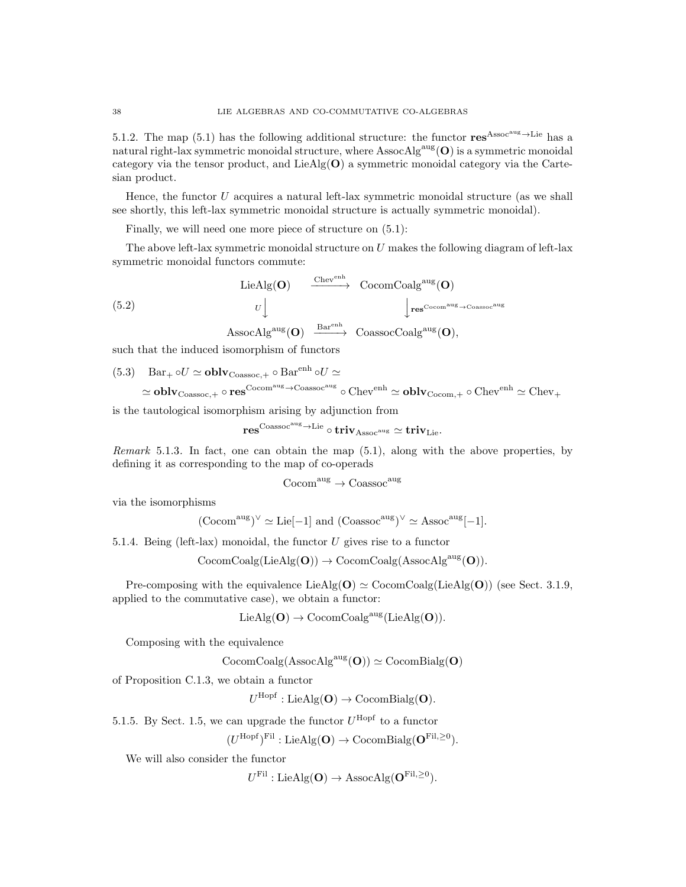5.1.2. The map (5.1) has the following additional structure: the functor  $res^{Assoc^{aug}\rightarrow Lie}$  has a natural right-lax symmetric monoidal structure, where  $\text{AssocAlg}^{\text{aug}}(\mathbf{O})$  is a symmetric monoidal category via the tensor product, and LieAlg(O) a symmetric monoidal category via the Cartesian product.

Hence, the functor  $U$  acquires a natural left-lax symmetric monoidal structure (as we shall see shortly, this left-lax symmetric monoidal structure is actually symmetric monoidal).

Finally, we will need one more piece of structure on (5.1):

The above left-lax symmetric monoidal structure on  $U$  makes the following diagram of left-lax symmetric monoidal functors commute:

$$
\begin{array}{ccc}\n\text{LieAlg}(\mathbf{O}) & \xrightarrow{\text{Chev}^{\text{enh}}} & \text{CocomCoalg}^{\text{aug}}(\mathbf{O}) \\
& U \downarrow & \downarrow \text{res}^{\text{Cocomaug}} \rightarrow \text{Coassocaug} \\
\text{AssocAlg}^{\text{aug}}(\mathbf{O}) & \xrightarrow{\text{Bar}^{\text{enh}}} & \text{CoassocCoalg}^{\text{aug}}(\mathbf{O}),\n\end{array}
$$

such that the induced isomorphism of functors

(5.3) 
$$
Bar_+ \circ U \simeq \mathbf{oblv}_{\text{Coassoc},+} \circ Bar^{enh} \circ U \simeq
$$
\n $\simeq \mathbf{oblv}_{\text{Coassoc},+} \circ \mathbf{res}^{\text{Cocom}^{\text{aug}} \to \text{Coassoc}^{\text{aug}}} \circ \text{Chev}^{\text{enh}} \simeq \mathbf{oblv}_{\text{Cocom},+} \circ \text{Chev}^{\text{enh}} \simeq \text{Chev}_+$ 

is the tautological isomorphism arising by adjunction from

$$
\mathbf{res}^{\mathrm{Coassoc}^{\mathrm{aug}}\to\mathrm{Lie}}\circ\mathbf{triv}_{\mathrm{Assoc}^{\mathrm{aug}}}\simeq\mathbf{triv}_{\mathrm{Lie}}.
$$

Remark 5.1.3. In fact, one can obtain the map  $(5.1)$ , along with the above properties, by defining it as corresponding to the map of co-operads

$$
\mathrm{Cocom}^{\mathrm{aug}} \to \mathrm{Coassoc}^{\mathrm{aug}}
$$

via the isomorphisms

$$
(\mathrm{Cocom}^{\mathrm{aug}})^{\vee} \simeq \mathrm{Lie}[-1]
$$
 and  $(\mathrm{Coassoc}^{\mathrm{aug}})^{\vee} \simeq \mathrm{Assoc}^{\mathrm{aug}}[-1]$ .

5.1.4. Being (left-lax) monoidal, the functor  $U$  gives rise to a functor

 $\mathrm{CocomCoalg}(\mathrm{LieAlg}(\mathbf{O})) \rightarrow \mathrm{CocomCoalg}(\mathrm{AssocAlg}^{\mathrm{aug}}(\mathbf{O})).$ 

Pre-composing with the equivalence  $\text{LieAlg}(\mathbf{O}) \simeq \text{CocomCoalg}(\text{LieAlg}(\mathbf{O}))$  (see Sect. 3.1.9, applied to the commutative case), we obtain a functor:

 $LieAlg(O) \rightarrow CocomCoalg^{aug}(LieAlg(O)).$ 

Composing with the equivalence

$$
\mathrm{CocomCoalg}(\mathrm{AssocAlg}^{\mathrm{aug}}(\mathbf{O})) \simeq \mathrm{CocomBialg}(\mathbf{O})
$$

of Proposition C.1.3, we obtain a functor

 $U^{\text{Hopf}}:\text{LieAlg}(\mathbf{O})\to \text{CocomBialg}(\mathbf{O}).$ 

5.1.5. By Sect. 1.5, we can upgrade the functor  $U^{\text{Hopf}}$  to a functor

 $(U^{\text{Hopf}})^{\text{Fil}}: \text{LieAlg}(\mathbf{O}) \to \text{CocomBialg}(\mathbf{O}^{\text{Fil},\geq 0}).$ 

We will also consider the functor

 $U^{\text{Fil}}: \text{LieAlg}(\mathbf{O}) \to \text{AssocAlg}(\mathbf{O}^{\text{Fil}, \geq 0}).$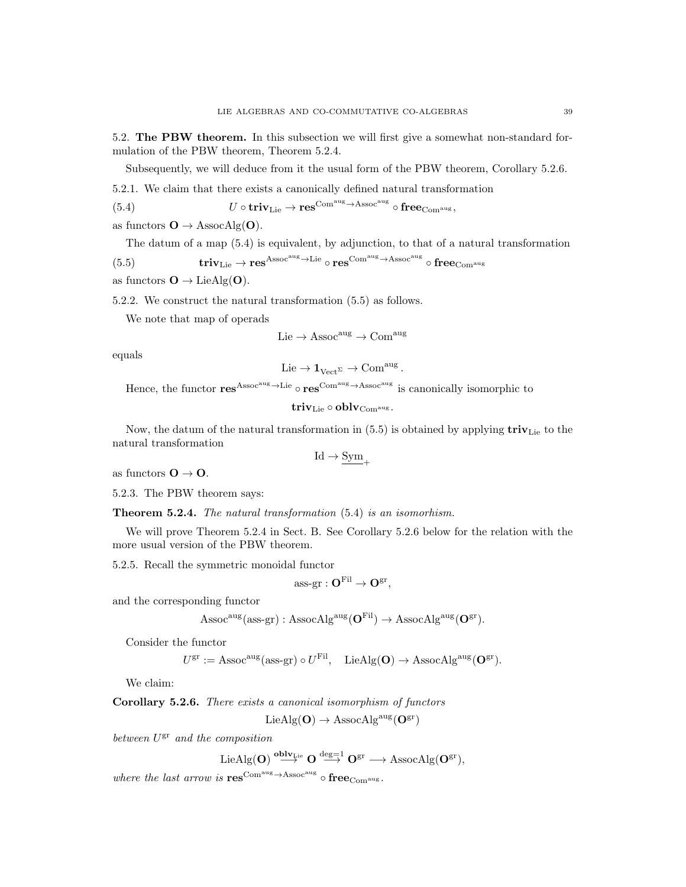5.2. The PBW theorem. In this subsection we will first give a somewhat non-standard formulation of the PBW theorem, Theorem 5.2.4.

Subsequently, we will deduce from it the usual form of the PBW theorem, Corollary 5.2.6.

5.2.1. We claim that there exists a canonically defined natural transformation

(5.4) 
$$
U \circ \mathbf{triv}_{\mathrm{Lie}} \to \mathbf{res}^{\mathrm{Com}^{\mathrm{aug}} \to \mathrm{Assoc}^{\mathrm{aug}}} \circ \mathbf{free}_{\mathrm{Com}^{\mathrm{aug}}},
$$

as functors  $O \rightarrow$  AssocAlg(O).

The datum of a map (5.4) is equivalent, by adjunction, to that of a natural transformation

$$
(5.5) \hspace{1.5cm} \textbf{triv}_{\rm Lie} \rightarrow \textbf{res}^{\rm Assoc^{\rm aug} \rightarrow \rm Lie} \circ \textbf{res}^{\rm Com^{\rm aug} \rightarrow \rm Assoc^{\rm aug}} \circ \textbf{free}_{\rm Com^{\rm aug}}
$$

as functors  $\mathbf{O} \to \text{LieAlg}(\mathbf{O})$ .

5.2.2. We construct the natural transformation (5.5) as follows.

We note that map of operads

 $Lie \to Assoc<sup>aug</sup> \to Com<sup>aug</sup>$ 

equals

$$
\mathrm{Lie}\to \mathbf{1}_{\mathrm{Vect}^{\Sigma}}\to \mathrm{Com}^{\mathrm{aug}}
$$

.

Hence, the functor  $res^{Assoc^{aug}\to Lie} \circ res^{Com^{aug}\to Assoc^{aug}}$  is canonically isomorphic to

 $\mathbf{triv}_{\mathrm{Lie}} \circ \mathbf{oblv}_{\mathrm{Com}^{\mathrm{aug}}}.$ 

Now, the datum of the natural transformation in  $(5.5)$  is obtained by applying  $\mathbf{triv}_{\text{Lie}}$  to the natural transformation

 $Id \rightarrow \underline{\mathrm{Sym}}_{+}$ 

as functors  $O \rightarrow O$ .

5.2.3. The PBW theorem says:

Theorem 5.2.4. The natural transformation (5.4) is an isomorhism.

We will prove Theorem 5.2.4 in Sect. B. See Corollary 5.2.6 below for the relation with the more usual version of the PBW theorem.

5.2.5. Recall the symmetric monoidal functor

$$
\text{ass-}\mathrm{gr}:O^{\mathrm{Fil}}\to O^{\mathrm{gr}},
$$

and the corresponding functor

$$
\operatorname{Assoc}^{\text{aug}}(\operatorname{ass-gr}): \operatorname{AssocAlg}^{\text{aug}}(\mathbf{O}^{\text{Fil}}) \to \operatorname{AssocAlg}^{\text{aug}}(\mathbf{O}^{\text{gr}}).
$$

Consider the functor

$$
U^{\rm gr} := \operatorname{Assoc}^{\rm aug}(\operatorname{ass-gr}) \circ U^{\rm Fil}, \quad \operatorname{LieAlg}(\mathbf{O}) \to \operatorname{AssocAlg}^{\rm aug}(\mathbf{O}^{\rm gr}).
$$

We claim:

Corollary 5.2.6. There exists a canonical isomorphism of functors

 $LieAlg(O) \rightarrow AssociAlg^{aug}(O^{gr})$ 

between  $U^{\text{gr}}$  and the composition

$$
\text{LieAlg}(\mathbf{O})\stackrel{{\bf oblv}_{{\bf Lie}}}{\longrightarrow}\mathbf{O}\stackrel{{\bf deg}=1}{\longrightarrow}\mathbf{O}^{gr}\longrightarrow \text{AssocAlg}(\mathbf{O}^{gr}),
$$

where the last arrow is  $\mathbf{res}^{\mathrm{Com}^{\mathrm{aug}} \to \mathrm{Assoc}^{\mathrm{aug}}} \circ \mathbf{free}_{\mathrm{Com}^{\mathrm{aug}}}$ .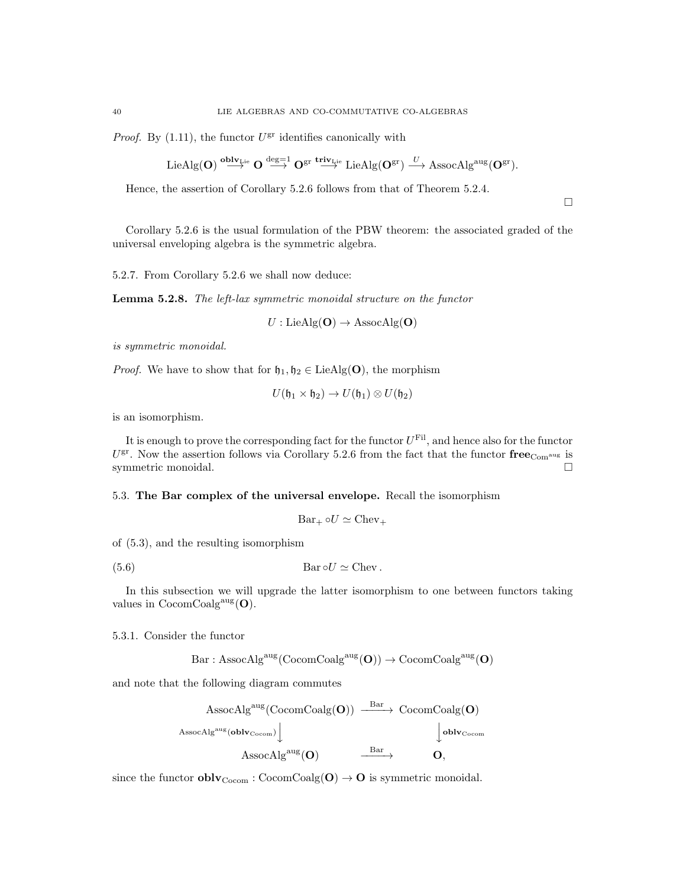*Proof.* By  $(1.11)$ , the functor  $U^{\text{gr}}$  identifies canonically with

$$
\text{LieAlg}(\mathbf{O})\stackrel{{\bf{oblv}}_{\mathbf{Lie}}}{\longrightarrow}\mathbf{O}\stackrel{{\rm{deg}}=1}{\longrightarrow}\mathbf{O}^{\rm{gr}}\stackrel{{\bf{triv}}_{\mathbf{Lie}}}{\longrightarrow}\text{LieAlg}(\mathbf{O}^{\rm{gr}})\stackrel{U}{\longrightarrow}\text{AssocAlg}^{\rm{aug}}(\mathbf{O}^{\rm{gr}}).
$$

Hence, the assertion of Corollary 5.2.6 follows from that of Theorem 5.2.4.

 $\Box$ 

Corollary 5.2.6 is the usual formulation of the PBW theorem: the associated graded of the universal enveloping algebra is the symmetric algebra.

5.2.7. From Corollary 5.2.6 we shall now deduce:

Lemma 5.2.8. The left-lax symmetric monoidal structure on the functor

 $U : \text{LieAlg}(\mathbf{O}) \to \text{AssocAlg}(\mathbf{O})$ 

is symmetric monoidal.

*Proof.* We have to show that for  $\mathfrak{h}_1, \mathfrak{h}_2 \in \text{LieAlg}(\mathbf{O})$ , the morphism

$$
U(\mathfrak{h}_1\times \mathfrak{h}_2)\to U(\mathfrak{h}_1)\otimes U(\mathfrak{h}_2)
$$

is an isomorphism.

It is enough to prove the corresponding fact for the functor  $U^{\text{Fil}}$ , and hence also for the functor  $U^{\text{gr}}$ . Now the assertion follows via Corollary 5.2.6 from the fact that the functor  $\mathbf{free}_{\text{Com}^{\text{aug}}}$  is symmetric monoidal.

5.3. The Bar complex of the universal envelope. Recall the isomorphism

$$
Bar_+ \circ U \simeq \text{Chev}_+
$$

of (5.3), and the resulting isomorphism

(5.6) 
$$
Bar \circ U \simeq Chev.
$$

In this subsection we will upgrade the latter isomorphism to one between functors taking values in  $\mathrm{CocomCoalg}^{\mathrm{aug}}(\mathbf{O}).$ 

5.3.1. Consider the functor

 $Bar: {\rm AssocAlg}^{\rm aug}({\rm CocomCoalg}^{\rm aug}(\mathbf{O})) \rightarrow {\rm CocomCoalg}^{\rm aug}(\mathbf{O})$ 

and note that the following diagram commutes

$$
\begin{array}{ccc} & \mathrm{AssocAlg}^{\mathrm{aug}}(\mathrm{CocomCoalg}(\mathbf{O})) & \xrightarrow{\mathrm{Bar}} & \mathrm{CocomCoalg}(\mathbf{O}) \\ & & & \downarrow{\mathrm{oblv}}_{\mathrm{Cocom}}) \downarrow & & \\ & & & \mathrm{AbsocAlg}^{\mathrm{aug}}(\mathbf{O}) & \xrightarrow{\mathrm{Bar}} & \mathbf{O}, \end{array}
$$

since the functor  $oblv_{Cocom}$ :  $CocomCoalg(O) \rightarrow O$  is symmetric monoidal.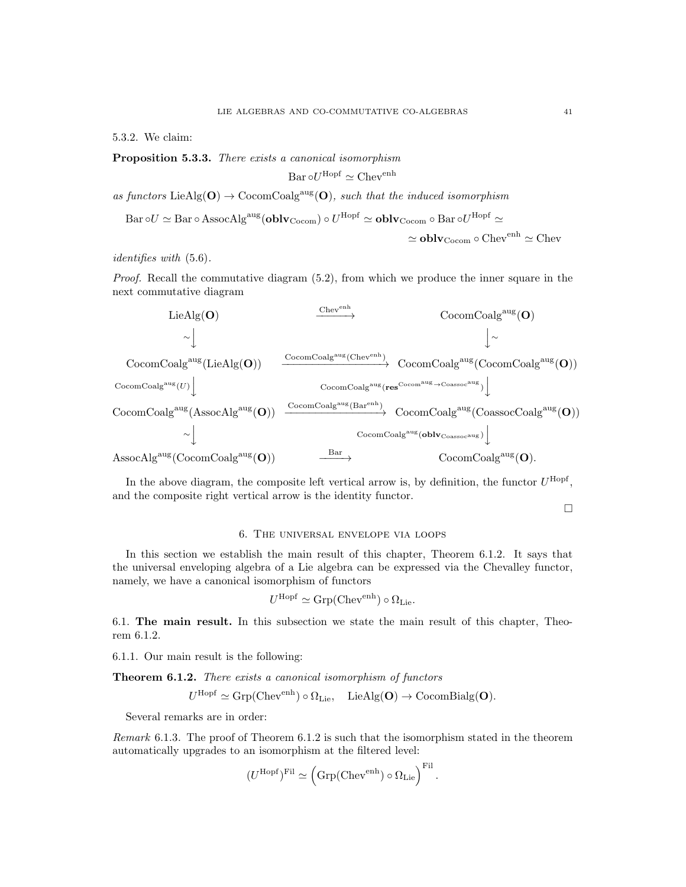5.3.2. We claim:

Proposition 5.3.3. There exists a canonical isomorphism

Bar 
$$
\circ U^{\text{Hopf}} \simeq \text{Chev}^{\text{enh}}
$$

as functors LieAlg( $O$ )  $\rightarrow$  CocomCoalg<sup>aug</sup>( $O$ ), such that the induced isomorphism

Bar oU 
$$
\simeq
$$
Bar o AssocAlg<sup>aug</sup>(**oblv**<sub>Cocom</sub>) o U<sup>Hopf</sup>  $\simeq$  **oblv**<sub>Cocom</sub> o Bar oU<sup>Hopf</sup>  $\simeq$   
 $\simeq$  **oblv**<sub>Cocom</sub> o Chev<sup>enh</sup>  $\simeq$  Chev

identifies with (5.6).

Proof. Recall the commutative diagram  $(5.2)$ , from which we produce the inner square in the next commutative diagram

$$
\begin{array}{ccc} \text{LieAlg}(\mathbf{O}) & \xrightarrow{\text{Chev}^{\text{enh}}} & \text{CocomCoalg}^{\text{aug}}(\mathbf{O}) \\ \hline \\ \begin{array}{c} \small{\sim} \end{array} & \small{\Big\downarrow} \small{\sim} & \small{\Big\downarrow} \small{\sim} \\ \text{CocomCoalg}^{\text{aug}}(\text{LieAlg}(\mathbf{O})) & \xrightarrow{\text{CocomCoalg}^{\text{aug}}(\text{Chev}^{\text{enh}})} & \text{CocomCoalg}^{\text{aug}}(\text{CocomCoalg}^{\text{aug}}(\mathbf{O})) \\ \text{CocomCoalg}^{\text{aug}}(U) \end{array} \\ \begin{array}{c} \small{\text{CocomCoalg}^{\text{aug}}(\text{res}^{\text{Cocom}^{\text{aug}} \rightarrow \text{Coassoc}^{\text{aug}})} \end{array} \small{\Big\downarrow} \\ \small{\text{CocomCoalg}^{\text{aug}}(\text{AssocAlg}^{\text{aug}}(\mathbf{O})) & \xrightarrow{\text{CocomCoalg}^{\text{aug}}(\text{Bar}^{\text{enh}})} & \text{CocomCoalg}^{\text{aug}}(\text{CoassocCoalg}^{\text{aug}}(\mathbf{O})) \\ \small{\sim} \end{array} \\ \small{\Big\downarrow} & \small{\begin{array}{c} \small{\text{CocomCoalg}^{\text{aug}}(\mathbf{O}) \mid \text{CocomCoalg}^{\text{aug}}(\text{Oblv}_{\text{Coassoc}^{\text{aug}}}) \end{array} \small{\Big\downarrow} \\ \small{\text{AssocAlg}^{\text{aug}}(\text{CocomCoalg}^{\text{aug}}(\mathbf{O})) & \xrightarrow{\text{Bar}} & \text{CocomCoalg}^{\text{aug}}(\mathbf{oblv}_{\text{Coassoc}^{\text{aug}}}) \end{array} \normalsize \end{array} \normalsize \begin{array}{c} \small{\text{CocomCoalg}^{\text{aug}}(\mathbf{O}) \mid \text{CocomCoalg}^{\text{aug}}(\mathbf{O}) \mid \text{CocomCoalg}^{\text{aug}}(\mathbf{O})) \\ \small{\text{CocomCoalg}^{\text{aug}}(\mathbf{O}) \mid \text{CocomCoalg}^{\text{aug}}(\mathbf{O}) \mid \text{CocomCoalg}^{\text{aug}}(\mathbf{O}) \mid \text{CocomCoalg}^{\text{aug}}(\mathbf{O}) \mid \
$$

In the above diagram, the composite left vertical arrow is, by definition, the functor  $U^{\text{Hopf}}$ , and the composite right vertical arrow is the identity functor.

 $\Box$ 

## 6. The universal envelope via loops

In this section we establish the main result of this chapter, Theorem 6.1.2. It says that the universal enveloping algebra of a Lie algebra can be expressed via the Chevalley functor, namely, we have a canonical isomorphism of functors

$$
U^{\text{Hopf}} \simeq \text{Grp}(\text{Chev}^{\text{enh}}) \circ \Omega_{\text{Lie}}.
$$

6.1. The main result. In this subsection we state the main result of this chapter, Theorem 6.1.2.

6.1.1. Our main result is the following:

Theorem 6.1.2. There exists a canonical isomorphism of functors

$$
U^{\text{Hopf}} \simeq \text{Grp}(\text{Chev}^{\text{enh}}) \circ \Omega_{\text{Lie}}, \quad \text{LieAlg}(\mathbf{O}) \to \text{CocomBialg}(\mathbf{O}).
$$

Several remarks are in order:

Remark 6.1.3. The proof of Theorem 6.1.2 is such that the isomorphism stated in the theorem automatically upgrades to an isomorphism at the filtered level:

$$
(U^{\rm Hopf})^{\rm Fil}\simeq \left({\rm Grp}({\rm Chev}^{\rm enh})\circ \Omega_{\rm Lie}\right)^{\rm Fil}.
$$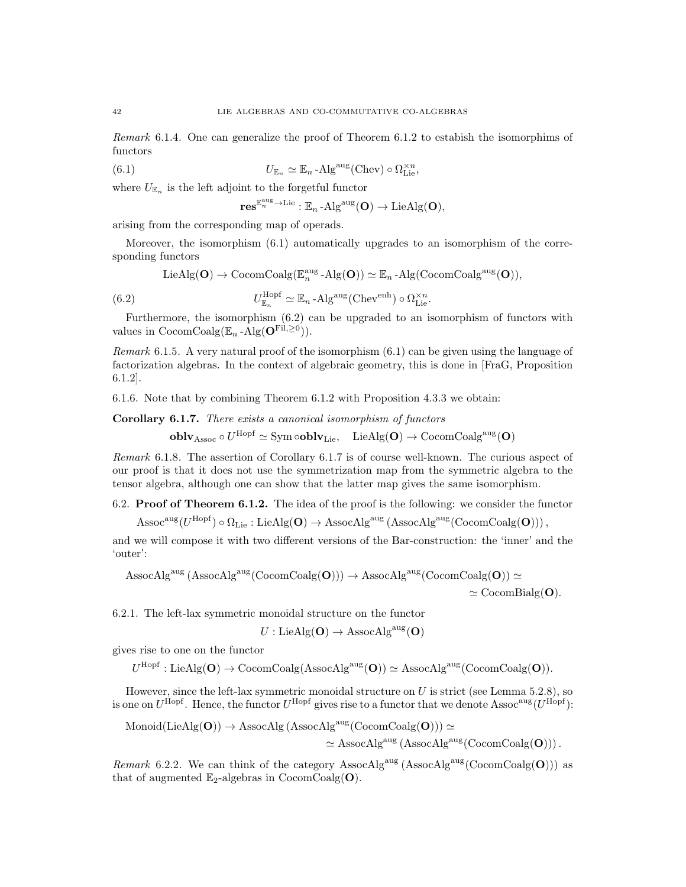Remark 6.1.4. One can generalize the proof of Theorem 6.1.2 to estabish the isomorphims of functors

(6.1) 
$$
U_{\mathbb{E}_n} \simeq \mathbb{E}_n - \text{Alg}^{\text{aug}}(\text{Chev}) \circ \Omega_{\text{Lie}}^{\times n},
$$

where  $U_{\mathbb{E}_n}$  is the left adjoint to the forgetful functor

 $\mathbf{res}^{\mathbb{E}_n^{\text{aug}} \to \text{Lie}} : \mathbb{E}_n\operatorname{-Alg}^{\text{aug}}(\mathbf{O}) \to \text{LieAlg}(\mathbf{O}),$ 

arising from the corresponding map of operads.

Moreover, the isomorphism (6.1) automatically upgrades to an isomorphism of the corresponding functors

 $\text{LieAlg}(\mathbf{O}) \to \text{CocomCoalg}(\mathbb{E}_n^{\text{aug}} - \text{Alg}(\mathbf{O})) \simeq \mathbb{E}_n - \text{Alg}(\text{CocomCoalg}^{\text{aug}}(\mathbf{O})),$ 

(6.2) 
$$
U_{\mathbb{E}_n}^{\text{Hopf}} \simeq \mathbb{E}_n \text{-Alg}^{\text{aug}}(\text{Chev}^{\text{enh}}) \circ \Omega_{\text{Lie}}^{\times n}.
$$

Furthermore, the isomorphism (6.2) can be upgraded to an isomorphism of functors with values in  $\mathrm{CocomCoalg}(\mathbb{E}_n - \mathrm{Alg}(\mathbf{O}^{\mathrm{Fil}, \geq 0}))$ .

*Remark* 6.1.5. A very natural proof of the isomorphism  $(6.1)$  can be given using the language of factorization algebras. In the context of algebraic geometry, this is done in [FraG, Proposition 6.1.2].

6.1.6. Note that by combining Theorem 6.1.2 with Proposition 4.3.3 we obtain:

Corollary 6.1.7. There exists a canonical isomorphism of functors

 ${\bf oblv}_{\rm Assoc}\circ U^{\rm Hopf}\simeq{\rm Sym}\,\circ{\bf oblv}_{\rm Lie},\quad{\rm LieAlg}({\bf O})\rightarrow{\rm CocomCoalg}^{\rm aug}({\bf O})$ 

Remark 6.1.8. The assertion of Corollary 6.1.7 is of course well-known. The curious aspect of our proof is that it does not use the symmetrization map from the symmetric algebra to the tensor algebra, although one can show that the latter map gives the same isomorphism.

6.2. Proof of Theorem 6.1.2. The idea of the proof is the following: we consider the functor

 $\operatorname{Assoc^{aug}}(U^{\operatorname{Hopf}})\circ \Omega_{\operatorname{Lie}}: \operatorname{LieAlg}(\mathbf{O}) \to \operatorname{AssocAlg}^{\operatorname{aug}}\left(\operatorname{AssocAlg}^{\operatorname{aug}}(\operatorname{CocomCoalg}(\mathbf{O})))\right),$ 

and we will compose it with two different versions of the Bar-construction: the 'inner' and the 'outer':

AssocAlg<sup>aug</sup> (AssocAlg<sup>aug</sup>(CocomCoalg(O)))  $\rightarrow$  AssocAlg<sup>aug</sup>(CocomCoalg(O))  $\simeq$ 

 $\simeq$  CocomBialg(O).

6.2.1. The left-lax symmetric monoidal structure on the functor

 $U: \text{LieAlg}(\mathbf{O}) \to \text{AssocAlg}^{\text{aug}}(\mathbf{O})$ 

gives rise to one on the functor

 $U^{\text{Hopf}}: \text{LieAlg}(\mathbf{O}) \to \text{CocomCoalg}(\text{AssocAlg}^{\text{aug}}(\mathbf{O})) \simeq \text{AssocAlg}^{\text{aug}}(\text{CocomCoalg}(\mathbf{O})).$ 

However, since the left-lax symmetric monoidal structure on  $U$  is strict (see Lemma 5.2.8), so is one on  $U^{\text{Hopf}}$ . Hence, the functor  $U^{\text{Hopf}}$  gives rise to a functor that we denote Assoc<sup>aug</sup> ( $U^{\text{Hopf}}$ ):

$$
\begin{aligned} \mathrm{Monoid}(\mathrm{LieAlg}(\mathbf{O})) &\rightarrow \mathrm{AssocAlg}\,(\mathrm{AssocAlg}^{\mathrm{aug}}(\mathrm{CocomCoalg}(\mathbf{O}))) \simeq \\ &\simeq \mathrm{AssocAlg}^{\mathrm{aug}}\,(\mathrm{AssocAlg}^{\mathrm{aug}}(\mathrm{CocomCoalg}(\mathbf{O})))\,. \end{aligned}
$$

*Remark* 6.2.2. We can think of the category AssocAlg<sup>aug</sup> (AssocAlg<sup>aug</sup> (CocomCoalg(O))) as that of augmented  $\mathbb{E}_2$ -algebras in CocomCoalg(**O**).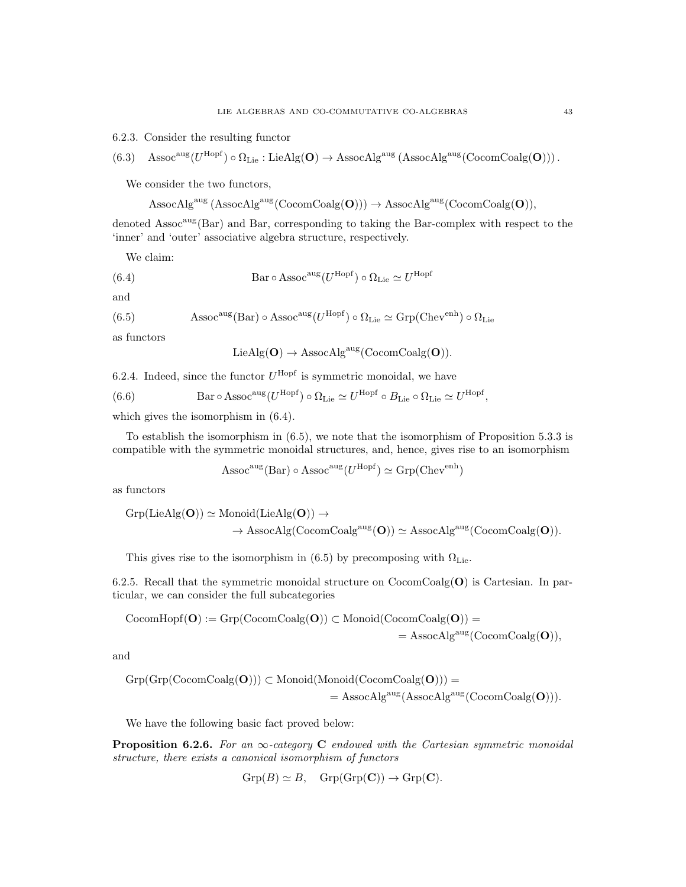6.2.3. Consider the resulting functor

$$
(6.3)\quad {\rm Assoc^{aug}}(U^{\rm Hopf})\circ \Omega_{\rm Lie}:{\rm LieAlg}(\mathbf{O})\to {\rm AssocAlg^{aug}}\left( {\rm AssocAlg^{aug}}({\rm CocomCoalg}(\mathbf{O}))\right).
$$

We consider the two functors,

$$
\mathrm{AssocAlg}^{\mathrm{aug}}\left(\mathrm{AssocAlg}^{\mathrm{aug}}(\mathrm{CocomCoalg}(\mathbf{O})))\to \mathrm{AssocAlg}^{\mathrm{aug}}(\mathrm{CocomCoalg}(\mathbf{O})),\right.
$$

denoted Assoc<sup>aug</sup>(Bar) and Bar, corresponding to taking the Bar-complex with respect to the 'inner' and 'outer' associative algebra structure, respectively.

We claim:

(6.4) 
$$
Bar \circ Assoc^{aug}(U^{Hopf}) \circ \Omega_{Lie} \simeq U^{Hopf}
$$

and

(6.5) 
$$
Assoc^{aug}(Bar) \circ Assoc^{aug}(U^{Hopf}) \circ \Omega_{Lie} \simeq Grp(Chev^{enh}) \circ \Omega_{Lie}
$$

as functors

$$
LieAlg(O) \to Associ\text{AssocAlg}^{\text{aug}}(\text{CocomCoalg}(O)).
$$

6.2.4. Indeed, since the functor  $U^{\text{Hopf}}$  is symmetric monoidal, we have

(6.6) 
$$
Bar \circ Assoc^{aug}(U^{Hopf}) \circ \Omega_{Lie} \simeq U^{Hopf} \circ B_{Lie} \circ \Omega_{Lie} \simeq U^{Hopf},
$$

which gives the isomorphism in  $(6.4)$ .

To establish the isomorphism in (6.5), we note that the isomorphism of Proposition 5.3.3 is compatible with the symmetric monoidal structures, and, hence, gives rise to an isomorphism

$$
Assoc^{\text{aug}}(Bar) \circ Assoc^{\text{aug}}(U^{\text{Hopf}}) \simeq \text{Grp}(Chev^{\text{enh}})
$$

as functors

$$
Grp(\text{LieAlg}(\mathbf{O})) \simeq \text{Monoid}(\text{LieAlg}(\mathbf{O})) \rightarrow
$$
  

$$
\rightarrow \text{AssocAlg}(\text{CocomCoalg}^{\text{aug}}(\mathbf{O})) \simeq \text{AssocAlg}^{\text{aug}}(\text{CocomCoalg}(\mathbf{O})).
$$

This gives rise to the isomorphism in (6.5) by precomposing with  $\Omega_{\rm Lie}.$ 

6.2.5. Recall that the symmetric monoidal structure on  $CocomCoalg(O)$  is Cartesian. In particular, we can consider the full subcategories

$$
CocomHopf(\mathbf{O}) := Grp(CocomCoalg(\mathbf{O})) \subset \mathrm{Monoid}(CocomCoalg(\mathbf{O})) = \\ = \mathrm{AssocAlg}^{\mathrm{aug}}(CocomCoalg(\mathbf{O})),
$$

and

$$
\begin{aligned} \operatorname{Grp}(\operatorname{Grp}(\operatorname{CocomCoalg}(\mathbf{O}))) \subset \operatorname{Monoid}(\operatorname{Monoid}(\operatorname{CocomCoalg}(\mathbf{O}))) = \\ & \qquad \qquad = \operatorname{AssocAlg}^{\operatorname{aug}}(\operatorname{AssocAlg}^{\operatorname{aug}}(\operatorname{CocomCoalg}(\mathbf{O}))). \end{aligned}
$$

We have the following basic fact proved below:

**Proposition 6.2.6.** For an  $\infty$ -category **C** endowed with the Cartesian symmetric monoidal structure, there exists a canonical isomorphism of functors

$$
Grp(B) \simeq B, \quad Grp(Grp(\mathbf{C})) \to Grp(\mathbf{C}).
$$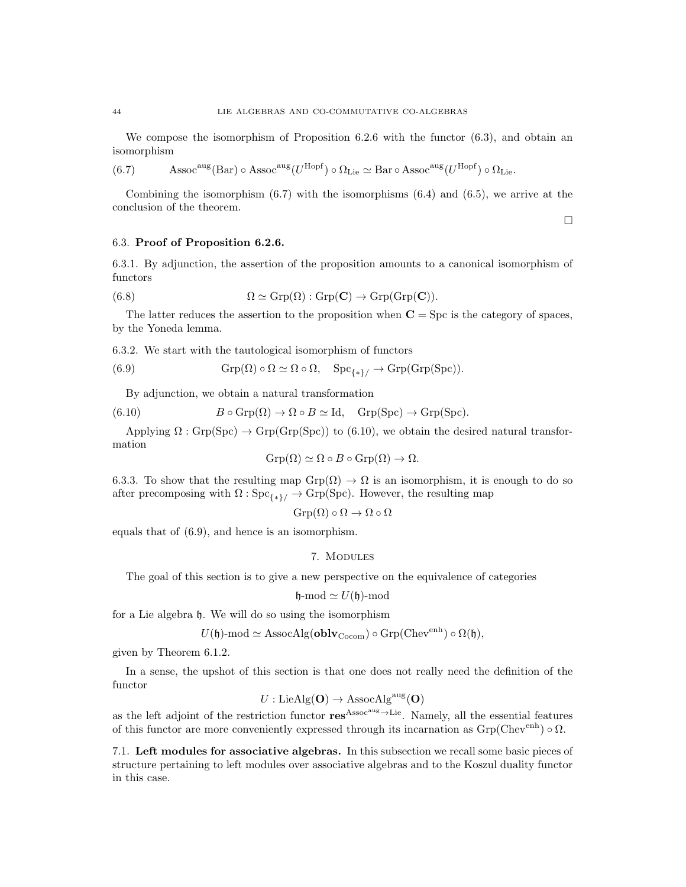We compose the isomorphism of Proposition 6.2.6 with the functor  $(6.3)$ , and obtain an isomorphism

(6.7) Assoc<sup>aug</sup> (Bar) ◦ Assoc<sup>aug</sup> ( $U^{\rm Hopf}$ ) ◦  $\Omega_{\rm Lie} \simeq$  Bar ◦ Assoc<sup>aug</sup> ( $U^{\rm Hopf}$ ) ◦  $\Omega_{\rm Lie}$ .

Combining the isomorphism  $(6.7)$  with the isomorphisms  $(6.4)$  and  $(6.5)$ , we arrive at the conclusion of the theorem.

 $\Box$ 

### 6.3. Proof of Proposition 6.2.6.

6.3.1. By adjunction, the assertion of the proposition amounts to a canonical isomorphism of functors

(6.8) 
$$
\Omega \simeq \text{Grp}(\Omega) : \text{Grp}(\mathbf{C}) \to \text{Grp}(\text{Grp}(\mathbf{C})).
$$

The latter reduces the assertion to the proposition when  $C = \text{Spc}$  is the category of spaces, by the Yoneda lemma.

6.3.2. We start with the tautological isomorphism of functors

(6.9) 
$$
Grp(\Omega) \circ \Omega \simeq \Omega \circ \Omega, \quad Spc_{\{*\}} \to Grp(Grp(Spc)).
$$

By adjunction, we obtain a natural transformation

(6.10) 
$$
B \circ \text{Grp}(\Omega) \to \Omega \circ B \simeq \text{Id}, \quad \text{Grp}(\text{Spc}) \to \text{Grp}(\text{Spc}).
$$

Applying  $\Omega$ : Grp(Spc)  $\rightarrow$  Grp(Grp(Spc)) to (6.10), we obtain the desired natural transformation

$$
\operatorname{Grp}(\Omega) \simeq \Omega \circ B \circ \operatorname{Grp}(\Omega) \to \Omega.
$$

6.3.3. To show that the resulting map  $Grp(\Omega) \to \Omega$  is an isomorphism, it is enough to do so after precomposing with  $\Omega$  : Spc<sub>{\*}/</sub>  $\rightarrow$  Grp(Spc). However, the resulting map

$$
\operatorname{Grp}(\Omega) \circ \Omega \to \Omega \circ \Omega
$$

equals that of (6.9), and hence is an isomorphism.

#### 7. Modules

The goal of this section is to give a new perspective on the equivalence of categories

$$
\mathfrak{h}\text{-}\mathrm{mod} \simeq U(\mathfrak{h})\text{-}\mathrm{mod}
$$

for a Lie algebra h. We will do so using the isomorphism

$$
U(\mathfrak{h})\text{-mod} \simeq \text{AssocAlg}(\mathbf{oblv}_{\text{Cocom}}) \circ \text{Grp}(\text{Chev}^{\text{enh}}) \circ \Omega(\mathfrak{h}),
$$

given by Theorem 6.1.2.

In a sense, the upshot of this section is that one does not really need the definition of the functor

$$
U: \mathrm{LieAlg}(\mathbf{O}) \to \mathrm{AssocAlg}^{\mathrm{aug}}(\mathbf{O})
$$

as the left adjoint of the restriction functor  $res^{Assoc^{aug}\rightarrow Lie}$ . Namely, all the essential features of this functor are more conveniently expressed through its incarnation as  $Grp(Chev<sup>enh</sup>) \circ \Omega$ .

7.1. Left modules for associative algebras. In this subsection we recall some basic pieces of structure pertaining to left modules over associative algebras and to the Koszul duality functor in this case.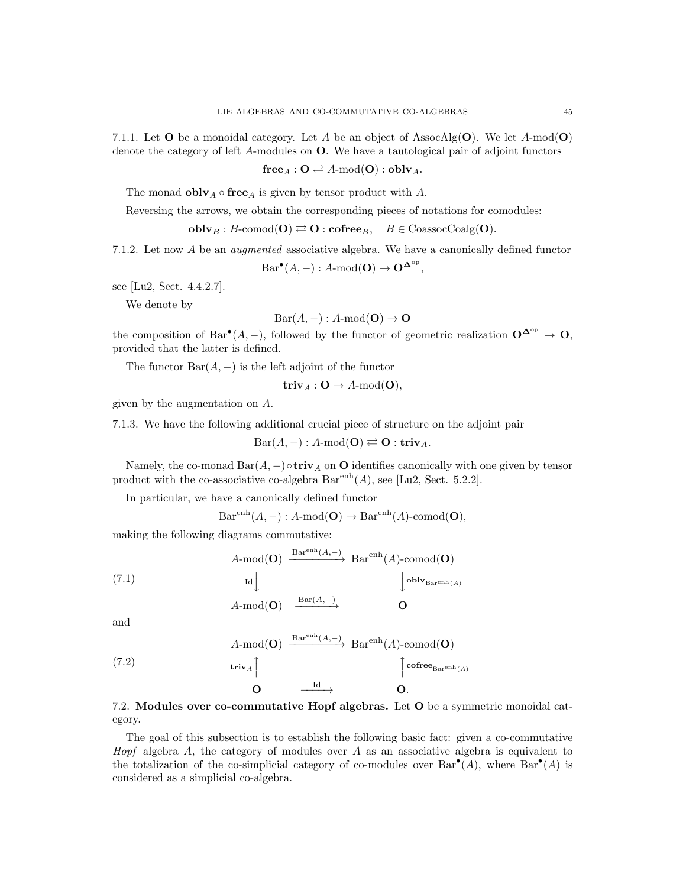7.1.1. Let **O** be a monoidal category. Let A be an object of AssocAlg(**O**). We let A-mod(**O**) denote the category of left A-modules on O. We have a tautological pair of adjoint functors

 $free_A : \mathbf{O} \rightleftarrows A\text{-mod}(\mathbf{O}) : \mathbf{oblv}_A.$ 

The monad **obly**  $_A \circ \textbf{free}_A$  is given by tensor product with A.

Reversing the arrows, we obtain the corresponding pieces of notations for comodules:

 $oblv_B : B\text{-comod}(\mathbf{O}) \rightleftarrows \mathbf{O} : \mathbf{cofree}_B, \quad B \in \text{CoassocCoalg}(\mathbf{O}).$ 

7.1.2. Let now A be an augmented associative algebra. We have a canonically defined functor

 $Bar^{\bullet}(A, -) : A\text{-mod}(\mathbf{O}) \to \mathbf{O}^{\mathbf{\Delta}^{\text{op}}},$ 

see [Lu2, Sect. 4.4.2.7].

We denote by

$$
Bar(A, -): A \text{-mod}(\mathbf{O}) \to \mathbf{O}
$$

the composition of Bar $^{\bullet}(A, -)$ , followed by the functor of geometric realization  $\mathbf{O}^{\mathbf{\Delta}^{\mathrm{op}}} \to \mathbf{O}$ , provided that the latter is defined.

The functor  $Bar(A, -)$  is the left adjoint of the functor

 $triv_A: O \to A\text{-mod}(O),$ 

given by the augmentation on A.

7.1.3. We have the following additional crucial piece of structure on the adjoint pair

 $Bar(A, -) : A\text{-mod}(\mathbf{O}) \rightleftarrows \mathbf{O} : \mathbf{triv}_A.$ 

Namely, the co-monad  $Bar(A, -) \circ$ **triv**<sub>A</sub> on **O** identifies canonically with one given by tensor product with the co-associative co-algebra  $Bar<sup>enh</sup>(A)$ , see [Lu2, Sect. 5.2.2].

In particular, we have a canonically defined functor

 $Bar<sup>enh</sup>(A, -) : A-mod(O) \rightarrow Bar<sup>enh</sup>(A)-comod(O),$ 

making the following diagrams commutative:

(7.1)  
\n
$$
A\text{-mod}(\mathbf{O}) \xrightarrow{\text{Bar}^{\text{enh}}(A,-)} \text{Bar}^{\text{enh}}(A)\text{-comod}(\mathbf{O})
$$
\n
$$
\downarrow \text{oblv}_{\text{Bar}^{(\text{enh}}(A)}
$$
\n
$$
A\text{-mod}(\mathbf{O}) \xrightarrow{\text{Bar}(A,-)} \mathbf{O}
$$

and

(7.2) 
$$
A \text{-mod}(\mathbf{O}) \xrightarrow{\text{Bar}^{\text{enh}}(A, -)} \text{Bar}^{\text{enh}}(A) \text{-comod}(\mathbf{O})
$$
  
\n $\text{triv}_A \uparrow \qquad \qquad \uparrow \text{cofree}_{\text{Bar}^{\text{enh}}(A)}$   
\n $\mathbf{O} \xrightarrow{\text{Id}} \mathbf{O}.$ 

7.2. Modules over co-commutative Hopf algebras. Let O be a symmetric monoidal category.

The goal of this subsection is to establish the following basic fact: given a co-commutative Hopf algebra  $A$ , the category of modules over  $A$  as an associative algebra is equivalent to the totalization of the co-simplicial category of co-modules over  $Bar^{\bullet}(A)$ , where  $Bar^{\bullet}(A)$  is considered as a simplicial co-algebra.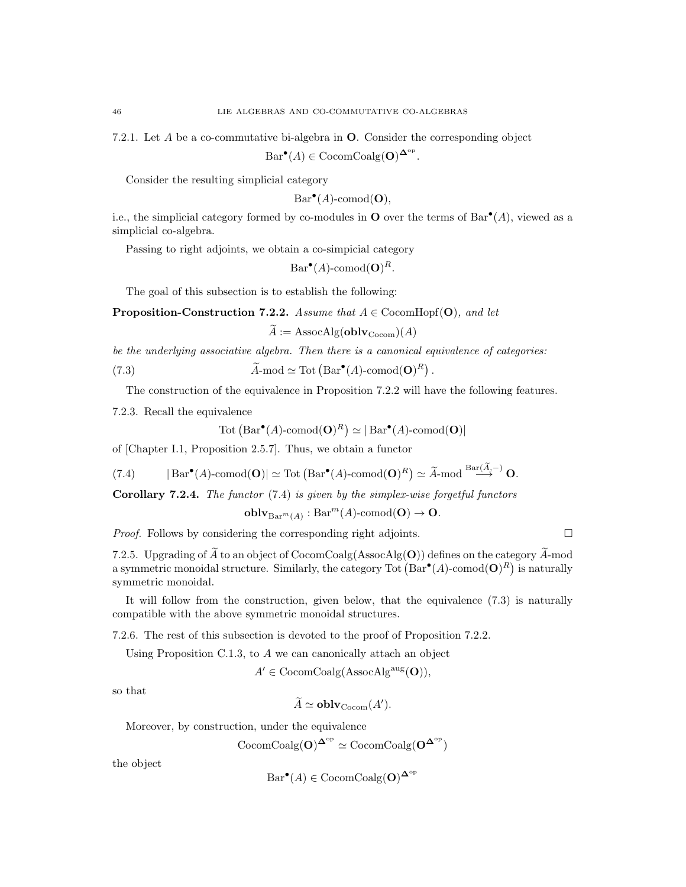7.2.1. Let A be a co-commutative bi-algebra in O. Consider the corresponding object

 $Bar^{\bullet}(A) \in \text{CocomCoalg}(\mathbf{O})^{\mathbf{\Delta}^{\text{op}}}.$ 

Consider the resulting simplicial category

$$
Bar^{\bullet}(A)\text{-comod}(\mathbf{O}),
$$

i.e., the simplicial category formed by co-modules in **O** over the terms of  $Bar^{\bullet}(A)$ , viewed as a simplicial co-algebra.

Passing to right adjoints, we obtain a co-simpicial category

 $Bar^{\bullet}(A)$ -comod $(O)^R$ .

The goal of this subsection is to establish the following:

**Proposition-Construction 7.2.2.** Assume that  $A \in \text{CocomHopf}(\mathbf{O})$ , and let

 $\widetilde{A} := \text{AssocAlg}(\textbf{oblv}_{\text{Cocom}})(A)$ 

be the underlying associative algebra. Then there is a canonical equivalence of categories:

(7.3) 
$$
\widetilde{A}\text{-mod} \simeq \text{Tot} \left( \text{Bar}^{\bullet}(A) \text{-comod}(\mathbf{O})^R \right).
$$

The construction of the equivalence in Proposition 7.2.2 will have the following features.

7.2.3. Recall the equivalence

$$
Tot (Bar•(A)-comod(O)R) \simeq | Bar•(A)-comod(O)|
$$

of [Chapter I.1, Proposition 2.5.7]. Thus, we obtain a functor

(7.4) 
$$
|\text{Bar}^{\bullet}(A)\text{-comod}(\mathbf{O})| \simeq \text{Tot}(\text{Bar}^{\bullet}(A)\text{-comod}(\mathbf{O})^R) \simeq \widetilde{A}\text{-mod}^{\text{Bar}(A,-)}\mathbf{O}.
$$

Corollary 7.2.4. The functor (7.4) is given by the simplex-wise forgetful functors

$$
\mathbf{oblv}_{\mathrm{Bar}^m(A)}:\mathrm{Bar}^m(A)\text{-comod}(\mathbf{O})\to\mathbf{O}.
$$

*Proof.* Follows by considering the corresponding right adjoints.  $\square$ 

7.2.5. Upgrading of  $\widetilde{A}$  to an object of CocomCoalg(AssocAlg(O)) defines on the category  $\widetilde{A}$ -mod a symmetric monoidal structure. Similarly, the category Tot  $(Bar^{\bullet}(A)\text{-comod}(\mathbf{O})^R)$  is naturally symmetric monoidal.

It will follow from the construction, given below, that the equivalence (7.3) is naturally compatible with the above symmetric monoidal structures.

7.2.6. The rest of this subsection is devoted to the proof of Proposition 7.2.2.

Using Proposition C.1.3, to A we can canonically attach an object

 $A' \in \text{CocomCoalg}(\text{AssocAlg}^{\text{aug}}(\mathbf{O})),$ 

so that

 $\widetilde{A} \simeq \textbf{oblv}_{\text{Cocom}}(A').$ 

Moreover, by construction, under the equivalence

$$
\mathrm{CocomCoalg}(O)^{\mathbf{\Delta}^{\mathrm{op}}}\simeq \mathrm{CocomCoalg}(O^{\mathbf{\Delta}^{\mathrm{op}}})
$$

the object

$$
Bar^{\bullet}(A) \in \mathrm{CocomCoalg}(\mathbf{O})^{\mathbf{\Delta}^{\mathrm{op}}}
$$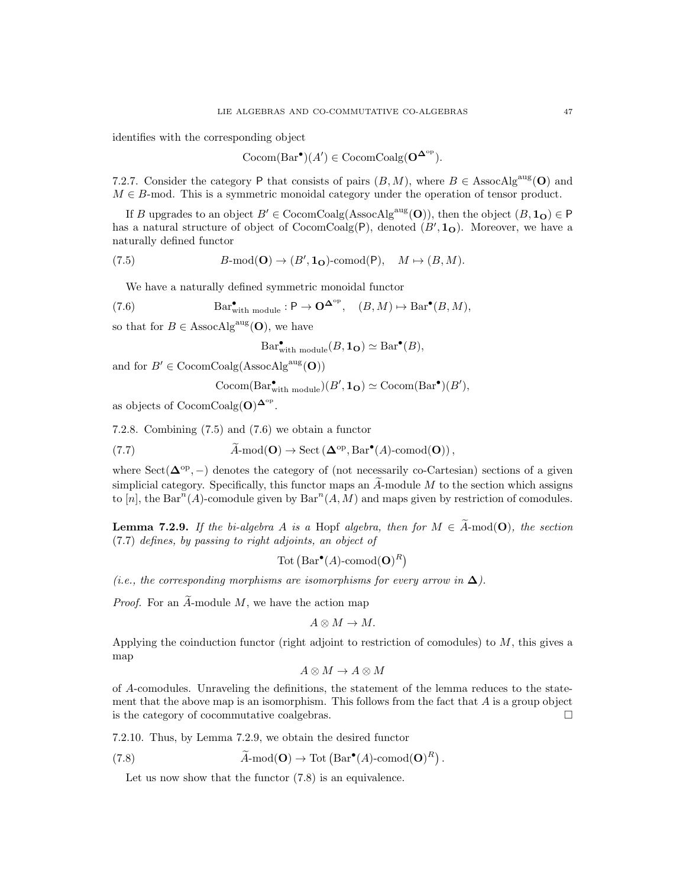identifies with the corresponding object

$$
Cocom(Bar^{\bullet})(A') \in CocomCoalg(\mathbf{O}^{\mathbf{\Delta}^{\mathrm{op}}}).
$$

7.2.7. Consider the category P that consists of pairs  $(B, M)$ , where  $B \in \text{AssocAlg}^{\text{aug}}(\mathbf{O})$  and  $M \in B$ -mod. This is a symmetric monoidal category under the operation of tensor product.

If B upgrades to an object  $B' \in \text{CocomCoalg}(AssocAlg^{aug}(\mathbf{O}))$ , then the object  $(B, \mathbf{1}_{\mathbf{O}}) \in \mathsf{P}$ has a natural structure of object of  $\text{CocomCoalg}(P)$ , denoted  $(B', \mathbf{1}_{\mathbf{O}})$ . Moreover, we have a naturally defined functor

(7.5) 
$$
B\text{-mod}(\mathbf{O}) \to (B', \mathbf{1}_{\mathbf{O}})\text{-comod}(\mathbf{P}), \quad M \mapsto (B, M).
$$

We have a naturally defined symmetric monoidal functor

(7.6) 
$$
\text{Bar}_{\text{with module}}^{\bullet}: \mathsf{P} \to \mathbf{O}^{\mathbf{\Delta}^{\text{op}}}, \quad (B, M) \mapsto \text{Bar}^{\bullet}(B, M),
$$

so that for  $B \in \text{AssocAlg}^{\text{aug}}(\mathbf{O})$ , we have

$$
\operatorname{Bar}^{\bullet}_{\text{with module}}(B, \mathbf{1}_{\mathbf{O}}) \simeq \operatorname{Bar}^{\bullet}(B),
$$

and for  $B' \in \text{CocomCoalg}(\text{AssocAlg}^{\text{aug}}(\mathbf{O}))$ 

$$
Cocom(Bar_{\text{with module}}^{\bullet})(B', \mathbf{1}_{\mathbf{O}}) \simeq Cocom(Bar^{\bullet})(B'),
$$

as objects of  $\text{CocomCoalg}(\mathbf{O})^{\mathbf{\Delta}^{\text{op}}}.$ 

7.2.8. Combining (7.5) and (7.6) we obtain a functor

(7.7) 
$$
\widetilde{A}\text{-mod}(\mathbf{O}) \to \text{Sect}(\mathbf{\Delta}^{\text{op}}, \text{Bar}^{\bullet}(A)\text{-comod}(\mathbf{O})),
$$

where  $Sect( \Delta^{op}, - )$  denotes the category of (not necessarily co-Cartesian) sections of a given simplicial category. Specifically, this functor maps an  $\overline{A}$ -module  $\overline{M}$  to the section which assigns to [n], the Bar<sup>n</sup>(A)-comodule given by Bar<sup>n</sup>(A, M) and maps given by restriction of comodules.

**Lemma 7.2.9.** If the bi-algebra A is a Hopf algebra, then for  $M \in \tilde{A}$ -mod(O), the section (7.7) defines, by passing to right adjoints, an object of

$$
Tot (Bar^{\bullet}(A)\text{-comod}(\mathbf{O})^R)
$$

(i.e., the corresponding morphisms are isomorphisms for every arrow in  $\Delta$ ).

*Proof.* For an  $\widetilde{A}$ -module M, we have the action map

$$
A\otimes M\to M.
$$

Applying the coinduction functor (right adjoint to restriction of comodules) to  $M$ , this gives a map

$$
A \otimes M \to A \otimes M
$$

of A-comodules. Unraveling the definitions, the statement of the lemma reduces to the statement that the above map is an isomorphism. This follows from the fact that  $A$  is a group object is the category of cocommutative coalgebras.

7.2.10. Thus, by Lemma 7.2.9, we obtain the desired functor

(7.8) 
$$
\widetilde{A}
$$
-mod(**O**)  $\to$  Tot  $(Bar^{\bullet}(A)$ -comod(**O**)<sup>R</sup>).

Let us now show that the functor  $(7.8)$  is an equivalence.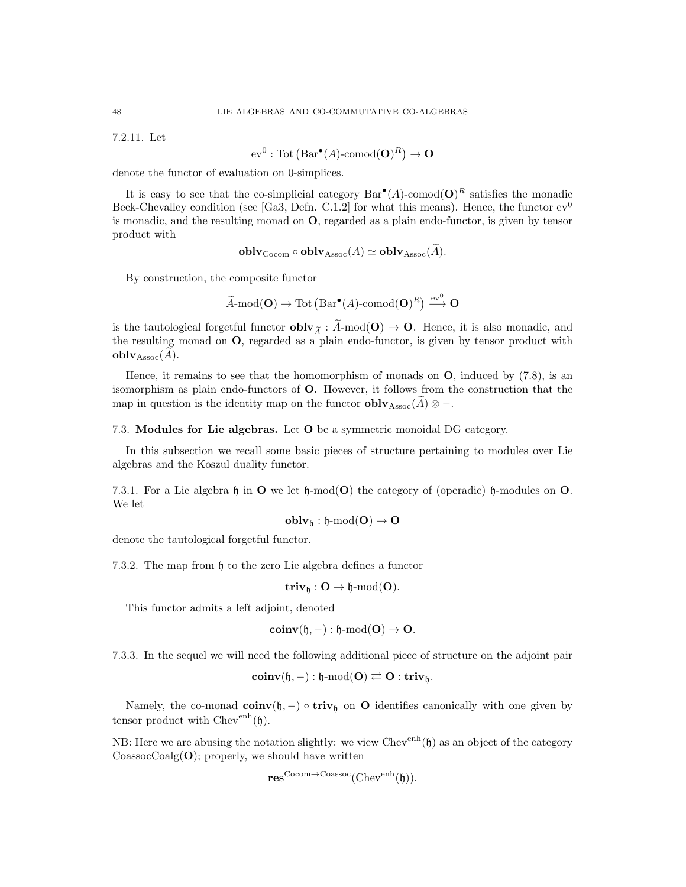7.2.11. Let

 $ev^0 : \text{Tot}(\text{Bar}^{\bullet}(A)\text{-comod}(\mathbf{O})^R) \to \mathbf{O}$ 

denote the functor of evaluation on 0-simplices.

It is easy to see that the co-simplicial category  $Bar^{\bullet}(A)$ -comod $(\mathbf{O})^R$  satisfies the monadic Beck-Chevalley condition (see [Ga3, Defn. C.1.2] for what this means). Hence, the functor  $ev^0$ is monadic, and the resulting monad on O, regarded as a plain endo-functor, is given by tensor product with

$$
oblvCocom \circ oblvAssoc(A) \simeq oblvAssoc(A).
$$

By construction, the composite functor

$$
\widetilde{A}\text{-mod}(\mathbf{O})\to \text{Tot}(\text{Bar}^{\bullet}(A)\text{-comod}(\mathbf{O})^R) \xrightarrow{\text{ev}^0} \mathbf{O}
$$

is the tautological forgetful functor  $\textbf{oblv}_{\widetilde{A}}:\widetilde{A}\textbf{-mod}(\mathbf{O})\to\mathbf{O}$ . Hence, it is also monadic, and the resulting monad on O, regarded as a plain endo-functor, is given by tensor product with  $$ 

Hence, it remains to see that the homomorphism of monads on  $\mathbf{O}$ , induced by (7.8), is an isomorphism as plain endo-functors of O. However, it follows from the construction that the map in question is the identity map on the functor  $\textbf{oblv}_{\text{Assoc}}(\tilde{A}) \otimes -$ .

7.3. Modules for Lie algebras. Let O be a symmetric monoidal DG category.

In this subsection we recall some basic pieces of structure pertaining to modules over Lie algebras and the Koszul duality functor.

7.3.1. For a Lie algebra h in  $\bf{O}$  we let h-mod( $\bf{O}$ ) the category of (operadic) h-modules on  $\bf{O}$ . We let

$$
\mathbf{oblv}_{\mathfrak{h}}:\mathfrak{h}\text{-}\mathrm{mod}(\mathbf{O})\to\mathbf{O}
$$

denote the tautological forgetful functor.

7.3.2. The map from  $\mathfrak h$  to the zero Lie algebra defines a functor

$$
\mathbf{triv}_\mathfrak{h} : O \rightarrow \mathfrak{h}\text{-}\mathrm{mod}(O).
$$

This functor admits a left adjoint, denoted

$$
\mathbf{coinv}(\mathfrak{h}, -): \mathfrak{h}\text{-}\mathrm{mod}(\mathbf{O}) \to \mathbf{O}.
$$

7.3.3. In the sequel we will need the following additional piece of structure on the adjoint pair

$$
\mathbf{coinv}(\mathfrak{h}, -): \mathfrak{h}\text{-}\mathrm{mod}(O) \rightleftarrows O:\mathbf{triv}_{\mathfrak{h}}.
$$

Namely, the co-monad coinv $(h, -) \circ$  triv<sub>h</sub> on O identifies canonically with one given by tensor product with  $Chev^{enh}(\mathfrak{h}).$ 

NB: Here we are abusing the notation slightly: we view  $Chev^{enh}(\mathfrak{h})$  as an object of the category  $CoassocCoalg(O);$  properly, we should have written

$$
\mathbf{res}^{\mathrm{Cocom}\rightarrow \mathrm{Coassoc}}(\mathrm{Chev}^{\mathrm{enh}}(\mathfrak{h})).
$$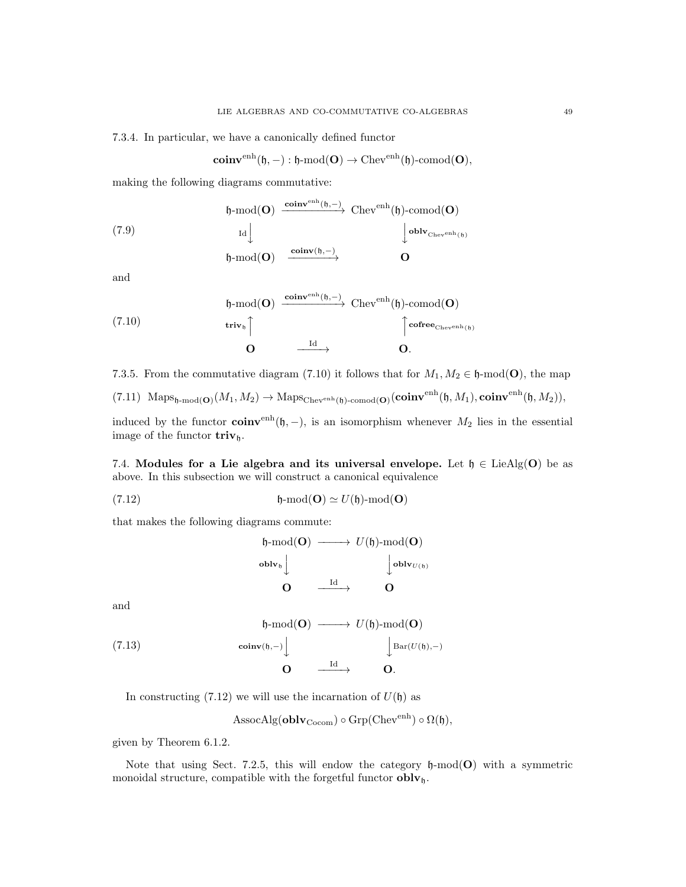7.3.4. In particular, we have a canonically defined functor

$$
\mathbf{coinv}^{\mathrm{enh}}(\mathfrak{h}, -): \mathfrak{h}\text{-}\mathrm{mod}(\mathbf{O}) \rightarrow \mathrm{Chev}^{\mathrm{enh}}(\mathfrak{h})\text{-}\mathrm{comod}(\mathbf{O}),
$$

making the following diagrams commutative:

(7.9)  
\n
$$
\begin{array}{ccc}\n\mathfrak{h}\text{-mod}(\mathbf{O}) & \xrightarrow{\text{coinv}^{\text{enh}}(\mathfrak{h}, -)} \text{Chev}^{\text{enh}}(\mathfrak{h})\text{-comod}(\mathbf{O}) \\
\downarrow^{\text{oblv}}_{\text{Chev}^{\text{enh}}(\mathfrak{h})} \\
\mathfrak{h}\text{-mod}(\mathbf{O}) & \xrightarrow{\text{coinv}(\mathfrak{h}, -)} & \mathbf{O}\n\end{array}
$$

and

(7.10)  
\n
$$
\begin{array}{ccc}\n\mathfrak{h}\text{-mod}(\mathbf{O}) & \xrightarrow{\text{coinv}^{\text{enh}}(\mathfrak{h}, -)} \text{Chev}^{\text{enh}}(\mathfrak{h})\text{-comod}(\mathbf{O}) \\
& \text{triv}_{\mathfrak{h}} \uparrow & & \uparrow^{\text{cofree}_{\text{Chev}^{\text{enh}}(\mathfrak{h})}} \\
& \mathbf{O} & \xrightarrow{\text{Id}} & \mathbf{O}.\n\end{array}
$$

7.3.5. From the commutative diagram (7.10) it follows that for  $M_1, M_2 \in \mathfrak{h}\text{-mod}(\mathbf{O})$ , the map

 $(7.11)$   $\operatorname{Maps}_{\mathfrak{h}\text{-mod}(\mathbf{O})}(M_1, M_2) \to \operatorname{Maps}_{\operatorname{Chev}^{\text{enh}}(\mathfrak{h})\text{-comod}(\mathbf{O})}(\mathbf{coinv}^{\text{enh}}(\mathfrak{h}, M_1), \mathbf{coinv}^{\text{enh}}(\mathfrak{h}, M_2)),$ 

induced by the functor  $\text{coinv}^{\text{enh}}(h, -)$ , is an isomorphism whenever  $M_2$  lies in the essential image of the functor  $\mathbf{triv}_{h}$ .

7.4. Modules for a Lie algebra and its universal envelope. Let  $\mathfrak{h} \in \text{LieAlg}(\mathbf{O})$  be as above. In this subsection we will construct a canonical equivalence

(7.12) 
$$
\mathfrak{h}\text{-mod}(\mathbf{O})\simeq U(\mathfrak{h})\text{-mod}(\mathbf{O})
$$

that makes the following diagrams commute:

$$
\begin{array}{ccc}\n\mathfrak{h}\text{-mod}(\mathbf{O}) & \xrightarrow{\hspace{15mm}} & U(\mathfrak{h})\text{-mod}(\mathbf{O}) \\
\text{oblv}_{\mathfrak{h}} & \downarrow & \downarrow \\
\mathbf{O} & \xrightarrow{\hspace{15mm} \mathrm{Id}} & \mathbf{O}\n\end{array}
$$

and

(7.13)  
\n
$$
\begin{array}{ccc}\n\mathfrak{h}\text{-mod}(\mathbf{O}) & \longrightarrow U(\mathfrak{h})\text{-mod}(\mathbf{O}) \\
\downarrow \text{Bar}(U(\mathfrak{h}),-) & \downarrow \text{Bar}(U(\mathfrak{h}),-) \\
\mathbf{O} & \xrightarrow{\text{Id}} & \mathbf{O}.\n\end{array}
$$

In constructing  $(7.12)$  we will use the incarnation of  $U(\mathfrak{h})$  as

$$
\mathrm{AssocAlg}(\mathbf{oblv}_{\mathrm{Cocom}})\circ\mathrm{Grp}(\mathrm{Chev}^{\mathrm{enh}})\circ\Omega(\mathfrak{h}),
$$

given by Theorem 6.1.2.

Note that using Sect. 7.2.5, this will endow the category  $\mathfrak{h}\text{-mod}(\mathbf{O})$  with a symmetric monoidal structure, compatible with the forgetful functor  $\textbf{oblv}_{\mathfrak{h}}$ .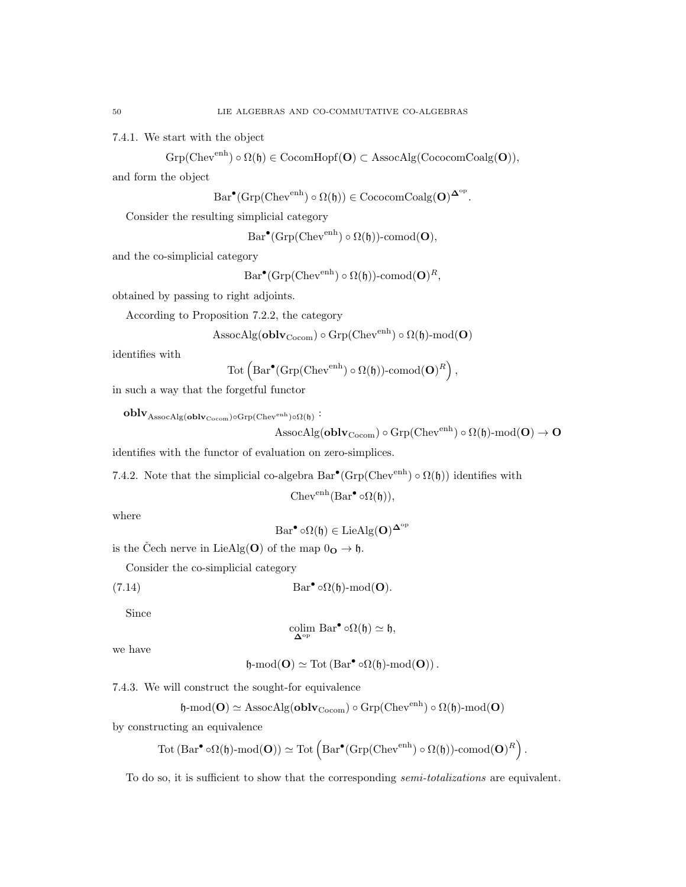7.4.1. We start with the object

 $\mathrm{Grp}(\mathrm{Chev}^{\mathrm{enh}}) \circ \Omega (\mathfrak{h}) \in \mathrm{CocomHopf}(\mathbf{O}) \subset \mathrm{AssocAlg}(\mathrm{CococomCoalg}(\mathbf{O})),$ 

and form the object

 $Bar^{\bullet}(\text{Grp}(\text{Chev}^{\text{enh}}) \circ \Omega(\mathfrak{h})) \in \text{CococomCoalg}(\mathbf{O})^{\mathbf{\Delta}^{\text{op}}}.$ 

Consider the resulting simplicial category

 $Bar^{\bullet}(\text{Grp}(\text{Chev}^{\text{enh}}) \circ \Omega(\mathfrak{h}))\text{-comod}(\mathbf{O}),$ 

and the co-simplicial category

 $Bar^{\bullet}(\text{Grp}(\text{Chev}^{\text{enh}}) \circ \Omega(\mathfrak{h}))\text{-comod}(\mathbf{O})^R,$ 

obtained by passing to right adjoints.

According to Proposition 7.2.2, the category

AssocAlg( $\textbf{oblv}_{\text{Cocom}}$ ) ◦ Grp( $\text{Chev}^{\text{enh}}$ ) ◦  $\Omega(\mathfrak{h})\text{-mod}(\mathbf{O})$ 

identifies with

$$
\text{Tot}\left(\text{Bar}^{\bullet}(\text{Grp}(\text{Chev}^{\text{enh}}) \circ \Omega(\mathfrak{h}))\text{-comod}(\mathbf{O})^R\right),
$$

in such a way that the forgetful functor

 ${\bf oblv}_{\rm AssocAlg({\bf oblv}_{\rm Cocom}) \circ \rm Grp({\rm Chev}^{\rm enh}) \circ \Omega(\mathfrak{h})}$  :

$$
\mathrm{AssocAlg}(\mathbf{oblv}_{\mathrm{Cocom}})\circ\mathrm{Grp}(\mathrm{Chev}^{\mathrm{enh}})\circ\Omega(\mathfrak{h})\text{-}\mathrm{mod}(\mathbf{O})\to\mathbf{O}
$$

identifies with the functor of evaluation on zero-simplices.

7.4.2. Note that the simplicial co-algebra  $Bar^{\bullet}(Grp(Chev^{enh}) \circ \Omega(\mathfrak{h}))$  identifies with

$$
\mathrm{Chev}^{\mathrm{enh}}(\mathrm{Bar}^{\bullet} \circ \Omega(\mathfrak{h})),
$$

where

$$
\operatorname{Bar}^{\bullet} \circ \Omega(\mathfrak{h}) \in \operatorname{LieAlg}(\mathbf{O})^{\mathbf{\Delta}^{\operatorname{op}}}
$$

is the Čech nerve in LieAlg(O) of the map  $0_{\mathbf{O}} \to \mathfrak{h}$ .

Consider the co-simplicial category

(7.14) 
$$
Bar^{\bullet} \circ \Omega(\mathfrak{h})\text{-mod}(\mathbf{O}).
$$

Since

$$
\operatornamewithlimits{colim}_{\Delta^{\operatorname{op}}} \, \mathrm{Bar}^{\bullet} \circ \Omega(\mathfrak{h}) \simeq \mathfrak{h},
$$

we have

$$
\mathfrak{h}\text{-}\mathrm{mod}(O)\simeq \mathrm{Tot}\left(\mathrm{Bar}^\bullet\circ\Omega(\mathfrak{h})\text{-}\mathrm{mod}(O)\right).
$$

7.4.3. We will construct the sought-for equivalence

 $\mathfrak{h}\text{-mod}(\mathbf{O})\simeq \text{AssocAlg}(\mathbf{oblv}_{\text{Cocom}})\circ\text{Grp}(\text{Chev}^{\text{enh}})\circ\Omega(\mathfrak{h})\text{-mod}(\mathbf{O})$ 

by constructing an equivalence

$$
\mathrm{Tot} \left( \mathrm{Bar}^\bullet \circ \Omega (\mathfrak{h}) \text{-}\mathrm{mod}(\mathbf{O}) \right) \simeq \mathrm{Tot} \left( \mathrm{Bar}^\bullet ( \mathrm{Grp} ( \mathrm{Chev}^\mathrm{enh} ) \circ \Omega (\mathfrak{h}) ) \text{-comod}(\mathbf{O})^R \right).
$$

To do so, it is sufficient to show that the corresponding *semi-totalizations* are equivalent.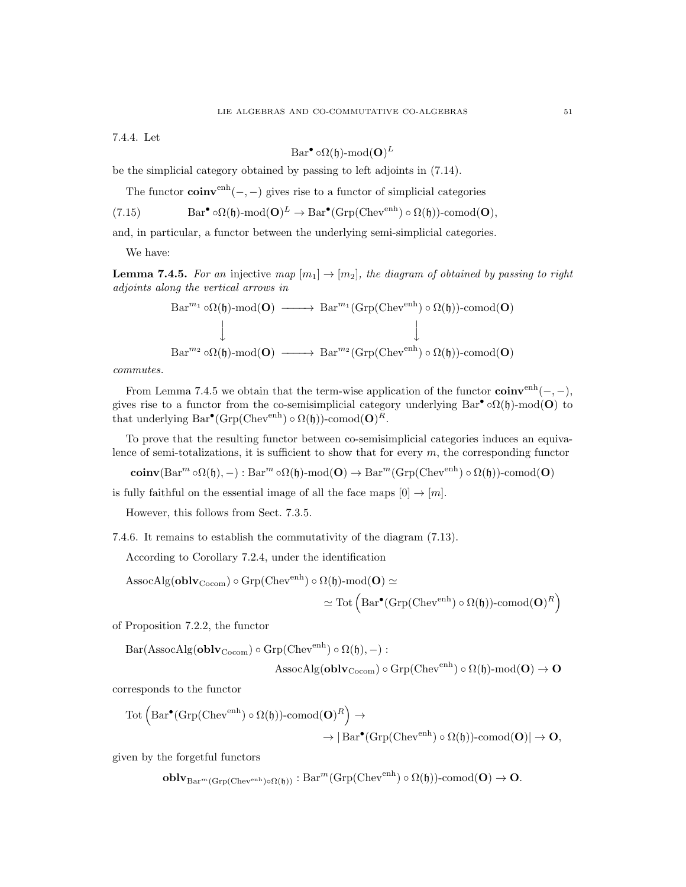7.4.4. Let

$$
\operatorname{Bar}^{\bullet} \circ \Omega(\mathfrak{h})\text{-}\mathrm{mod}(\mathbf{O})^L
$$

be the simplicial category obtained by passing to left adjoints in (7.14).

The functor  $\text{coinv}^{\text{enh}}(-, -)$  gives rise to a functor of simplicial categories

(7.15)  $\text{Bar}^{\bullet} \circ \Omega(\mathfrak{h})\text{-}\text{mod}(\mathbf{O})^L \to \text{Bar}^{\bullet}(\text{Grp}(\text{Chev}^{\text{enh}}) \circ \Omega(\mathfrak{h}))\text{-comod}(\mathbf{O}),$ 

and, in particular, a functor between the underlying semi-simplicial categories.

We have:

**Lemma 7.4.5.** For an injective map  $[m_1] \rightarrow [m_2]$ , the diagram of obtained by passing to right adjoints along the vertical arrows in

$$
\begin{array}{ccc}\n\text{Bar}^{m_1}\circ\Omega(\mathfrak{h})\text{-mod}(\mathbf{O}) & \xrightarrow{\qquad} \text{Bar}^{m_1}(\text{Grp}(\text{Chev}^{\text{enh}})\circ\Omega(\mathfrak{h}))\text{-comod}(\mathbf{O}) \\
\downarrow & \downarrow \\
\text{Bar}^{m_2}\circ\Omega(\mathfrak{h})\text{-mod}(\mathbf{O}) & \xrightarrow{\qquad} \text{Bar}^{m_2}(\text{Grp}(\text{Chev}^{\text{enh}})\circ\Omega(\mathfrak{h}))\text{-comod}(\mathbf{O})\n\end{array}
$$

commutes.

From Lemma 7.4.5 we obtain that the term-wise application of the functor  $\text{coinv}^{\text{enh}}(-,-)$ , gives rise to a functor from the co-semisimplicial category underlying  $Bar^{\bullet} \circ \Omega(\mathfrak{h})\text{-mod}(\mathbf{O})$  to that underlying  $Bar^{\bullet}(\text{Grp}(\text{Chev}^{\text{enh}}) \circ \Omega(\mathfrak{h}))$ -comod $(\mathbf{O})^R$ .

To prove that the resulting functor between co-semisimplicial categories induces an equivalence of semi-totalizations, it is sufficient to show that for every  $m$ , the corresponding functor

 $\mathbf{coinv}(\mathrm{Bar}^m \circ \Omega(\mathfrak{h}), -): \mathrm{Bar}^m \circ \Omega(\mathfrak{h})\text{-}\mathrm{mod}(\mathbf{O}) \to \mathrm{Bar}^m(\mathrm{Grp}(\mathrm{Chev}^{\mathrm{enh}}) \circ \Omega(\mathfrak{h}))\text{-}\mathrm{comod}(\mathbf{O})$ 

is fully faithful on the essential image of all the face maps  $[0] \rightarrow [m]$ .

However, this follows from Sect. 7.3.5.

7.4.6. It remains to establish the commutativity of the diagram (7.13).

According to Corollary 7.2.4, under the identification

AssocAlg(**oblv**<sub>Cocom</sub>) o Grp(Chev<sup>enh</sup>) o 
$$
\Omega(\mathfrak{h})
$$
-mod(**O**)  $\simeq$   
 $\simeq$  Tot  $\left( \text{Bar}^{\bullet}(\text{Grp}(\text{Chev}^{\text{enh}}) \circ \Omega(\mathfrak{h}))$ -comod(**O**)<sup>R</sup> \right)

of Proposition 7.2.2, the functor

 $Bar(AssocAlg(oblv_{Cocom}) \circ Grp(Chev<sup>enh</sup>) \circ \Omega(\mathfrak{h}), -):$ 

$$
\mathrm{AssocAlg}(\mathbf{oblv}_{\mathrm{Cocom}})\circ\mathrm{Grp}(\mathrm{Chev}^{\mathrm{enh}})\circ\Omega(\mathfrak{h})\text{-}\mathrm{mod}(\mathbf{O})\to\mathbf{O}
$$

corresponds to the functor

$$
\begin{aligned} \mathrm{Tot}& \left( \mathrm{Bar}^{\bullet}(\mathrm{Grp}(\mathrm{Chev}^{\mathrm{enh}}) \circ \Omega(\mathfrak{h})) \text{-comod}(\mathbf{O})^R \right) \rightarrow \\ & \rightarrow |\mathrm{Bar}^{\bullet}(\mathrm{Grp}(\mathrm{Chev}^{\mathrm{enh}}) \circ \Omega(\mathfrak{h})) \text{-comod}(\mathbf{O})| \rightarrow \mathbf{O}, \end{aligned}
$$

given by the forgetful functors

$$
\textbf{oblv}_{\text{Bar}^m(\text{Grp}(\text{Chev}^{\text{enh}})\circ\Omega(\mathfrak{h}))}:\text{Bar}^m(\text{Grp}(\text{Chev}^{\text{enh}})\circ\Omega(\mathfrak{h}))\text{-comod}(\mathbf{O})\to\mathbf{O}.
$$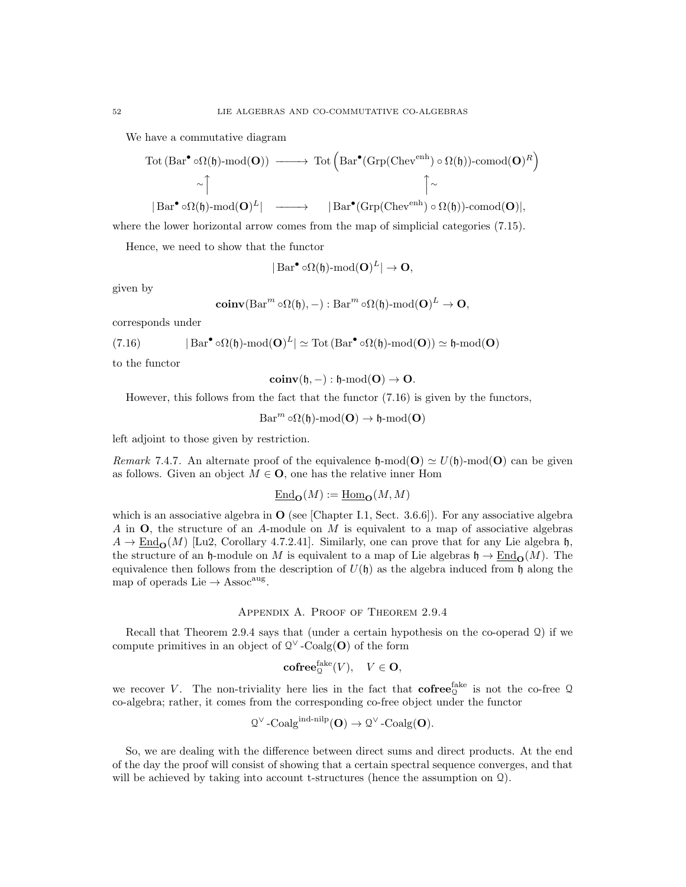We have a commutative diagram

$$
\begin{array}{ccc}\n\text{Tot (Bar}^{\bullet} \circ \Omega(\mathfrak{h})\text{-mod}(\mathbf{O})) & \longrightarrow & \text{Tot } \left( \text{Bar}^{\bullet}(\text{Grp}(\text{Chev}^{\text{enh}}) \circ \Omega(\mathfrak{h}))\text{-comod}(\mathbf{O})^{R} \right) \\
& \sim \uparrow & \uparrow \\
|\text{Bar}^{\bullet} \circ \Omega(\mathfrak{h})\text{-mod}(\mathbf{O})^{L}| & \longrightarrow & |\text{Bar}^{\bullet}(\text{Grp}(\text{Chev}^{\text{enh}}) \circ \Omega(\mathfrak{h}))\text{-comod}(\mathbf{O})|, \n\end{array}
$$

where the lower horizontal arrow comes from the map of simplicial categories (7.15).

Hence, we need to show that the functor

$$
|\operatorname{Bar}^{\bullet} \circ \Omega(\mathfrak{h})\text{-}\mathrm{mod}(\mathbf{O})^L| \to \mathbf{O},
$$

given by

$$
\mathbf{coinv}(\mathrm{Bar}^m \circ \Omega(\mathfrak{h}), -): \mathrm{Bar}^m \circ \Omega(\mathfrak{h})\text{-}\mathrm{mod}(\mathbf{O})^L \to \mathbf{O},
$$

corresponds under

(7.16) 
$$
|\operatorname{Bar}^{\bullet} \circ \Omega(\mathfrak{h})\text{-}\mathrm{mod}(\mathbf{O})^L| \simeq \operatorname{Tot}(\operatorname{Bar}^{\bullet} \circ \Omega(\mathfrak{h})\text{-}\mathrm{mod}(\mathbf{O})) \simeq \mathfrak{h}\text{-}\mathrm{mod}(\mathbf{O})
$$

to the functor

 $\text{coinv}(\mathfrak{h},-) : \mathfrak{h}\text{-mod}(\mathbf{O}) \to \mathbf{O}.$ 

However, this follows from the fact that the functor (7.16) is given by the functors,

 $Bar^m \circ \Omega(\mathfrak{h})\text{-mod}(\mathbf{O}) \to \mathfrak{h}\text{-mod}(\mathbf{O})$ 

left adjoint to those given by restriction.

Remark 7.4.7. An alternate proof of the equivalence  $\mathfrak{h}\text{-mod}(\mathbf{O}) \simeq U(\mathfrak{h})\text{-mod}(\mathbf{O})$  can be given as follows. Given an object  $M \in \mathbf{O}$ , one has the relative inner Hom

$$
\underline{\mathrm{End}}_{\mathbf{O}}(M) := \underline{\mathrm{Hom}}_{\mathbf{O}}(M, M)
$$

which is an associative algebra in  $\mathbf{O}$  (see [Chapter I.1, Sect. 3.6.6]). For any associative algebra A in O, the structure of an A-module on M is equivalent to a map of associative algebras  $A \to \text{End}_{\mathbf{O}}(M)$  [Lu2, Corollary 4.7.2.41]. Similarly, one can prove that for any Lie algebra h, the structure of an h-module on M is equivalent to a map of Lie algebras  $\mathfrak{h} \to \text{End}_{\mathbf{O}}(M)$ . The equivalence then follows from the description of  $U(\mathfrak{h})$  as the algebra induced from  $\mathfrak{h}$  along the map of operads Lie  $\rightarrow$  Assoc<sup>aug</sup>.

#### Appendix A. Proof of Theorem 2.9.4

Recall that Theorem 2.9.4 says that (under a certain hypothesis on the co-operad  $\Omega$ ) if we compute primitives in an object of  $\mathbb{Q}^{\vee}$ -Coalg(O) of the form

$$
\mathbf{cofree}_{\mathbf{Q}}^{\mathbf{fake}}(V), \quad V \in \mathbf{O},
$$

we recover V. The non-triviality here lies in the fact that  $\mathrm{cofree}_{\mathbb{Q}}^{\mathrm{fake}}$  is not the co-free Q co-algebra; rather, it comes from the corresponding co-free object under the functor

$$
\mathfrak{Q}^{\vee}
$$
-Coalg<sup>ind-nilp</sup> $(\mathbf{O}) \to \mathfrak{Q}^{\vee}$ -Coalg $(\mathbf{O})$ .

So, we are dealing with the difference between direct sums and direct products. At the end of the day the proof will consist of showing that a certain spectral sequence converges, and that will be achieved by taking into account t-structures (hence the assumption on  $\Omega$ ).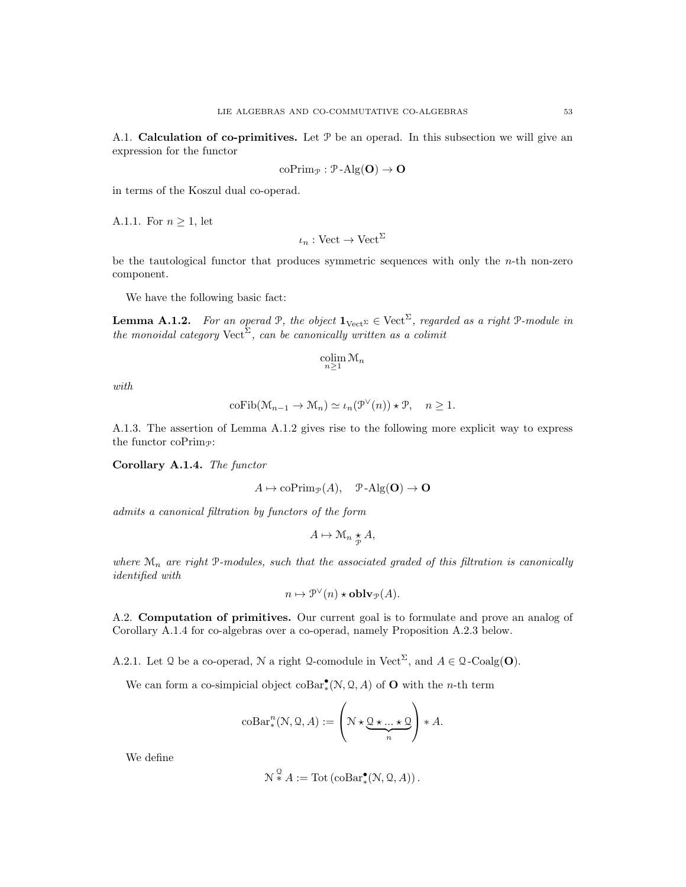A.1. **Calculation of co-primitives.** Let  $P$  be an operad. In this subsection we will give an expression for the functor

$$
\mathrm{coPrim}_{\mathcal{P}} : \mathcal{P}\text{-}\mathrm{Alg}(\mathbf{O}) \to \mathbf{O}
$$

in terms of the Koszul dual co-operad.

A.1.1. For  $n \geq 1$ , let

$$
\iota_n: \text{Vect} \to \text{Vect}^{\Sigma}
$$

be the tautological functor that produces symmetric sequences with only the  $n$ -th non-zero component.

We have the following basic fact:

**Lemma A.1.2.** For an operad P, the object  $\mathbf{1}_{Vect} \in \mathrm{Vect} \Sigma$ , regarded as a right P-module in the monoidal category  $\text{Vect}^{\Sigma}$ , can be canonically written as a colimit

$$
\operatornamewithlimits{colim}_{n\geq 1} \mathfrak{M}_n
$$

with

$$
\mathrm{coFib}(\mathcal{M}_{n-1}\to \mathcal{M}_n)\simeq \iota_n(\mathcal{P}^{\vee}(n))\star \mathcal{P},\quad n\geq 1.
$$

A.1.3. The assertion of Lemma A.1.2 gives rise to the following more explicit way to express the functor co $\text{Prim}_{\mathcal{P}}$ :

Corollary A.1.4. The functor

$$
A \mapsto \mathrm{coPrim}_{\mathcal{P}}(A), \quad \mathcal{P}\text{-}\mathrm{Alg}(\mathbf{O}) \to \mathbf{O}
$$

admits a canonical filtration by functors of the form

$$
A \mapsto \mathcal{M}_n \underset{\mathcal{P}}{\star} A,
$$

where  $\mathcal{M}_n$  are right P-modules, such that the associated graded of this filtration is canonically identified with

$$
n \mapsto \mathcal{P}^{\vee}(n) \star \mathbf{oblv}_{\mathcal{P}}(A).
$$

A.2. Computation of primitives. Our current goal is to formulate and prove an analog of Corollary A.1.4 for co-algebras over a co-operad, namely Proposition A.2.3 below.

A.2.1. Let Q be a co-operad, N a right Q-comodule in Vect<sup> $\Sigma$ </sup>, and  $A \in \mathcal{Q}$ -Coalg(**O**).

We can form a co-simpicial object  $\text{coBar}^{\bullet}_{*}(N, \mathcal{Q}, A)$  of **O** with the *n*-th term

$$
\mathrm{coBar}^n_*(\mathcal{N}, \mathcal{Q}, A) := \left(\mathcal{N} \star \underbrace{\mathcal{Q} \star \ldots \star \mathcal{Q}}_{n}\right) * A.
$$

We define

$$
\mathcal{N}^{\mathcal{Q}} * A := \mathrm{Tot} \left( \mathrm{coBar}^{\bullet}_{*}(\mathcal{N}, \mathcal{Q}, A) \right).
$$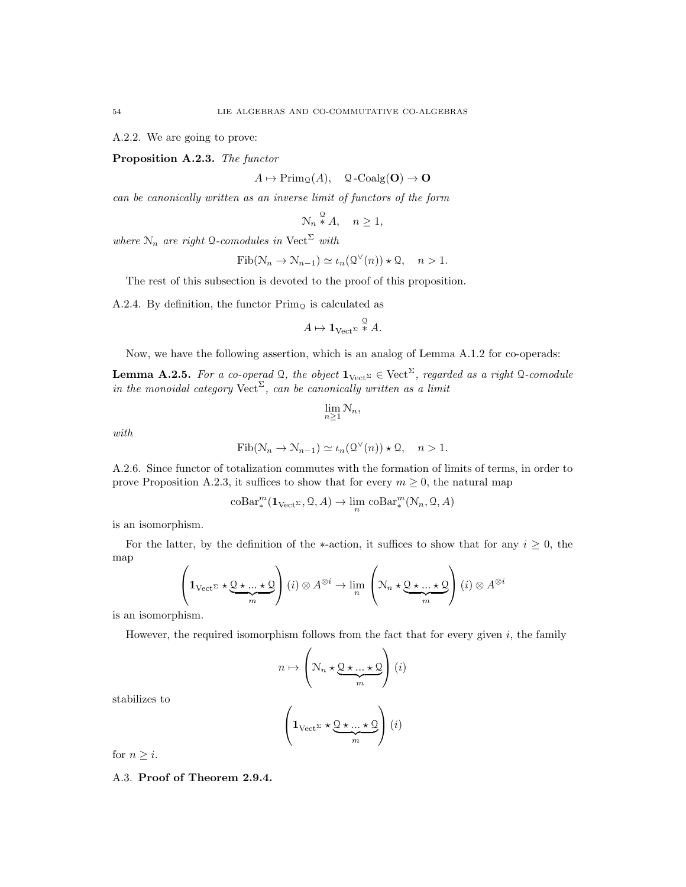A.2.2. We are going to prove:

Proposition A.2.3. The functor

 $A \mapsto \mathrm{Prim}_{\mathcal{Q}}(A), \quad \mathcal{Q}\text{-}\mathrm{Coalg}(\mathbf{O}) \to \mathbf{O}$ 

can be canonically written as an inverse limit of functors of the form

$$
\mathcal{N}_n \stackrel{\mathcal{Q}}{*} A, \quad n \ge 1,
$$

where  $\mathcal{N}_n$  are right Q-comodules in Vect<sup> $\Sigma$ </sup> with

 $\text{Fib}(\mathcal{N}_n \to \mathcal{N}_{n-1}) \simeq \iota_n(\mathcal{Q}^\vee(n)) \star \mathcal{Q}, \quad n > 1.$ 

The rest of this subsection is devoted to the proof of this proposition.

A.2.4. By definition, the functor  $\text{Prim}_{\mathcal{Q}}$  is calculated as

$$
A \mapsto \mathbf{1}_{\mathrm{Vect}^{\Sigma}} \stackrel{\mathcal{Q}}{\ast} A.
$$

Now, we have the following assertion, which is an analog of Lemma A.1.2 for co-operads:

**Lemma A.2.5.** For a co-operad Q, the object  $\mathbf{1}_{Vect^{\Sigma}} \in \mathrm{Vect}^{\Sigma}$ , regarded as a right Q-comodule in the monoidal category  $\text{Vect}^{\Sigma}$ , can be canonically written as a limit

$$
\lim_{n\geq 1}\mathcal{N}_n,
$$

with

$$
Fib(\mathcal{N}_n \to \mathcal{N}_{n-1}) \simeq \iota_n(\mathcal{Q}^{\vee}(n)) \star \mathcal{Q}, \quad n > 1.
$$

A.2.6. Since functor of totalization commutes with the formation of limits of terms, in order to prove Proposition A.2.3, it suffices to show that for every  $m \geq 0$ , the natural map

$$
\mathrm{coBar}^m_*(\mathbf{1}_{\mathrm{Vect}^{\Sigma}}, \mathcal{Q}, A) \to \lim_n \mathrm{coBar}^m_*(N_n, \mathcal{Q}, A)
$$

is an isomorphism.

For the latter, by the definition of the ∗-action, it suffices to show that for any  $i \geq 0$ , the map

$$
\left(\mathbf{1}_{\mathrm{Vect}^{\Sigma}}\star \underbrace{\mathbf{Q}\star \ldots \star \mathbf{Q}}_{m}\right)(i) \otimes A^{\otimes i} \to \lim_{n} \left(\mathbf{N}_{n} \star \underbrace{\mathbf{Q}\star \ldots \star \mathbf{Q}}_{m}\right)(i) \otimes A^{\otimes i}
$$

is an isomorphism.

However, the required isomorphism follows from the fact that for every given  $i$ , the family

$$
n \mapsto \left(\mathcal{N}_n \star \underbrace{\mathcal{Q} \star \ldots \star \mathcal{Q}}_m\right)(i)
$$

stabilizes to

$$
\left(\mathbf{1}_{\mathrm{Vect}^{\Sigma}} \star \underbrace{\mathbf{Q} \star \ldots \star \mathbf{Q}}_{m}\right) (i)
$$

for  $n \geq i$ .

A.3. Proof of Theorem 2.9.4.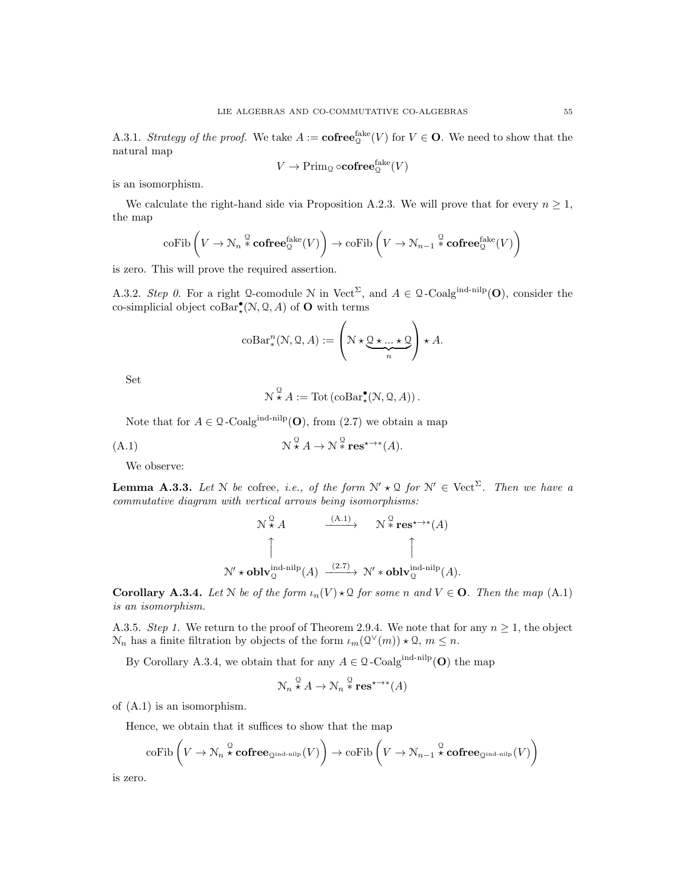A.3.1. Strategy of the proof. We take  $A := \mathbf{cofree}_{\mathbb{Q}}^{\mathbf{fake}}(V)$  for  $V \in \mathbf{O}$ . We need to show that the natural map

$$
V \to \mathrm{Prim}_{\mathbb{Q}} \circ \mathbf{cofree}_{\mathbb{Q}}^{\mathrm{fake}}(V)
$$

is an isomorphism.

We calculate the right-hand side via Proposition A.2.3. We will prove that for every  $n \geq 1$ , the map

$$
\mathrm{coFib}\left(V\to \mathcal{N}_n\overset{\mathcal{Q}}{*}\mathbf{cofree}_{\mathcal{Q}}^{\mathrm{fake}}(V)\right)\to \mathrm{coFib}\left(V\to \mathcal{N}_{n-1}\overset{\mathcal{Q}}{*}\mathbf{cofree}_{\mathcal{Q}}^{\mathrm{fake}}(V)\right)
$$

is zero. This will prove the required assertion.

A.3.2. Step 0. For a right Q-comodule N in Vect<sup>2</sup>, and  $A \in \mathcal{Q}$ -Coalg<sup>ind-nilp</sup>(O), consider the co-simplicial object  $\mathrm{coBar}^{\bullet}_{\star}(\mathcal{N}, \mathcal{Q}, A)$  of **O** with terms

$$
\mathrm{coBar}^n_*(\mathcal{N}, \mathcal{Q}, A) := \left(\mathcal{N} \star \underbrace{\mathcal{Q} \star \ldots \star \mathcal{Q}}_{n}\right) \star A.
$$

Set

$$
\mathcal{N}^{\mathcal{Q}}\star A:=\mathrm{Tot}\left(\mathrm{coBar}^{\bullet}_{\star}(\mathcal{N}, \mathcal{Q}, A)\right).
$$

Note that for  $A \in \mathcal{Q}$ -Coalg<sup>ind-nilp</sup>(**O**), from (2.7) we obtain a map

$$
\mathcal{N}^{\mathcal{Q}} \star A \to \mathcal{N}^{\mathcal{Q}} \star \mathbf{res}^{\star \to *}(A).
$$

We observe:

**Lemma A.3.3.** Let N be cofree, i.e., of the form  $N' \star \mathfrak{Q}$  for  $N' \in \text{Vect}^{\Sigma}$ . Then we have a commutative diagram with vertical arrows being isomorphisms:

$$
\mathcal{N} \times A \longrightarrow \mathcal{N} \times \text{res}^{\star \to *}(A)
$$
\n
$$
\uparrow \qquad \qquad \uparrow
$$
\n
$$
\mathcal{N}' \star \text{oblv}_{\mathcal{Q}}^{\text{ind-nilp}}(A) \xrightarrow{(2.7)} \mathcal{N}' \star \text{oblv}_{\mathcal{Q}}^{\text{ind-nilp}}(A).
$$

**Corollary A.3.4.** Let N be of the form  $\iota_n(V) \star \mathfrak{Q}$  for some n and  $V \in \mathbf{O}$ . Then the map (A.1) is an isomorphism.

A.3.5. Step 1. We return to the proof of Theorem 2.9.4. We note that for any  $n \geq 1$ , the object  $\mathcal{N}_n$  has a finite filtration by objects of the form  $\iota_m(\mathcal{Q}(\vee(m)) \star \mathcal{Q}, m \leq n$ .

By Corollary A.3.4, we obtain that for any  $A \in \mathcal{Q}$ -Coalg<sup>ind-nilp</sup>(O) the map

$$
\mathcal{N}_n \overset{\mathcal{Q}}{\star} A \to \mathcal{N}_n \overset{\mathcal{Q}}{\ast} \mathbf{res}^{\star \to \ast}(A)
$$

of (A.1) is an isomorphism.

Hence, we obtain that it suffices to show that the map

$$
\mathrm{coFib}\left(V \to \mathcal{N}_n \stackrel{\mathcal{Q}}{\star} \mathbf{cofree}_{\mathcal{Q}^{\mathrm{ind-nilp}}}(V)\right) \to \mathrm{coFib}\left(V \to \mathcal{N}_{n-1} \stackrel{\mathcal{Q}}{\star} \mathbf{cofree}_{\mathcal{Q}^{\mathrm{ind-nilp}}}(V)\right)
$$

is zero.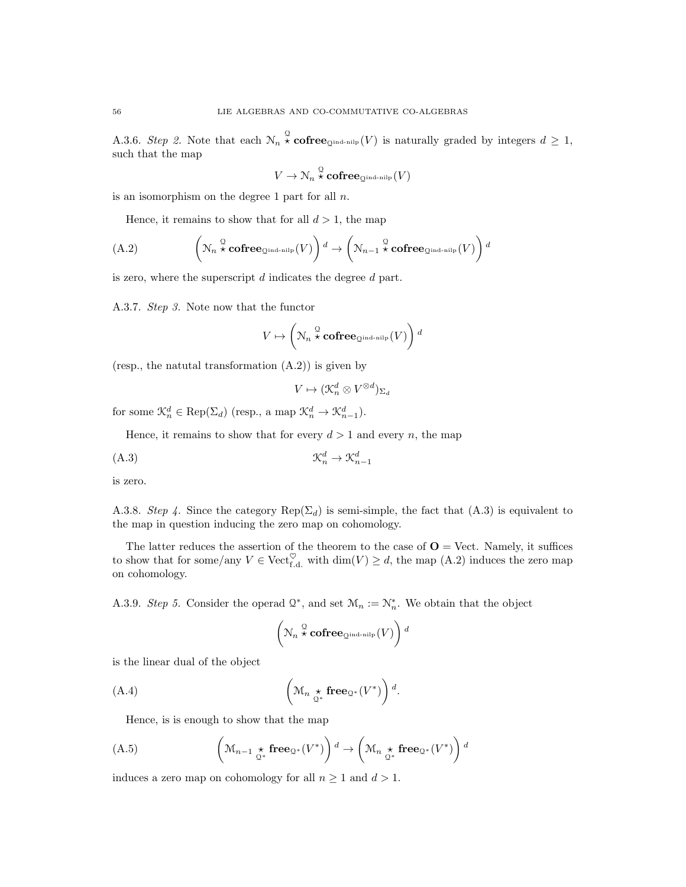A.3.6. Step 2. Note that each  $\mathcal{N}_n \overset{\mathcal{Q}}{\star}$  cofree<sub>Qind-nilp</sub> (V) is naturally graded by integers  $d \geq 1$ , such that the map

$$
V \to \mathcal{N}_n \overset{\mathcal{Q}}{\star} \mathbf{cofree}_{\mathcal{Q}^{\mathrm{ind-nilp}}}(V)
$$

is an isomorphism on the degree 1 part for all  $n$ .

Hence, it remains to show that for all  $d > 1$ , the map

(A.2) 
$$
\left(\mathcal{N}_n \stackrel{\mathcal{Q}}{\star} \mathbf{cofree}_{\mathcal{Q}^{\text{ind-nilp}}}(V)\right)^d \to \left(\mathcal{N}_{n-1} \stackrel{\mathcal{Q}}{\star} \mathbf{cofree}_{\mathcal{Q}^{\text{ind-nilp}}}(V)\right)^d
$$

is zero, where the superscript  $d$  indicates the degree  $d$  part.

A.3.7. Step 3. Note now that the functor

$$
V \mapsto \left(\mathcal{N}_n \overset{\mathcal{Q}}{\star} \mathbf{cofree}_{\mathcal{Q}^{\mathrm{ind-nilp}}}(V)\right)^d
$$

(resp., the natural transformation  $(A.2)$ ) is given by

$$
V \mapsto (\mathcal{K}_n^d \otimes V^{\otimes d})_{\Sigma_d}
$$

for some  $\mathcal{K}_n^d \in \text{Rep}(\Sigma_d)$  (resp., a map  $\mathcal{K}_n^d \to \mathcal{K}_{n-1}^d$ ).

Hence, it remains to show that for every  $d > 1$  and every n, the map

$$
\mathfrak{K}_n^d \to \mathfrak{K}_{n-1}^d
$$

is zero.

A.3.8. Step 4. Since the category  $\text{Rep}(\Sigma_d)$  is semi-simple, the fact that (A.3) is equivalent to the map in question inducing the zero map on cohomology.

The latter reduces the assertion of the theorem to the case of  $\mathbf{O} = \text{Vect}$ . Namely, it suffices to show that for some/any  $V \in \text{Vect}_{f,d}^{\heartsuit}$  with  $\dim(V) \geq d$ , the map  $(A.2)$  induces the zero map on cohomology.

A.3.9. Step 5. Consider the operad  $\mathcal{Q}^*$ , and set  $\mathcal{M}_n := \mathcal{N}_n^*$ . We obtain that the object

$$
\left(\mathcal{N}_n\overset{\mathcal{Q}}{\star}\mathbf{cofree}_{\mathcal{Q}^{\mathrm{ind-nilp}}}(V)\right)^d
$$

is the linear dual of the object

(A.4) 
$$
\left(M_n \underset{\mathbb{Q}^*}{\star} \mathbf{free}_{\mathbb{Q}^*}(V^*)\right) d.
$$

Hence, is is enough to show that the map

$$
\left(\mathbf{M}_{n-1} \underset{\mathcal{Q}^*}{\star} \mathbf{free}_{\mathcal{Q}^*}(V^*)\right) \stackrel{d}{\to} \left(\mathbf{M}_n \underset{\mathcal{Q}^*}{\star} \mathbf{free}_{\mathcal{Q}^*}(V^*)\right) \stackrel{d}{\to}
$$

induces a zero map on cohomology for all  $n \geq 1$  and  $d > 1$ .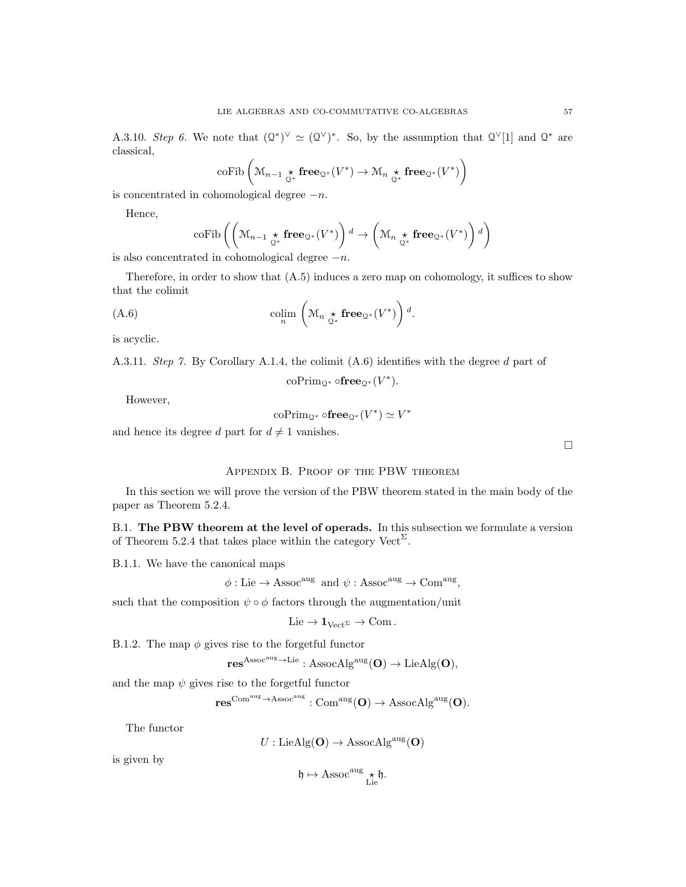A.3.10. Step 6. We note that  $(Q^*)^\vee \simeq (Q^\vee)^*$ . So, by the assumption that  $Q^\vee[1]$  and  $Q^*$  are classical,

$$
\mathrm{coFib}\left(\mathcal{M}_{n-1} \underset{\mathcal{Q}^*}{\star} \mathbf{free}_{\mathcal{Q}^*}(V^*) \to \mathcal{M}_n \underset{\mathcal{Q}^*}{\star} \mathbf{free}_{\mathcal{Q}^*}(V^*)\right)
$$

is concentrated in cohomological degree  $-n$ .

Hence,

$$
\mathrm{coFib}\left(\left(\mathcal{M}_{n-1} \underset{\mathcal{Q}^*}{\star} \mathbf{free}_{\mathcal{Q}^*}(V^*)\right)^d \to \left(\mathcal{M}_n \underset{\mathcal{Q}^*}{\star} \mathbf{free}_{\mathcal{Q}^*}(V^*)\right)^d\right)
$$

is also concentrated in cohomological degree  $-n$ .

Therefore, in order to show that (A.5) induces a zero map on cohomology, it suffices to show that the colimit

.

(A.6) 
$$
\operatorname{colim}_{n} \left( \mathcal{M}_{n} \underset{\mathcal{Q}^*}{\star} \mathbf{free}_{\mathcal{Q}^*}(V^*) \right) d
$$

is acyclic.

A.3.11. Step 7. By Corollary A.1.4, the colimit (A.6) identifies with the degree d part of

 $\mathrm{coPrim}_{\mathbb{Q}^*} \circ \mathbf{free}_{\mathbb{Q}^*}(V^*)$ .

However,

$$
\mathrm{coPrim}_{\mathbb{Q}^*} \circ \mathbf{free}_{\mathbb{Q}^*}(V^*) \simeq V^*
$$

and hence its degree d part for  $d \neq 1$  vanishes.

Appendix B. Proof of the PBW theorem

In this section we will prove the version of the PBW theorem stated in the main body of the paper as Theorem 5.2.4.

B.1. The PBW theorem at the level of operads. In this subsection we formulate a version of Theorem 5.2.4 that takes place within the category  $\text{Vect}^{\Sigma}$ .

B.1.1. We have the canonical maps

 $\phi:$  Lie  $\rightarrow$  Assoc<sup>aug</sup> and  $\psi:$  Assoc<sup>aug</sup>  $\rightarrow$  Com<sup>aug</sup>,

such that the composition  $\psi \circ \phi$  factors through the augmentation/unit

$$
\mathrm{Lie}\to 1_{\mathrm{Vect}^{\Sigma}}\to\mathrm{Com}\,.
$$

B.1.2. The map  $\phi$  gives rise to the forgetful functor

$$
\mathbf{res}^{Assoc^{aug}\rightarrow Lie}: {\rm AssocAlg}^{aug}(\mathbf{O})\rightarrow LieAlg(\mathbf{O}),
$$

and the map  $\psi$  gives rise to the forgetful functor

 $res^{\mathrm{Com^{aug}} \rightarrow \mathrm{Assoc^{aug}}} : \mathrm{Com^{aug}}(\mathbf{O}) \rightarrow \mathrm{AssocAlg^{aug}}(\mathbf{O}).$ 

The functor

$$
U: \mathrm{LieAlg}(\mathbf{O}) \to \mathrm{AssocAlg}^{\mathrm{aug}}(\mathbf{O})
$$

is given by

$$
\mathfrak{h}\mapsto \operatorname{Assoc}^{\operatorname{aug}}\underset{\operatorname{Lie}}{\star}\mathfrak{h}.
$$

 $\Box$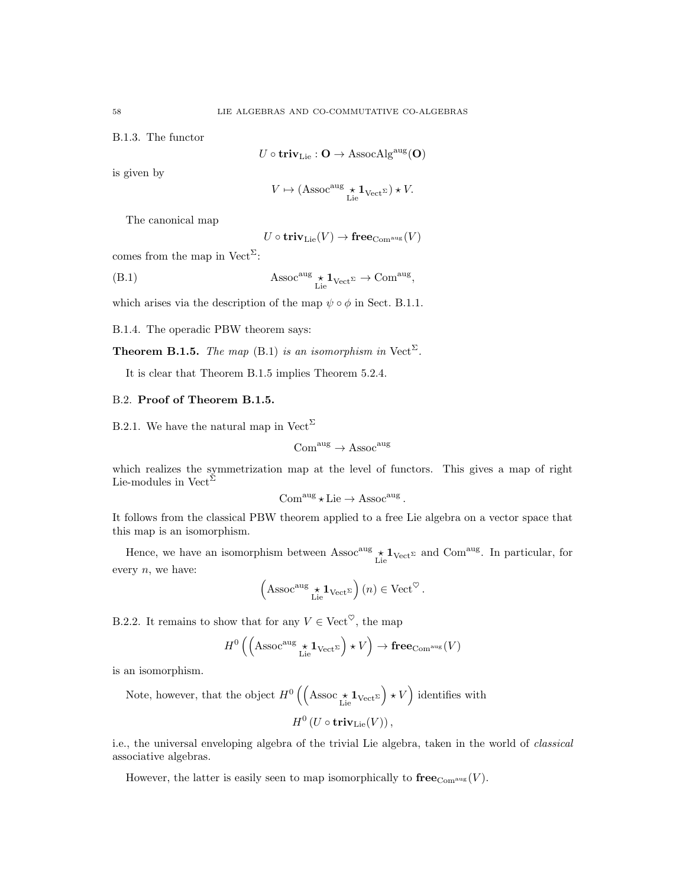B.1.3. The functor

$$
U\circ\mathbf{triv}_{\mathrm{Lie}}:\mathbf{O}\rightarrow\operatorname{AssocAlg}^{\operatorname{aug}}(\mathbf{O})
$$

is given by

$$
V \mapsto (\operatorname{Assoc}^{\text{aug}} {\underset{\operatorname{Lie}}{\star}} \mathbf{1}_{\operatorname{Vect}^{\Sigma}}) \star V.
$$

The canonical map

$$
U\circ{\mathbf{triv}_{\mathrm{Lie}}}(V)\to{\mathbf{free}_{\mathrm{Com}^{\mathrm{aug}}}}(V)
$$

comes from the map in  $Vect^{\Sigma}$ :

(B.1) 
$$
\operatorname{Assoc}^{\text{aug}} \underset{\text{Lie}}{\star} \mathbf{1}_{\text{Vect}^{\Sigma}} \to \text{Com}^{\text{aug}},
$$

which arises via the description of the map  $\psi \circ \phi$  in Sect. B.1.1.

B.1.4. The operadic PBW theorem says:

**Theorem B.1.5.** The map (B.1) is an isomorphism in Vect<sup> $\Sigma$ </sup>.

It is clear that Theorem B.1.5 implies Theorem 5.2.4.

### B.2. Proof of Theorem B.1.5.

B.2.1. We have the natural map in  $Vect^{\Sigma}$ 

$$
\mathrm{Com}^{\mathrm{aug}} \to \mathrm{Assoc}^{\mathrm{aug}}
$$

which realizes the symmetrization map at the level of functors. This gives a map of right Lie-modules in Vect<sup> $\Sigma$ </sup>

$$
\mathrm{Com}^{\mathrm{aug}}\star\mathrm{Lie}\to \mathrm{Assoc}^{\mathrm{aug}}\,.
$$

It follows from the classical PBW theorem applied to a free Lie algebra on a vector space that this map is an isomorphism.

Hence, we have an isomorphism between  $\text{Assoc}^{\text{aug}} \star \mathbf{1}_{\text{Vect}}$  and  $\text{Com}^{\text{aug}}$ . In particular, for every  $n$ , we have:

$$
\left(\operatorname{Assoc}^{\operatorname{aug}}\underset{\operatorname{Lie}}{\star}\mathbf{1}_{\operatorname{Vect}^{\Sigma}}\right)(n)\in\operatorname{Vect}^{\heartsuit}.
$$

B.2.2. It remains to show that for any  $V \in \text{Vect}^{\heartsuit}$ , the map

$$
H^{0}\left(\left(\text{Assoc}^{\text{aug}} \underset{\text{Lie}}{\star} \mathbf{1}_{\text{Vect}^{\Sigma}}\right) \star V\right) \to \mathbf{free}_{\text{Com}^{\text{aug}}}(V)
$$

is an isomorphism.

Note, however, that the object  $H^0\left(\left(\text{Assoc}\underset{\text{Lie}}{\star}\mathbf{1}_{\text{Vect}^{\Sigma}}\right) \star V\right)$  identifies with  $H^0\left(U\circ\mathbf{triv}_\mathrm{Lie}(V)\right),$ 

i.e., the universal enveloping algebra of the trivial Lie algebra, taken in the world of classical associative algebras.

However, the latter is easily seen to map isomorphically to  ${\rm free}_{\mathrm{Com}^{\mathrm{aug}}}(V)$ .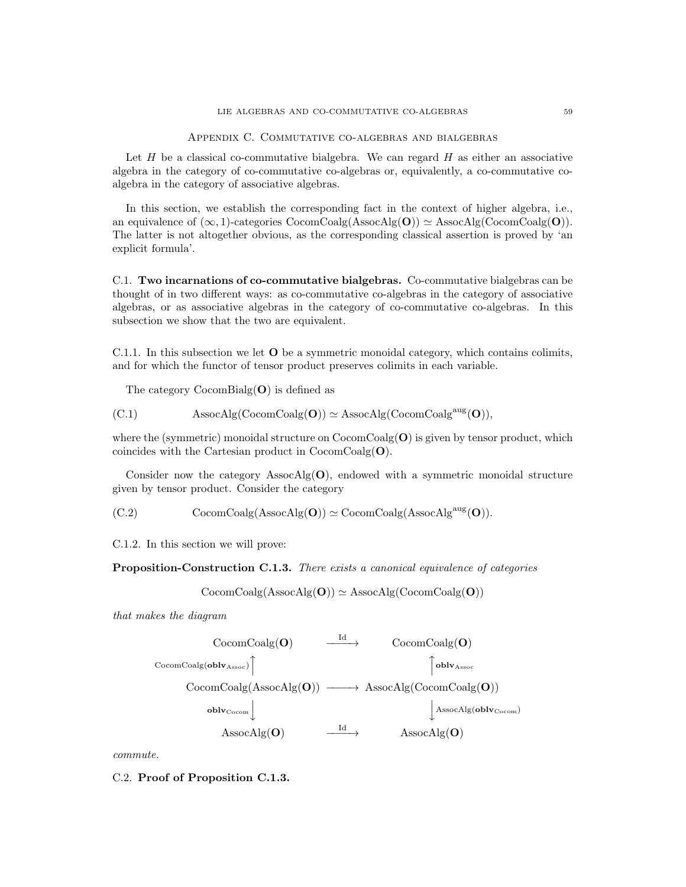Appendix C. Commutative co-algebras and bialgebras

Let  $H$  be a classical co-commutative bialgebra. We can regard  $H$  as either an associative algebra in the category of co-commutative co-algebras or, equivalently, a co-commutative coalgebra in the category of associative algebras.

In this section, we establish the corresponding fact in the context of higher algebra, i.e., an equivalence of  $(\infty, 1)$ -categories CocomCoalg(AssocAlg(O))  $\simeq$  AssocAlg(CocomCoalg(O)). The latter is not altogether obvious, as the corresponding classical assertion is proved by 'an explicit formula'.

C.1. Two incarnations of co-commutative bialgebras. Co-commutative bialgebras can be thought of in two different ways: as co-commutative co-algebras in the category of associative algebras, or as associative algebras in the category of co-commutative co-algebras. In this subsection we show that the two are equivalent.

C.1.1. In this subsection we let O be a symmetric monoidal category, which contains colimits, and for which the functor of tensor product preserves colimits in each variable.

The category  $CocomBialg(O)$  is defined as

(C.1) 
$$
AssocAlg(CocomCoalg(\mathbf{O})) \simeq AssocAlg(CocomCoalg^{aug}(\mathbf{O})),
$$

where the (symmetric) monoidal structure on  $\mathrm{CocomCoalg}(\mathbf{O})$  is given by tensor product, which coincides with the Cartesian product in  $CocomCoalg(\mathbf{O}).$ 

Consider now the category AssocAlg( $\mathbf{O}$ ), endowed with a symmetric monoidal structure given by tensor product. Consider the category

(C.2) 
$$
CocomCoalg(AssocAlg(O)) \simeq CocomCoalg(AssocAlgaug(O)).
$$

C.1.2. In this section we will prove:

Proposition-Construction C.1.3. There exists a canonical equivalence of categories

 $CocomCoalg(AssocAlg(O)) \simeq AssocAlg(CocomCoalg(O))$ 

that makes the diagram



commute.

C.2. Proof of Proposition C.1.3.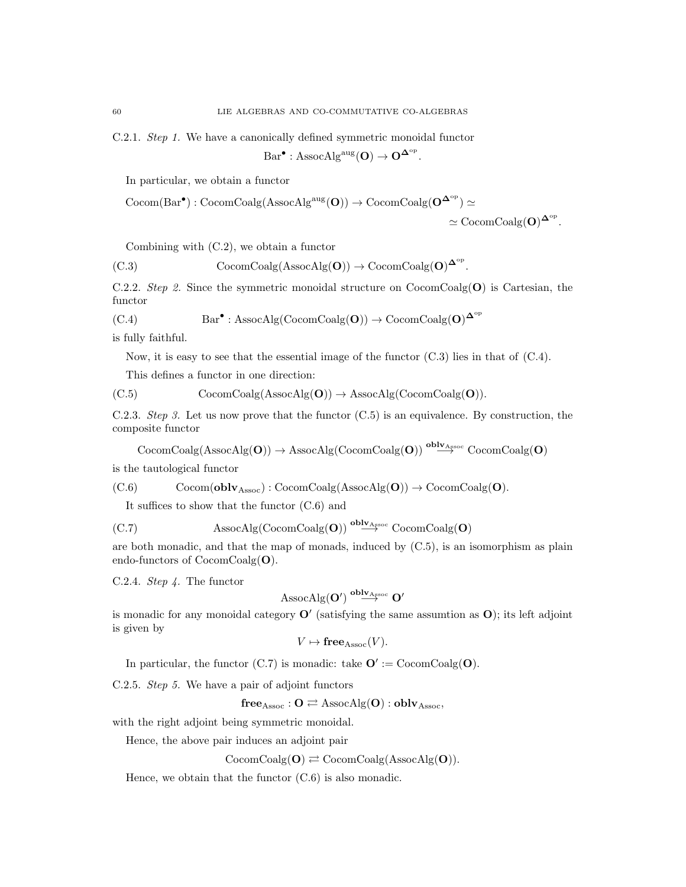C.2.1. Step 1. We have a canonically defined symmetric monoidal functor

$$
\mathrm{Bar}^{\bullet} : \mathrm{AssocAlg}^{\mathrm{aug}}(\mathbf{O}) \to \mathbf{O}^{\mathbf{\Delta}^{\mathrm{op}}}.
$$

In particular, we obtain a functor

$$
\begin{aligned} \mathrm{Cocom}(Bar^\bullet): \mathrm{CocomCoalg}(\mathrm{AssocAlg}^{\mathrm{aug}}(\mathbf{O})) &\to \mathrm{CocomCoalg}(\mathbf{O}^{\mathbf{\Delta}^{\mathrm{op}}}) \simeq \\ &\simeq \mathrm{CocomCoalg}(\mathbf{O})^{\mathbf{\Delta}^{\mathrm{op}}} . \end{aligned}
$$

Combining with (C.2), we obtain a functor

(C.3) 
$$
CocomCoalg(AssocAlg(O)) \to CocomCoalg(O)^{\Delta^{op}}.
$$

C.2.2. Step 2. Since the symmetric monoidal structure on  $CocomCoalg(O)$  is Cartesian, the functor

(C.4) 
$$
Bar^{\bullet}: \text{AssocAlg}(\text{CocomCoalg}(\mathbf{O})) \to \text{CocomCoalg}(\mathbf{O})^{\mathbf{\Delta}^{\text{op}}}
$$

is fully faithful.

Now, it is easy to see that the essential image of the functor  $(C.3)$  lies in that of  $(C.4)$ .

This defines a functor in one direction:

(C.5) 
$$
CocomCoalg(AssocAlg(O)) \rightarrow AssocAlg(CocomCoalg(O)).
$$

C.2.3. Step 3. Let us now prove that the functor (C.5) is an equivalence. By construction, the composite functor

 $CocomCoalg(AssocAlg(O)) \rightarrow AssocAlg(CocomCoalg(O)) \stackrel{oblv<sub>Assoc</sub>}{\longrightarrow} CocomCoalg(O)$ 

is the tautological functor

(C.6) 
$$
Cocom(\mathbf{oblv}_{\mathrm{Assoc}}): CocomCoalg(\mathrm{AssocAlg}(\mathbf{O})) \rightarrow CocomCoalg(\mathbf{O}).
$$

It suffices to show that the functor (C.6) and

(C.7) 
$$
\mathrm{AssocAlg}(\mathrm{CocomCoalg}(\mathbf{O})) \overset{\mathbf{oblv}_{\mathbf{A} \text{ssoc}}}{\longrightarrow} \mathrm{CocomCoalg}(\mathbf{O})
$$

are both monadic, and that the map of monads, induced by (C.5), is an isomorphism as plain endo-functors of CocomCoalg(O).

C.2.4. Step 4. The functor

$$
\mathrm{AssocAlg}(\mathbf{O}') \overset{\mathbf{oblv}_{\mathrm{Assoc}}}{\longrightarrow} \mathbf{O}'
$$

is monadic for any monoidal category  $\mathbf{O}'$  (satisfying the same assumtion as  $\mathbf{O}$ ); its left adjoint is given by

$$
V \mapsto \mathbf{free}_{\mathrm{Assoc}}(V).
$$

In particular, the functor (C.7) is monadic: take  $\mathbf{O}' := \text{CocomCoalg}(\mathbf{O})$ .

C.2.5. Step 5. We have a pair of adjoint functors

$$
free_{Assoc}: O \rightleftarrows AssociAlg(O):oblv_{Assoc},
$$

with the right adjoint being symmetric monoidal.

Hence, the above pair induces an adjoint pair

 $CocomCoalg(O) \rightleftarrows CocomCoalg(AssocAlg(O)).$ 

Hence, we obtain that the functor (C.6) is also monadic.